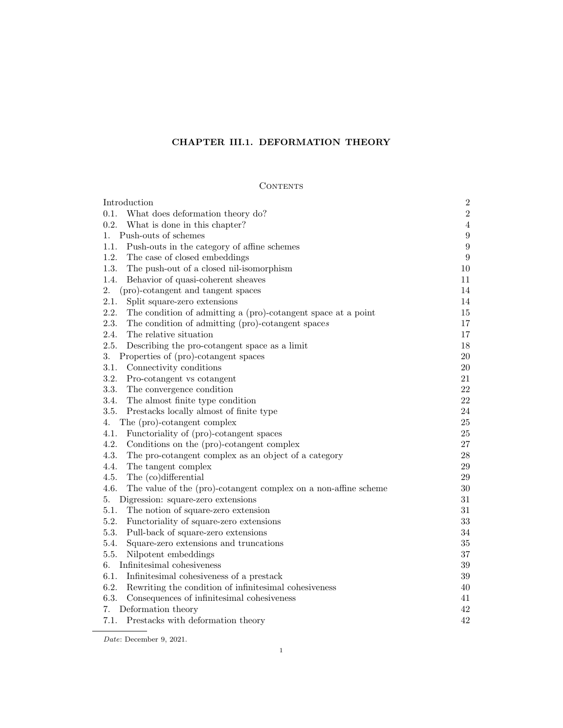# CHAPTER III.1. DEFORMATION THEORY

# **CONTENTS**

| Introduction                                                            | $\boldsymbol{2}$ |
|-------------------------------------------------------------------------|------------------|
| What does deformation theory do?<br>0.1.                                | $\sqrt{2}$       |
| 0.2.<br>What is done in this chapter?                                   | $\,4\,$          |
| Push-outs of schemes<br>1.                                              | $\boldsymbol{9}$ |
| Push-outs in the category of affine schemes<br>1.1.                     | $\boldsymbol{9}$ |
| 1.2.<br>The case of closed embeddings                                   | $\boldsymbol{9}$ |
| 1.3.<br>The push-out of a closed nil-isomorphism                        | 10               |
| 1.4.<br>Behavior of quasi-coherent sheaves                              | 11               |
| 2.<br>(pro)-cotangent and tangent spaces                                | 14               |
| 2.1.<br>Split square-zero extensions                                    | 14               |
| 2.2.<br>The condition of admitting a (pro)-cotangent space at a point   | 15               |
| 2.3.<br>The condition of admitting (pro)-cotangent spaces               | $17\,$           |
| 2.4.<br>The relative situation                                          | 17               |
| 2.5.<br>Describing the pro-cotangent space as a limit                   | 18               |
| 3.<br>Properties of (pro)-cotangent spaces                              | $20\,$           |
| Connectivity conditions<br>3.1.                                         | $20\,$           |
| 3.2.<br>Pro-cotangent vs cotangent                                      | 21               |
| 3.3.<br>The convergence condition                                       | 22               |
| 3.4.<br>The almost finite type condition                                | $22\,$           |
| 3.5.<br>Prestacks locally almost of finite type                         | 24               |
| The (pro)-cotangent complex<br>4.                                       | $25\,$           |
| 4.1.<br>Functoriality of (pro)-cotangent spaces                         | $25\,$           |
| 4.2.<br>Conditions on the (pro)-cotangent complex                       | $27\,$           |
| 4.3.<br>The pro-cotangent complex as an object of a category            | $28\,$           |
| 4.4.<br>The tangent complex                                             | 29               |
| 4.5.<br>The (co)differential                                            | $\,29$           |
| 4.6.<br>The value of the (pro)-cotangent complex on a non-affine scheme | $30\,$           |
| Digression: square-zero extensions<br>5.                                | 31               |
| 5.1.<br>The notion of square-zero extension                             | 31               |
| 5.2.<br>Functoriality of square-zero extensions                         | $33\,$           |
| 5.3.<br>Pull-back of square-zero extensions                             | $34\,$           |
| Square-zero extensions and truncations<br>5.4.                          | $35\,$           |
| 5.5.<br>Nilpotent embeddings                                            | $37\,$           |
| Infinitesimal cohesiveness<br>6.                                        | 39               |
| Infinitesimal cohesiveness of a prestack<br>6.1.                        | 39               |
| 6.2.<br>Rewriting the condition of infinitesimal cohesiveness           | 40               |
| 6.3.<br>Consequences of infinitesimal cohesiveness                      | 41               |
| Deformation theory<br>7.                                                | 42               |
| 7.1.<br>Prestacks with deformation theory                               | 42               |

Date: December 9, 2021.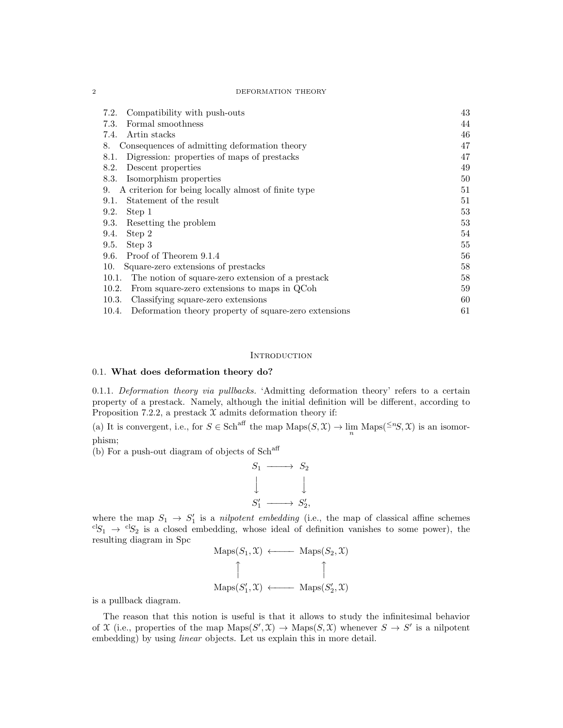$\begin{minipage}{.4\linewidth} 2 & \multicolumn{3}{c|}{\textbf{DEFORMATION THEORY}} \end{minipage}$ 

| Compatibility with push-outs<br>7.2.                           | 43 |
|----------------------------------------------------------------|----|
| Formal smoothness<br>7.3.                                      | 44 |
| Artin stacks<br>7.4.                                           | 46 |
| Consequences of admitting deformation theory<br>8.             | 47 |
| Digression: properties of maps of prestacks<br>8.1.            | 47 |
| Descent properties<br>8.2.                                     | 49 |
| Isomorphism properties<br>8.3.                                 | 50 |
| A criterion for being locally almost of finite type<br>9.      | 51 |
| Statement of the result<br>9.1.                                | 51 |
| 9.2.<br>Step 1                                                 | 53 |
| Resetting the problem<br>9.3.                                  | 53 |
| Step 2<br>9.4.                                                 | 54 |
| 9.5.<br>Step 3                                                 | 55 |
| Proof of Theorem 9.1.4<br>9.6.                                 | 56 |
| 10.<br>Square-zero extensions of prestacks                     | 58 |
| The notion of square-zero extension of a prestack<br>10.1.     | 58 |
| 10.2.<br>From square-zero extensions to maps in QCoh           | 59 |
| 10.3.<br>Classifying square-zero extensions                    | 60 |
| 10.4.<br>Deformation theory property of square-zero extensions | 61 |

#### **INTRODUCTION**

### 0.1. What does deformation theory do?

0.1.1. Deformation theory via pullbacks. 'Admitting deformation theory' refers to a certain property of a prestack. Namely, although the initial definition will be different, according to Proposition 7.2.2, a prestack  $X$  admits deformation theory if:

(a) It is convergent, i.e., for  $S \in Sch^{aff}$  the map  $\text{Maps}(S, \mathcal{X}) \to \lim_{n} \text{Maps}({}^{\leq n}S, \mathcal{X})$  is an isomorphism;

(b) For a push-out diagram of objects of  $Sch<sup>aff</sup>$ 



where the map  $S_1 \rightarrow S'_1$  is a *nilpotent embedding* (i.e., the map of classical affine schemes  ${}^{cl}S_1 \rightarrow {}^{cl}S_2$  is a closed embedding, whose ideal of definition vanishes to some power), the resulting diagram in Spc

$$
Maps(S_1, \mathcal{X}) \longleftarrow Maps(S_2, \mathcal{X})
$$
\n
$$
\uparrow \qquad \qquad \uparrow
$$
\n
$$
Maps(S'_1, \mathcal{X}) \longleftarrow Maps(S'_2, \mathcal{X})
$$

is a pullback diagram.

The reason that this notion is useful is that it allows to study the infinitesimal behavior of X (i.e., properties of the map  $\text{Maps}(S', \mathcal{X}) \to \text{Maps}(S, \mathcal{X})$  whenever  $S \to S'$  is a nilpotent embedding) by using *linear* objects. Let us explain this in more detail.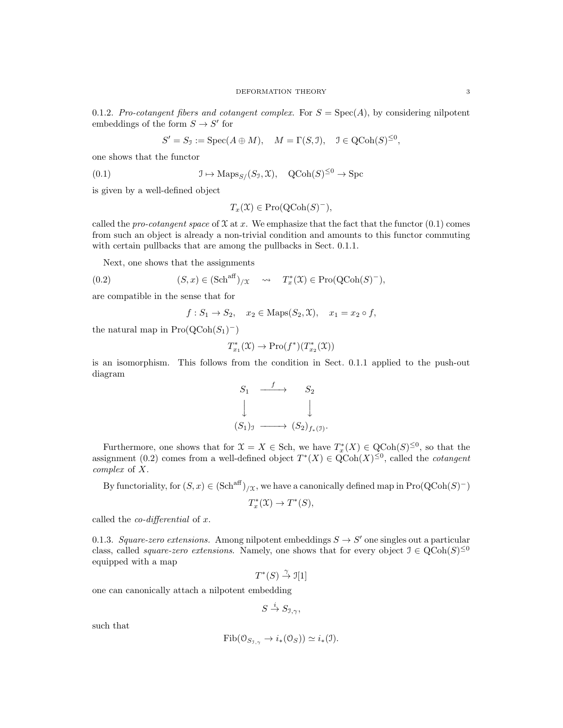0.1.2. Pro-cotangent fibers and cotangent complex. For  $S = \text{Spec}(A)$ , by considering nilpotent embeddings of the form  $S \to S'$  for

$$
S' = S_{\mathcal{I}} := \operatorname{Spec}(A \oplus M), \quad M = \Gamma(S, \mathcal{I}), \quad \mathcal{I} \in \operatorname{QCoh}(S)^{\leq 0},
$$

one shows that the functor

(0.1) 
$$
\mathcal{I} \mapsto \text{Maps}_{S/}(S_{\mathcal{I}}, \mathfrak{X}), \quad \text{QCoh}(S)^{\leq 0} \to \text{Spc}
$$

is given by a well-defined object

$$
T_x(\mathfrak{X}) \in \mathrm{Pro}(\mathrm{QCoh}(S)^-),
$$

called the pro-cotangent space of  $\mathfrak X$  at x. We emphasize that the fact that the functor  $(0.1)$  comes from such an object is already a non-trivial condition and amounts to this functor commuting with certain pullbacks that are among the pullbacks in Sect. 0.1.1.

Next, one shows that the assignments

(0.2) 
$$
(S, x) \in (\text{Sch}^{\text{aff}})_{/\mathfrak{X}} \quad \leadsto \quad T_x^*(\mathfrak{X}) \in \text{Pro}(\text{QCoh}(S)^{-}),
$$

are compatible in the sense that for

$$
f: S_1 \to S_2, \quad x_2 \in \text{Maps}(S_2, \mathfrak{X}), \quad x_1 = x_2 \circ f,
$$

the natural map in  $\text{Pro}(\text{QCoh}(S_1)^-)$ 

$$
T^*_{x_1}(\mathfrak{X}) \to \mathrm{Pro}(f^*)(T^*_{x_2}(\mathfrak{X}))
$$

is an isomorphism. This follows from the condition in Sect. 0.1.1 applied to the push-out diagram

$$
S_1 \xrightarrow{f} S_2
$$
  
\n
$$
\downarrow \qquad \qquad \downarrow
$$
  
\n
$$
(S_1)_\mathfrak{I} \longrightarrow (S_2)_{f_*(\mathfrak{I})}.
$$

Furthermore, one shows that for  $\mathfrak{X} = X \in \text{Sch}$ , we have  $T_x^*(X) \in \text{QCoh}(S)^{\leq 0}$ , so that the assignment (0.2) comes from a well-defined object  $T^*(X) \in \text{QCoh}(X)^{\leq 0}$ , called the *cotangent* complex of X.

By functoriality, for  $(S, x) \in (\text{Sch}^{\text{aff}})_{/\mathfrak{X}}$ , we have a canonically defined map in  $\text{Pro}(\text{QCoh}(S)^-)$ 

$$
T_x^*(\mathfrak{X}) \to T^*(S),
$$

called the *co-differential* of  $x$ .

0.1.3. Square-zero extensions. Among nilpotent embeddings  $S \to S'$  one singles out a particular class, called *square-zero extensions*. Namely, one shows that for every object  $\mathcal{I} \in \text{QCoh}(S)^{\leq 0}$ equipped with a map

$$
T^*(S) \stackrel{\gamma}{\to} \mathfrak{I}[1]
$$

one can canonically attach a nilpotent embedding

$$
S \stackrel{i}{\to} S_{\mathfrak{I}, \gamma},
$$

such that

$$
\mathrm{Fib}(\mathcal{O}_{S_{\mathfrak{I},\gamma}} \to i_*(\mathcal{O}_S)) \simeq i_*(\mathfrak{I}).
$$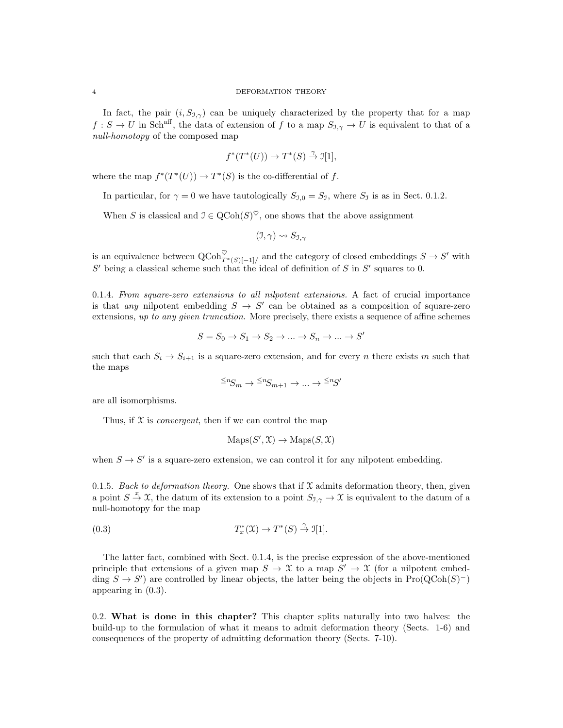#### 4 DEFORMATION THEORY

In fact, the pair  $(i, S_{\mathcal{I}, \gamma})$  can be uniquely characterized by the property that for a map  $f: S \to U$  in Sch<sup>aff</sup>, the data of extension of f to a map  $S_{\mathcal{I}, \gamma} \to U$  is equivalent to that of a null-homotopy of the composed map

$$
f^*(T^*(U)) \to T^*(S) \stackrel{\gamma}{\to} \mathfrak{I}[1],
$$

where the map  $f^*(T^*(U)) \to T^*(S)$  is the co-differential of f.

In particular, for  $\gamma = 0$  we have tautologically  $S_{\gamma,0} = S_{\gamma}$ , where  $S_{\gamma}$  is as in Sect. 0.1.2.

When S is classical and  $\mathcal{I} \in \text{QCoh}(S)^{\heartsuit}$ , one shows that the above assignment

$$
(\mathfrak{I}, \gamma) \leadsto S_{\mathfrak{I}, \gamma}
$$

is an equivalence between  $\mathrm{QCoh}_{T^*(S)[-1]/}^{\heartsuit}$  and the category of closed embeddings  $S \to S'$  with  $S'$  being a classical scheme such that the ideal of definition of S in  $S'$  squares to 0.

0.1.4. From square-zero extensions to all nilpotent extensions. A fact of crucial importance is that any nilpotent embedding  $S \to S'$  can be obtained as a composition of square-zero extensions, up to any given truncation. More precisely, there exists a sequence of affine schemes

$$
S = S_0 \to S_1 \to S_2 \to \dots \to S_n \to \dots \to S'
$$

such that each  $S_i \rightarrow S_{i+1}$  is a square-zero extension, and for every n there exists m such that the maps

$$
{}^{\leq n}\!S_m \to {}^{\leq n}\!S_{m+1} \to \dots \to {}^{\leq n}\!S'
$$

are all isomorphisms.

Thus, if  $X$  is *convergent*, then if we can control the map

$$
Maps(S', \mathcal{X}) \to Maps(S, \mathcal{X})
$$

when  $S \to S'$  is a square-zero extension, we can control it for any nilpotent embedding.

0.1.5. Back to deformation theory. One shows that if  $\mathfrak X$  admits deformation theory, then, given a point  $S \stackrel{x}{\to} \mathfrak{X}$ , the datum of its extension to a point  $S_{\mathfrak{I},\gamma} \to \mathfrak{X}$  is equivalent to the datum of a null-homotopy for the map

(0.3) 
$$
T_x^*(\mathfrak{X}) \to T^*(S) \stackrel{\gamma}{\to} \mathfrak{I}[1].
$$

The latter fact, combined with Sect. 0.1.4, is the precise expression of the above-mentioned principle that extensions of a given map  $S \to \mathfrak{X}$  to a map  $S' \to \mathfrak{X}$  (for a nilpotent embedding  $S \to S'$  are controlled by linear objects, the latter being the objects in Pro( $Q\text{Coh}(S)^-$ ) appearing in (0.3).

0.2. What is done in this chapter? This chapter splits naturally into two halves: the build-up to the formulation of what it means to admit deformation theory (Sects. 1-6) and consequences of the property of admitting deformation theory (Sects. 7-10).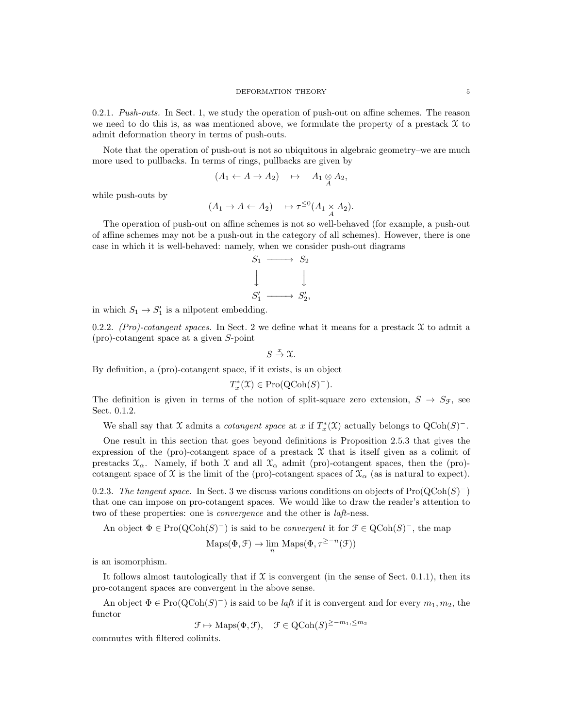0.2.1. Push-outs. In Sect. 1, we study the operation of push-out on affine schemes. The reason we need to do this is, as was mentioned above, we formulate the property of a prestack  $\mathfrak X$  to admit deformation theory in terms of push-outs.

Note that the operation of push-out is not so ubiquitous in algebraic geometry–we are much more used to pullbacks. In terms of rings, pullbacks are given by

$$
(A_1 \leftarrow A \rightarrow A_2) \quad \mapsto \quad A_1 \underset{A}{\otimes} A_2,
$$

while push-outs by

$$
(A_1 \to A \leftarrow A_2) \quad \mapsto \tau^{\leq 0}(A_1 \underset{A}{\times} A_2).
$$

The operation of push-out on affine schemes is not so well-behaved (for example, a push-out of affine schemes may not be a push-out in the category of all schemes). However, there is one case in which it is well-behaved: namely, when we consider push-out diagrams

$$
S_1 \longrightarrow S_2
$$
  

$$
\downarrow \qquad \qquad \downarrow
$$
  

$$
S'_1 \longrightarrow S'_2,
$$

in which  $S_1 \to S'_1$  is a nilpotent embedding.

0.2.2. (Pro)-cotangent spaces. In Sect. 2 we define what it means for a prestack  $\mathfrak X$  to admit a (pro)-cotangent space at a given S-point

$$
S\stackrel{x}\to \mathfrak{X}.
$$

By definition, a (pro)-cotangent space, if it exists, is an object

$$
T_x^*(\mathfrak{X}) \in \mathrm{Pro}(\mathrm{QCoh}(S)^-).
$$

The definition is given in terms of the notion of split-square zero extension,  $S \to S_{\mathcal{F}}$ , see Sect. 0.1.2.

We shall say that X admits a *cotangent space* at x if  $T_x^*(\mathfrak{X})$  actually belongs to  $Q\text{Coh}(S)^-$ .

One result in this section that goes beyond definitions is Proposition 2.5.3 that gives the expression of the (pro)-cotangent space of a prestack  $\mathfrak X$  that is itself given as a colimit of prestacks  $\mathfrak{X}_{\alpha}$ . Namely, if both  $\mathfrak{X}$  and all  $\mathfrak{X}_{\alpha}$  admit (pro)-cotangent spaces, then the (pro)cotangent space of X is the limit of the (pro)-cotangent spaces of  $\mathcal{X}_{\alpha}$  (as is natural to expect).

0.2.3. The tangent space. In Sect. 3 we discuss various conditions on objects of  $\text{Pro}(\text{QCoh}(S)^-)$ that one can impose on pro-cotangent spaces. We would like to draw the reader's attention to two of these properties: one is convergence and the other is laft-ness.

An object  $\Phi \in \text{Pro}(\text{QCoh}(S)^-)$  is said to be *convergent* it for  $\mathcal{F} \in \text{QCoh}(S)^-$ , the map

$$
Maps(\Phi, \mathcal{F}) \to \lim_{n} Maps(\Phi, \tau^{\geq -n}(\mathcal{F}))
$$

is an isomorphism.

It follows almost tautologically that if  $\mathfrak X$  is convergent (in the sense of Sect. 0.1.1), then its pro-cotangent spaces are convergent in the above sense.

An object  $\Phi \in \text{Pro}(\text{QCoh}(S)^-)$  is said to be *laft* if it is convergent and for every  $m_1, m_2$ , the functor

 $\mathcal{F} \mapsto \text{Maps}(\Phi, \mathcal{F}), \quad \mathcal{F} \in \text{QCoh}(S)^{\geq -m_1, \leq m_2}$ 

commutes with filtered colimits.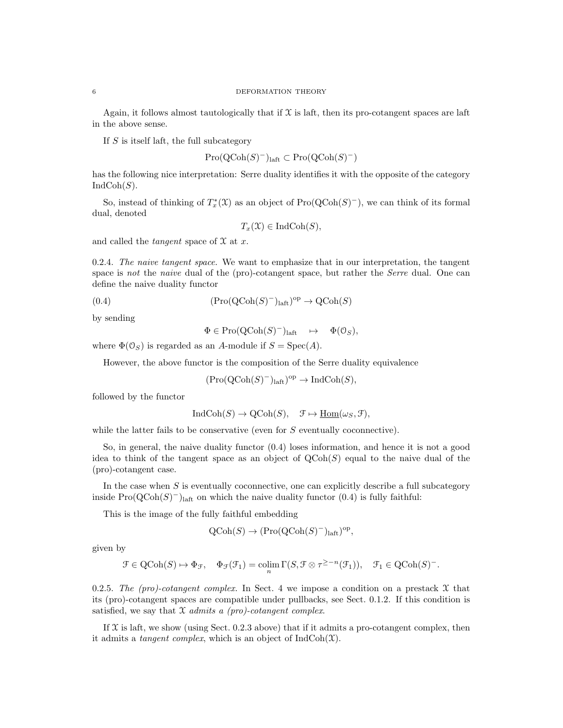Again, it follows almost tautologically that if  $X$  is laft, then its pro-cotangent spaces are laft in the above sense.

If  $S$  is itself laft, the full subcategory

$$
\mathrm{Pro}({\rm QCoh}(S)^{-})_{\mathrm{laft}} \subset \mathrm{Pro}({\rm QCoh}(S)^{-})
$$

has the following nice interpretation: Serre duality identifies it with the opposite of the category  $IndCoh(S)$ .

So, instead of thinking of  $T_x^*({\mathfrak{X}})$  as an object of  $Pro(QCoh(S)^-)$ , we can think of its formal dual, denoted

$$
T_x(\mathfrak{X}) \in \mathrm{IndCoh}(S),
$$

and called the *tangent* space of  $\mathfrak X$  at  $x$ .

0.2.4. The naive tangent space. We want to emphasize that in our interpretation, the tangent space is not the naive dual of the (pro)-cotangent space, but rather the Serre dual. One can define the naive duality functor

(0.4) 
$$
(\text{Pro}(\text{QCoh}(S)^-)_{\text{laft}})^{\text{op}} \to \text{QCoh}(S)
$$

by sending

$$
\Phi \in \mathrm{Pro}(\mathrm{QCoh}(S)^-)_{\mathrm{laft}} \quad \mapsto \quad \Phi(\mathfrak{O}_S),
$$

where  $\Phi(\mathcal{O}_S)$  is regarded as an A-module if  $S = \text{Spec}(A)$ .

However, the above functor is the composition of the Serre duality equivalence

 $(Pro(QCoh(S)^-)_{\text{laft}})^{\text{op}} \to \text{IndCoh}(S),$ 

followed by the functor

$$
IndCoh(S) \to QCoh(S), \quad \mathcal{F} \mapsto \underline{Hom}(\omega_S, \mathcal{F}),
$$

while the latter fails to be conservative (even for S eventually coconnective).

So, in general, the naive duality functor (0.4) loses information, and hence it is not a good idea to think of the tangent space as an object of  $\mathrm{QCoh}(S)$  equal to the naive dual of the (pro)-cotangent case.

In the case when  $S$  is eventually coconnective, one can explicitly describe a full subcategory inside  $\text{Pro}(\text{QCoh}(S)^-)_{\text{last}}$  on which the naive duality functor  $(0.4)$  is fully faithful:

This is the image of the fully faithful embedding

$$
Q\text{Coh}(S) \to (\text{Pro}(Q\text{Coh}(S)^{-})_{\text{laft}})^{\text{op}},
$$

given by

$$
\mathcal{F} \in \mathrm{QCoh}(S) \mapsto \Phi_{\mathcal{F}}, \quad \Phi_{\mathcal{F}}(\mathcal{F}_1) = \mathrm{colim}_{n} \Gamma(S, \mathcal{F} \otimes \tau^{\geq -n}(\mathcal{F}_1)), \quad \mathcal{F}_1 \in \mathrm{QCoh}(S)^{-}.
$$

0.2.5. The (pro)-cotangent complex. In Sect. 4 we impose a condition on a prestack  $\mathfrak X$  that its (pro)-cotangent spaces are compatible under pullbacks, see Sect. 0.1.2. If this condition is satisfied, we say that  $\mathfrak X$  admits a (pro)-cotangent complex.

If  $\mathfrak X$  is laft, we show (using Sect. 0.2.3 above) that if it admits a pro-cotangent complex, then it admits a *tangent complex*, which is an object of  $IndCoh(\mathcal{X})$ .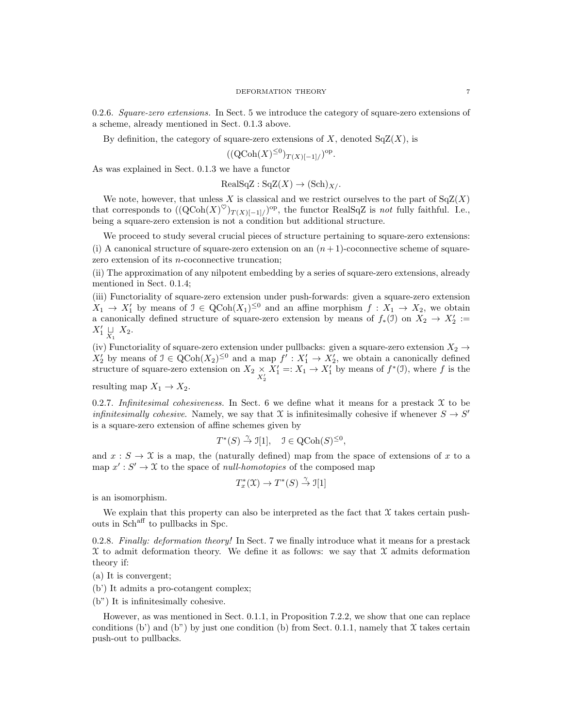0.2.6. Square-zero extensions. In Sect. 5 we introduce the category of square-zero extensions of a scheme, already mentioned in Sect. 0.1.3 above.

By definition, the category of square-zero extensions of  $X$ , denoted  $SqZ(X)$ , is

$$
((Q\text{Coh}(X)^{\leq 0})_{T(X)[-1]/})^{\text{op}}.
$$

As was explained in Sect. 0.1.3 we have a functor

$$
\text{RealSqZ}: \text{SqZ}(X) \to (\text{Sch})_{X}.
$$

We note, however, that unless X is classical and we restrict ourselves to the part of  $SqZ(X)$ that corresponds to  $((QCoh(X)^{\heartsuit})_{T(X)[-1]/})^{\text{op}},$  the functor RealSqZ is not fully faithful. I.e., being a square-zero extension is not a condition but additional structure.

We proceed to study several crucial pieces of structure pertaining to square-zero extensions: (i) A canonical structure of square-zero extension on an  $(n+1)$ -coconnective scheme of squarezero extension of its *n*-coconnective truncation;

(ii) The approximation of any nilpotent embedding by a series of square-zero extensions, already mentioned in Sect. 0.1.4;

(iii) Functoriality of square-zero extension under push-forwards: given a square-zero extension  $X_1 \to X_1'$  by means of  $\mathcal{I} \in \text{QCoh}(X_1)^{\leq 0}$  and an affine morphism  $f : X_1 \to X_2$ , we obtain a canonically defined structure of square-zero extension by means of  $f_*(1)$  on  $X_2 \to X_2' :=$  $X'_1 \underset{X_1}{\sqcup} X_2.$ 

(iv) Functoriality of square-zero extension under pullbacks: given a square-zero extension  $X_2 \rightarrow$  $X_2'$  by means of  $\mathcal{I} \in \text{QCoh}(X_2)^{\leq 0}$  and a map  $f' : X_1' \to X_2'$ , we obtain a canonically defined structure of square-zero extension on  $X_2 \underset{X_2'}{\times}$  $X'_1 =: X_1 \to X'_1$  by means of  $f^*(\mathfrak{I})$ , where f is the

resulting map  $X_1 \to X_2$ .

0.2.7. Infinitesimal cohesiveness. In Sect. 6 we define what it means for a prestack  $\mathfrak X$  to be *infinitesimally cohesive.* Namely, we say that X is infinitesimally cohesive if whenever  $S \to S'$ is a square-zero extension of affine schemes given by

$$
T^*(S) \stackrel{\gamma}{\to} \mathcal{I}[1], \quad \mathcal{I} \in \text{QCoh}(S)^{\leq 0},
$$

and  $x : S \to \mathfrak{X}$  is a map, the (naturally defined) map from the space of extensions of x to a map  $x': S' \to \mathfrak{X}$  to the space of *null-homotopies* of the composed map

$$
T_x^*(\mathfrak{X}) \to T^*(S) \stackrel{\gamma}{\to} \mathfrak{I}[1]
$$

is an isomorphism.

We explain that this property can also be interpreted as the fact that  $\mathfrak X$  takes certain pushouts in Sch<sup>aff</sup> to pullbacks in Spc.

0.2.8. Finally: deformation theory! In Sect. 7 we finally introduce what it means for a prestack  $\mathfrak X$  to admit deformation theory. We define it as follows: we say that  $\mathfrak X$  admits deformation theory if:

(a) It is convergent;

(b') It admits a pro-cotangent complex;

(b") It is infinitesimally cohesive.

However, as was mentioned in Sect. 0.1.1, in Proposition 7.2.2, we show that one can replace conditions (b') and (b'') by just one condition (b) from Sect. 0.1.1, namely that  $\mathfrak X$  takes certain push-out to pullbacks.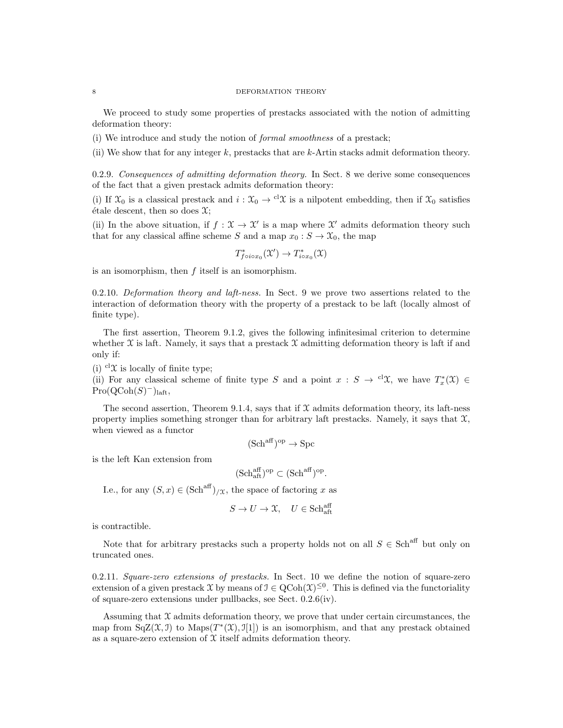#### 8 DEFORMATION THEORY

We proceed to study some properties of prestacks associated with the notion of admitting deformation theory:

(i) We introduce and study the notion of formal smoothness of a prestack;

(ii) We show that for any integer  $k$ , prestacks that are  $k$ -Artin stacks admit deformation theory.

0.2.9. Consequences of admitting deformation theory. In Sect. 8 we derive some consequences of the fact that a given prestack admits deformation theory:

(i) If  $\mathfrak{X}_0$  is a classical prestack and  $i : \mathfrak{X}_0 \to {}^{cl}\mathfrak{X}$  is a nilpotent embedding, then if  $\mathfrak{X}_0$  satisfies  $\acute{e}$ tale descent, then so does  $\mathfrak{X}$ ;

(ii) In the above situation, if  $f: \mathfrak{X} \to \mathfrak{X}'$  is a map where  $\mathfrak{X}'$  admits deformation theory such that for any classical affine scheme S and a map  $x_0 : S \to \mathfrak{X}_0$ , the map

$$
T^*_{f \circ i \circ x_0}(\mathcal{X}') \to T^*_{i \circ x_0}(\mathcal{X})
$$

is an isomorphism, then  $f$  itself is an isomorphism.

0.2.10. Deformation theory and laft-ness. In Sect. 9 we prove two assertions related to the interaction of deformation theory with the property of a prestack to be laft (locally almost of finite type).

The first assertion, Theorem 9.1.2, gives the following infinitesimal criterion to determine whether  $\mathfrak X$  is laft. Namely, it says that a prestack  $\mathfrak X$  admitting deformation theory is laft if and only if:

(i)  $\mathrm{d}\mathfrak{X}$  is locally of finite type;

(ii) For any classical scheme of finite type S and a point  $x : S \to {}^{cl}\mathfrak{X}$ , we have  $T_x^*(\mathfrak{X}) \in$  $Pro(QCoh(S)^-)_{\text{laft}},$ 

The second assertion, Theorem 9.1.4, says that if  $X$  admits deformation theory, its laft-ness property implies something stronger than for arbitrary laft prestacks. Namely, it says that  $\mathfrak{X}$ , when viewed as a functor

$$
(\mathbf{Sch}^{\mathrm{aff}})^{\mathrm{op}} \to \mathbf{Spc}
$$

is the left Kan extension from

$$
(\mathrm{Sch}^{\mathrm{aff}}_{\mathrm{aft}})^\mathrm{op} \subset (\mathrm{Sch}^{\mathrm{aff}})^\mathrm{op}.
$$

I.e., for any  $(S, x) \in (\text{Sch}^{\text{aff}})_{/\mathfrak{X}}$ , the space of factoring x as

$$
S \to U \to \mathfrak{X}, \quad U \in \mathbf{Sch}^{\mathrm{aff}}_{\mathrm{aft}}
$$

is contractible.

Note that for arbitrary prestacks such a property holds not on all  $S \in \text{Sch}^{\text{aff}}$  but only on truncated ones.

0.2.11. Square-zero extensions of prestacks. In Sect. 10 we define the notion of square-zero extension of a given prestack X by means of  $\mathcal{I} \in \mathrm{QCoh}(\mathcal{X})^{\leq 0}$ . This is defined via the functoriality of square-zero extensions under pullbacks, see Sect. 0.2.6(iv).

Assuming that  $\mathfrak X$  admits deformation theory, we prove that under certain circumstances, the map from  $SqZ(\mathfrak{X},\mathfrak{I})$  to  $Maps(T^*(\mathfrak{X}),\mathfrak{I}[1])$  is an isomorphism, and that any prestack obtained as a square-zero extension of  $X$  itself admits deformation theory.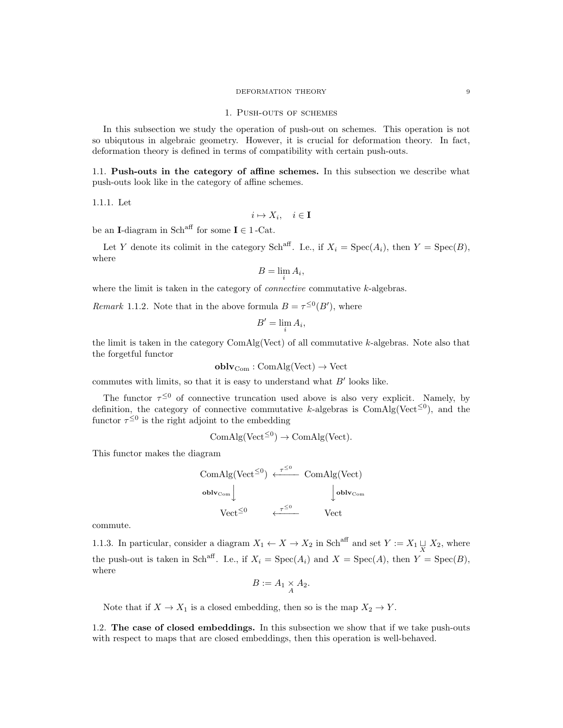#### DEFORMATION THEORY 9

#### 1. Push-outs of schemes

In this subsection we study the operation of push-out on schemes. This operation is not so ubiqutous in algebraic geometry. However, it is crucial for deformation theory. In fact, deformation theory is defined in terms of compatibility with certain push-outs.

1.1. Push-outs in the category of affine schemes. In this subsection we describe what push-outs look like in the category of affine schemes.

1.1.1. Let

 $i \mapsto X_i, \quad i \in \mathbf{I}$ 

be an I-diagram in Sch<sup>aff</sup> for some  $I \in 1$ -Cat.

Let Y denote its colimit in the category Sch<sup>aff</sup>. I.e., if  $X_i = \text{Spec}(A_i)$ , then  $Y = \text{Spec}(B)$ , where

$$
B=\lim_i A_i,
$$

where the limit is taken in the category of *connective* commutative  $k$ -algebras.

Remark 1.1.2. Note that in the above formula  $B = \tau^{\leq 0}(B')$ , where

$$
B'=\lim_i A_i,
$$

the limit is taken in the category  $ComAlg(Vect)$  of all commutative  $k$ -algebras. Note also that the forgetful functor

 $oblv_{Com} : ComAlg(Vect) \rightarrow Vect$ 

commutes with limits, so that it is easy to understand what  $B'$  looks like.

The functor  $\tau^{\leq 0}$  of connective truncation used above is also very explicit. Namely, by definition, the category of connective commutative k-algebras is  $\text{ComAlg}(\text{Vect}^{\leq 0})$ , and the functor  $\tau^{\leq 0}$  is the right adjoint to the embedding

$$
ComAlg(Vect^{\leq 0}) \to ComAlg(Vect).
$$

This functor makes the diagram

$$
\begin{array}{ccc}\n\text{ComAlg}(\text{Vect}^{\leq 0}) & \xleftarrow{\tau^{\leq 0}} & \text{ComAlg}(\text{Vect}) \\
\downarrow^{\text{oblv}} & \downarrow^{\text{oblv}} & \\
\text{Vect}^{\leq 0} & \xleftarrow{\tau^{\leq 0}} & \text{Vect}\n\end{array}
$$

commute.

1.1.3. In particular, consider a diagram  $X_1 \leftarrow X \rightarrow X_2$  in Sch<sup>aff</sup> and set  $Y := X_1 \sqcup_{X} X_2$ , where the push-out is taken in Sch<sup>aff</sup>. I.e., if  $X_i = \text{Spec}(A_i)$  and  $X = \text{Spec}(A)$ , then  $Y = \text{Spec}(B)$ , where

$$
B := A_1 \underset{A}{\times} A_2.
$$

Note that if  $X \to X_1$  is a closed embedding, then so is the map  $X_2 \to Y$ .

1.2. The case of closed embeddings. In this subsection we show that if we take push-outs with respect to maps that are closed embeddings, then this operation is well-behaved.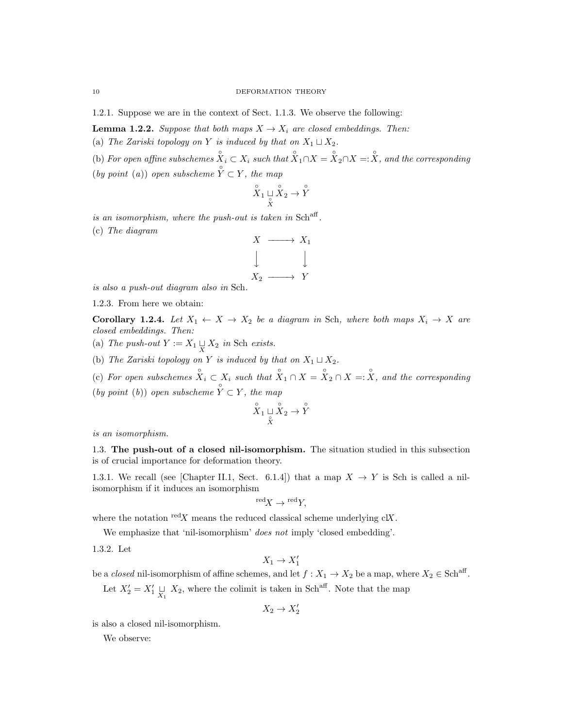1.2.1. Suppose we are in the context of Sect. 1.1.3. We observe the following:

**Lemma 1.2.2.** Suppose that both maps  $X \to X_i$  are closed embeddings. Then:

(a) The Zariski topology on Y is induced by that on  $X_1 \sqcup X_2$ .

(b) For open affine subschemes  $X_i \subset X_i$  such that  $X_1 \cap X = X_2 \cap X = \overline{X}$ , and the corresponding (by point (a)) open subscheme  $\hat{Y} \subset Y$ , the map

$$
\overset{\circ}{X}_1 \underset{\overset{\circ}{X}}{ \sqcup} \overset{\circ}{X}_2 \to \overset{\circ}{Y}
$$

is an isomorphism, where the push-out is taken in  $Sch<sup>aff</sup>$ . (c) The diagram



is also a push-out diagram also in Sch.

1.2.3. From here we obtain:

Corollary 1.2.4. Let  $X_1 \leftarrow X \rightarrow X_2$  be a diagram in Sch, where both maps  $X_i \rightarrow X$  are closed embeddings. Then:

- (a) The push-out  $Y := X_1 \sqcup_X X_2$  in Sch exists.
- (b) The Zariski topology on Y is induced by that on  $X_1 \sqcup X_2$ .

(c) For open subschemes  $\hat{X}_i \subset X_i$  such that  $\hat{X}_1 \cap X = \hat{X}_2 \cap X =: X$ , and the corresponding

(by point (b)) open subscheme  $\hat{Y} \subset Y$ , the map

$$
\overset{\circ}{X}_1 \sqcup \overset{\circ}{X}_2 \to \overset{\circ}{Y}
$$

is an isomorphism.

1.3. The push-out of a closed nil-isomorphism. The situation studied in this subsection is of crucial importance for deformation theory.

1.3.1. We recall (see [Chapter II.1, Sect. 6.1.4]) that a map  $X \to Y$  is Sch is called a nilisomorphism if it induces an isomorphism

$$
{}^{\text{red}}X \to {}^{\text{red}}Y,
$$

where the notation  $\text{red}X$  means the reduced classical scheme underlying  $\text{cl}X$ .

We emphasize that 'nil-isomorphism' *does not* imply 'closed embedding'.

1.3.2. Let

$$
X_1 \to X_1'
$$

be a *closed* nil-isomorphism of affine schemes, and let  $f: X_1 \to X_2$  be a map, where  $X_2 \in \text{Sch}^{\text{aff}}$ .

Let  $X_2' = X_1' \sqcup_{X_1} X_2$ , where the colimit is taken in Sch<sup>aff</sup>. Note that the map

$$
X_2\to X_2'
$$

is also a closed nil-isomorphism.

We observe: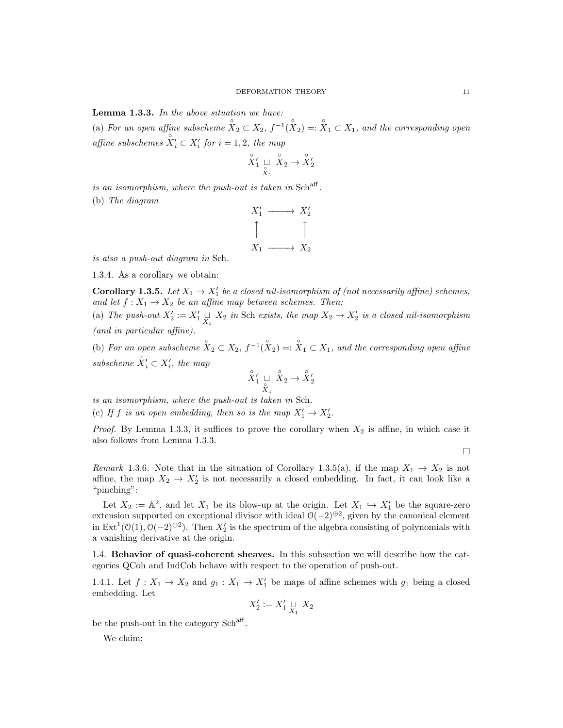Lemma 1.3.3. In the above situation we have:

(a) For an open affine subscheme  $\hat{X}_2 \subset X_2$ ,  $f^{-1}(\hat{X}_2) =: \hat{X}_1 \subset X_1$ , and the corresponding open affine subschemes  $\overset{\circ}{X}'_i \subset X'_i$  for  $i = 1, 2$ , the map

$$
\overset{\circ}{X}'_1\underset{\overset{\circ}{X}_1}{\sqcup}\overset{\circ}{X}_2\to\overset{\circ}{X}'_2
$$

is an isomorphism, where the push-out is taken in  $\text{Sch}^{\text{aff}}$ . (b) The diagram

$$
X'_1 \longrightarrow X'_2
$$
  
\n
$$
\uparrow \qquad \qquad \uparrow
$$
  
\n
$$
X_1 \longrightarrow X_2
$$

is also a push-out diagram in Sch.

1.3.4. As a corollary we obtain:

**Corollary 1.3.5.** Let  $X_1 \to X_1'$  be a closed nil-isomorphism of (not necessarily affine) schemes, and let  $f: X_1 \to X_2$  be an affine map between schemes. Then:

(a) The push-out  $X_2' := X_1' \sqcup_{X_1} X_2$  in Sch exists, the map  $X_2 \to X_2'$  is a closed nil-isomorphism (and in particular affine).

(b) For an open subscheme  $\overset{\circ}{X}_2 \subset X_2$ ,  $f^{-1}(\overset{\circ}{X}_2) =: \overset{\circ}{X}_1 \subset X_1$ , and the corresponding open affine subscheme  $\mathring{X}'_i \subset X'_i$ , the map

$$
\overset{\circ}{X}_1' \mathrel{\mathop{\sqcup}\limits_{\overset{\circ}{X}_1}} \overset{\circ}{X}_2 \to \overset{\circ}{X}_2'
$$

is an isomorphism, where the push-out is taken in Sch.

(c) If f is an open embedding, then so is the map  $X'_1 \to X'_2$ .

*Proof.* By Lemma 1.3.3, it suffices to prove the corollary when  $X_2$  is affine, in which case it also follows from Lemma 1.3.3.

 $\Box$ 

Remark 1.3.6. Note that in the situation of Corollary 1.3.5(a), if the map  $X_1 \to X_2$  is not affine, the map  $X_2 \to X_2'$  is not necessarily a closed embedding. In fact, it can look like a "pinching":

Let  $X_2 := \mathbb{A}^2$ , and let  $X_1$  be its blow-up at the origin. Let  $X_1 \hookrightarrow X'_1$  be the square-zero extension supported on exceptional divisor with ideal  $O(-2)^{\oplus 2}$ , given by the canonical element in  $\text{Ext}^1(\mathcal{O}(1), \mathcal{O}(-2)^{\oplus 2})$ . Then  $X_2'$  is the spectrum of the algebra consisting of polynomials with a vanishing derivative at the origin.

1.4. Behavior of quasi-coherent sheaves. In this subsection we will describe how the categories QCoh and IndCoh behave with respect to the operation of push-out.

1.4.1. Let  $f: X_1 \to X_2$  and  $g_1: X_1 \to X'_1$  be maps of affine schemes with  $g_1$  being a closed embedding. Let

$$
X'_2:=X'_1\mathop{\sqcup}\limits_{X_1} \, X_2
$$

be the push-out in the category Sch<sup>aff</sup>.

We claim: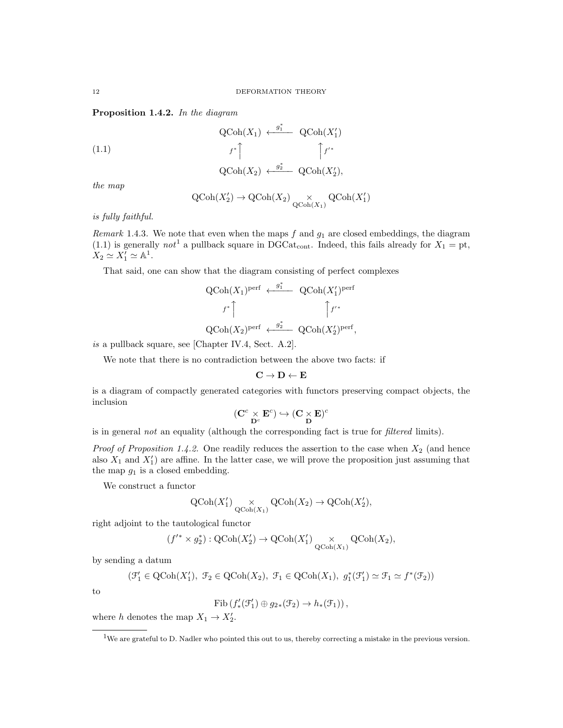Proposition 1.4.2. In the diagram

(1.1) 
$$
\operatorname{QCoh}(X_1) \xleftarrow{g_1^*} \operatorname{QCoh}(X_1')
$$

$$
f^* \upharpoonright
$$

$$
\qquad \qquad \upharpoonright f'^*
$$

$$
\text{QCoh}(X_2) \leftarrow \overset{g_2^*}{\longrightarrow} \text{QCoh}(X_2'),
$$

the map

$$
\operatorname{QCoh}(X_2') \to \operatorname{QCoh}(X_2) \underset{\operatorname{QCoh}(X_1)}{\times} \operatorname{QCoh}(X_1')
$$

is fully faithful.

Remark 1.4.3. We note that even when the maps  $f$  and  $g_1$  are closed embeddings, the diagram (1.1) is generally not<sup>1</sup> a pullback square in DGCat<sub>cont</sub>. Indeed, this fails already for  $X_1 = pt$ ,  $X_2 \simeq X'_1 \simeq \mathbb{A}^1.$ 

That said, one can show that the diagram consisting of perfect complexes

$$
\begin{aligned} \label{eq:QCo} \mathrm{QCoh}(X_1)^\mathrm{perf} &\longleftarrow \mathop{\mathrm{QCoh}\nolimits}(X_1')^\mathrm{perf} \\ &f^*\Big\uparrow \qquad \qquad \qquad \qquad \uparrow f'^* \\ \mathrm{QCoh}(X_2)^\mathrm{perf} &\longleftarrow \mathop{\mathrm{QCoh}\nolimits}(X_2')^\mathrm{perf}, \end{aligned}
$$

is a pullback square, see [Chapter IV.4, Sect. A.2].

We note that there is no contradiction between the above two facts: if

$$
\mathbf{C} \to \mathbf{D} \leftarrow \mathbf{E}
$$

is a diagram of compactly generated categories with functors preserving compact objects, the inclusion

$$
(\mathbf{C}^c \underset{\mathbf{D}^c}{\times} \mathbf{E}^c) \hookrightarrow (\mathbf{C} \underset{\mathbf{D}}{\times} \mathbf{E})^c
$$

is in general not an equality (although the corresponding fact is true for filtered limits).

*Proof of Proposition 1.4.2.* One readily reduces the assertion to the case when  $X_2$  (and hence also  $X_1$  and  $X_1'$  are affine. In the latter case, we will prove the proposition just assuming that the map  $g_1$  is a closed embedding.

We construct a functor

$$
\operatorname{QCoh}(X'_1) \underset{\operatorname{QCoh}(X_1)}{\times} \operatorname{QCoh}(X_2) \to \operatorname{QCoh}(X'_2),
$$

right adjoint to the tautological functor

$$
(f'^* \times g_2^*): \text{QCoh}(X'_2) \to \text{QCoh}(X'_1) \underset{\text{QCoh}(X_1)}{\times} \text{QCoh}(X_2),
$$

by sending a datum  $($ 

$$
\mathcal{F}_1' \in \mathrm{QCoh}(X_1'), \ \mathcal{F}_2 \in \mathrm{QCoh}(X_2), \ \mathcal{F}_1 \in \mathrm{QCoh}(X_1), \ g_1^*(\mathcal{F}_1') \simeq \mathcal{F}_1 \simeq f^*(\mathcal{F}_2))
$$

to

$$
\mathrm{Fib}\left(f'_*(\mathcal{F}'_1)\oplus g_{2*}(\mathcal{F}_2)\to h_*(\mathcal{F}_1)\right),\,
$$

where h denotes the map  $X_1 \to X_2'$ .

<sup>1</sup>We are grateful to D. Nadler who pointed this out to us, thereby correcting a mistake in the previous version.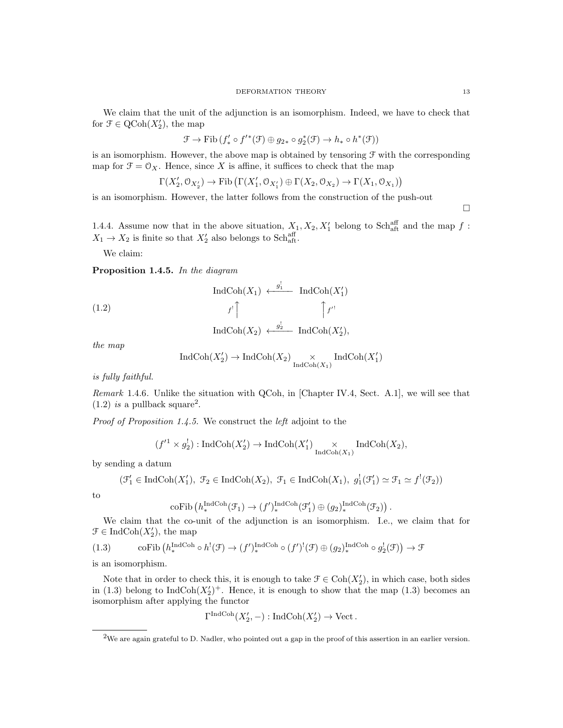We claim that the unit of the adjunction is an isomorphism. Indeed, we have to check that for  $\mathcal{F} \in \mathrm{QCoh}(X_2')$ , the map

$$
\mathcal{F} \to \mathrm{Fib} \left( f'_* \circ f'^*(\mathcal{F}) \oplus g_{2*} \circ g_2^*(\mathcal{F}) \to h_* \circ h^*(\mathcal{F}) \right)
$$

is an isomorphism. However, the above map is obtained by tensoring  $\mathcal F$  with the corresponding map for  $\mathfrak{F} = \mathfrak{O}_X$ . Hence, since X is affine, it suffices to check that the map

$$
\Gamma(X'_2, \mathcal{O}_{X'_2}) \to \mathrm{Fib}\left(\Gamma(X'_1, \mathcal{O}_{X'_1}) \oplus \Gamma(X_2, \mathcal{O}_{X_2}) \to \Gamma(X_1, \mathcal{O}_{X_1})\right)
$$

is an isomorphism. However, the latter follows from the construction of the push-out

 $\Box$ 

1.4.4. Assume now that in the above situation,  $X_1, X_2, X'_1$  belong to Sch<sub>aft</sub> and the map f:  $X_1 \rightarrow X_2$  is finite so that  $X_2'$  also belongs to Schaff.

We claim:

Proposition 1.4.5. In the diagram

(1.2)  
\n
$$
\operatorname{IndCoh}(X_1) \xleftarrow{g_1^l} \operatorname{IndCoh}(X_1')
$$
\n
$$
f' \uparrow \qquad \qquad \uparrow f'^{l}
$$
\n
$$
\operatorname{IndCoh}(X_2) \xleftarrow{g_2^l} \operatorname{IndCoh}(X_2'),
$$

the map

$$
\operatorname{IndCoh}(X_2')\to\operatorname{IndCoh}(X_2)\underset{\operatorname{IndCoh}(X_1)}{\times}\operatorname{IndCoh}(X_1')
$$

is fully faithful.

Remark 1.4.6. Unlike the situation with QCoh, in [Chapter IV.4, Sect. A.1], we will see that  $(1.2)$  is a pullback square<sup>2</sup>.

Proof of Proposition 1.4.5. We construct the left adjoint to the

$$
(f'^1 \times g_2^1)
$$
: IndCoh $(X'_2)$   $\to$  IndCoh $(X'_1)$  $\underset{\text{IndCoh}(X_1)}{\times}$  IndCoh $(X_2)$ ,

by sending a datum

$$
(\mathcal{F}_1' \in \text{IndCoh}(X_1'), \mathcal{F}_2 \in \text{IndCoh}(X_2), \mathcal{F}_1 \in \text{IndCoh}(X_1), g_1'(\mathcal{F}_1') \simeq \mathcal{F}_1 \simeq f'(\mathcal{F}_2))
$$

to

$$
\mathrm{coFib}\left(h^{\mathrm{IndCoh}}_*(\mathcal{F}_1)\to (f')^{\mathrm{IndCoh}}_*(\mathcal{F}'_1)\oplus (g_2)^{\mathrm{IndCoh}}_*(\mathcal{F}_2)\right).
$$

We claim that the co-unit of the adjunction is an isomorphism. I.e., we claim that for  $\mathcal{F} \in \text{IndCoh}(X_2')$ , the map

(1.3) coFib 
$$
(h_*^{\text{IndCoh}} \circ h^!(\mathcal{F}) \to (f')_*^{\text{IndCoh}} \circ (f')^!(\mathcal{F}) \oplus (g_2)_*^{\text{IndCoh}} \circ g_2^!(\mathcal{F})) \to \mathcal{F}
$$

is an isomorphism.

Note that in order to check this, it is enough to take  $\mathcal{F} \in \text{Coh}(X_2)$ , in which case, both sides in (1.3) belong to  $\text{IndCoh}(X_2')^+$ . Hence, it is enough to show that the map (1.3) becomes an isomorphism after applying the functor

$$
\Gamma^{\text{IndCoh}}(X_2', -) : \text{IndCoh}(X_2') \to \text{Vect}.
$$

<sup>2</sup>We are again grateful to D. Nadler, who pointed out a gap in the proof of this assertion in an earlier version.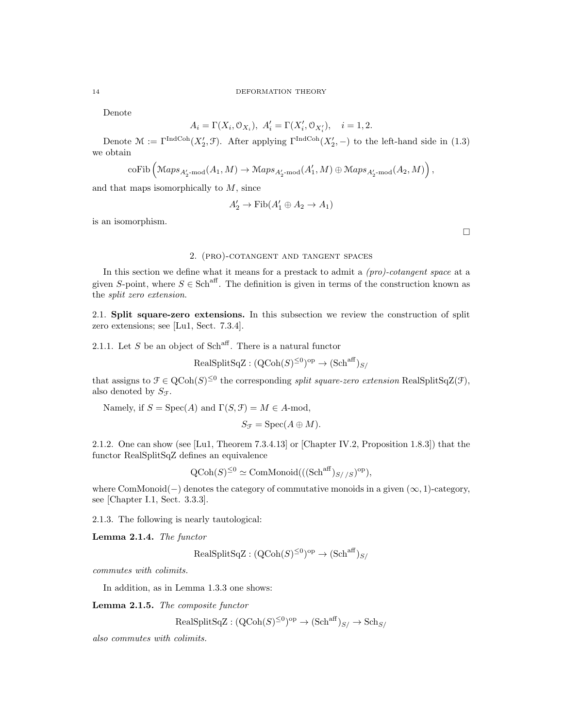Denote

$$
A_i=\Gamma(X_i,\mathbb{O}_{X_i}),\ A'_i=\Gamma(X'_i,\mathbb{O}_{X'_i}),\quad i=1,2.
$$

Denote  $\mathcal{M} := \Gamma^{\text{IndCoh}}(X_2', \mathcal{F})$ . After applying  $\Gamma^{\text{IndCoh}}(X_2', -)$  to the left-hand side in (1.3) we obtain

$$
\mathrm{coFib}\left(\mathrm{Maps}_{A_2'\text{-mod}}(A_1, M) \to \mathrm{Maps}_{A_2'\text{-mod}}(A_1', M) \oplus \mathrm{Maps}_{A_2'\text{-mod}}(A_2, M)\right),
$$

and that maps isomorphically to  $M$ , since

$$
A'_2 \to \mathrm{Fib}(A'_1 \oplus A_2 \to A_1)
$$

is an isomorphism.

 $\Box$ 

# 2. (pro)-cotangent and tangent spaces

In this section we define what it means for a prestack to admit a  $(pro)-cotangent\ space$  at a given S-point, where  $S \in Sch^{aff}$ . The definition is given in terms of the construction known as the split zero extension.

2.1. Split square-zero extensions. In this subsection we review the construction of split zero extensions; see [Lu1, Sect. 7.3.4].

2.1.1. Let S be an object of Sch<sup>aff</sup>. There is a natural functor

$$
\text{RealSplitSqZ} : (\text{QCoh}(S)^{\leq 0})^{\text{op}} \to (\text{Sch}^{\text{aff}})_{S/}
$$

that assigns to  $\mathcal{F} \in \text{QCoh}(S)^{\leq 0}$  the corresponding *split square-zero extension* RealSplitSqZ(F), also denoted by  $S_{\mathcal{F}}$ .

Namely, if  $S = \text{Spec}(A)$  and  $\Gamma(S, \mathcal{F}) = M \in A$ -mod,

$$
S_{\mathcal{F}} = \mathrm{Spec}(A \oplus M).
$$

2.1.2. One can show (see [Lu1, Theorem 7.3.4.13] or [Chapter IV.2, Proposition 1.8.3]) that the functor RealSplitSqZ defines an equivalence

$$
\mathrm{QCoh}(S)^{\leq 0} \simeq \mathrm{ComMonoid}(((\mathrm{Sch}^{\mathrm{aff}})_{S//S})^{\mathrm{op}}),
$$

where  $ComMonoid(-)$  denotes the category of commutative monoids in a given  $(\infty, 1)$ -category, see [Chapter I.1, Sect. 3.3.3].

2.1.3. The following is nearly tautological:

Lemma 2.1.4. The functor

$$
\text{RealSplitSqZ} : (\text{QCoh}(S)^{\leq 0})^{\text{op}} \to (\text{Sch}^{\text{aff}})_{S/}
$$

commutes with colimits.

In addition, as in Lemma 1.3.3 one shows:

Lemma 2.1.5. The composite functor

$$
\text{RealSplitSqZ} : (\text{QCoh}(S)^{\leq 0})^{\text{op}} \to (\text{Sch}^{\text{aff}})_{S/} \to \text{Sch}_{S/}
$$

also commutes with colimits.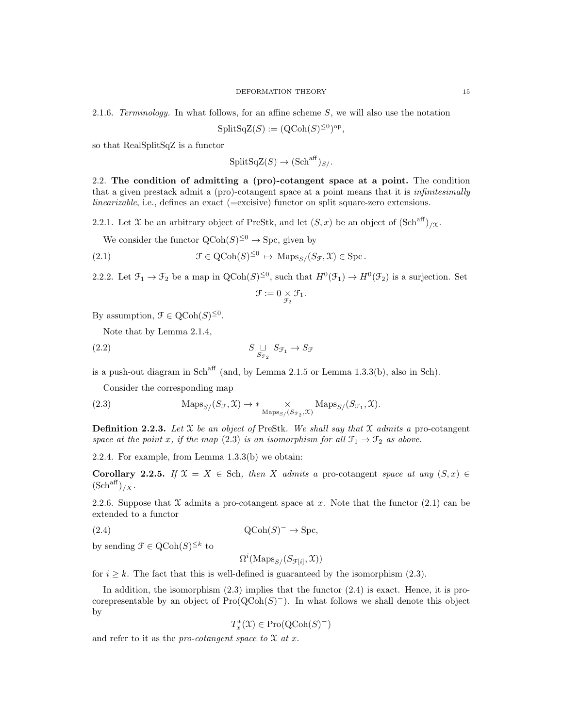2.1.6. Terminology. In what follows, for an affine scheme S, we will also use the notation

 $\text{SplitSqZ}(S) := (\text{QCoh}(S)^{\leq 0})^{\text{op}},$ 

so that RealSplitSqZ is a functor

$$
SplitSqZ(S) \to (Schaff)_{S/}.
$$

2.2. The condition of admitting a (pro)-cotangent space at a point. The condition that a given prestack admit a (pro)-cotangent space at a point means that it is infinitesimally linearizable, i.e., defines an exact (=excisive) functor on split square-zero extensions.

2.2.1. Let X be an arbitrary object of PreStk, and let  $(S, x)$  be an object of  $(\text{Sch}^{\text{aff}})_{\ell}$ .

We consider the functor  $\text{QCoh}(S)^{\leq 0} \to \text{Spc}$ , given by

(2.1) 
$$
\mathfrak{F} \in \mathrm{QCoh}(S)^{\leq 0} \, \mapsto \, \mathrm{Maps}_{S/}(S_{\mathcal{F}}, \mathfrak{X}) \in \mathrm{Spc}.
$$

2.2.2. Let  $\mathfrak{F}_1 \to \mathfrak{F}_2$  be a map in  $\text{QCoh}(S)^{\leq 0}$ , such that  $H^0(\mathfrak{F}_1) \to H^0(\mathfrak{F}_2)$  is a surjection. Set

$$
\mathcal{F}:=0\underset{\mathcal{F}_2}{\times}\mathcal{F}_1.
$$

By assumption,  $\mathcal{F} \in \mathrm{QCoh}(S)^{\leq 0}$ .

Note that by Lemma 2.1.4,

$$
(2.2) \t\t SST2 ST1 \to SF
$$

is a push-out diagram in  $Sch<sup>aff</sup>$  (and, by Lemma 2.1.5 or Lemma 1.3.3(b), also in Sch).

Consider the corresponding map

(2.3) 
$$
\text{Maps}_{S/}(S_{\mathcal{F}}, \mathcal{X}) \to * \underset{\text{Maps}_{S/}(S_{\mathcal{F}_2}, \mathcal{X})}{\times} \text{Maps}_{S/}(S_{\mathcal{F}_1}, \mathcal{X}).
$$

**Definition 2.2.3.** Let  $X$  be an object of PreStk. We shall say that  $X$  admits a pro-cotangent space at the point x, if the map (2.3) is an isomorphism for all  $\mathfrak{F}_1 \to \mathfrak{F}_2$  as above.

2.2.4. For example, from Lemma 1.3.3(b) we obtain:

Corollary 2.2.5. If  $\mathfrak{X} = X \in \text{Sch}$ , then X admits a pro-cotangent space at any  $(S, x) \in$  $(\text{Sch}^{\text{aff}})_{/X}.$ 

2.2.6. Suppose that  $\mathfrak X$  admits a pro-cotangent space at x. Note that the functor (2.1) can be extended to a functor

$$
Q\text{Coh}(S)^{-} \to \text{Spc},
$$

by sending  $\mathcal{F} \in \mathrm{QCoh}(S)^{\leq k}$  to

 $\Omega^i(\mathrm{Maps}_{S}/(S_{\mathcal{F}[i]}, \mathfrak{X}))$ 

for  $i \geq k$ . The fact that this is well-defined is guaranteed by the isomorphism (2.3).

In addition, the isomorphism  $(2.3)$  implies that the functor  $(2.4)$  is exact. Hence, it is procorepresentable by an object of  $Pro(QCoh(S)^-)$ . In what follows we shall denote this object by

$$
T^*_x(\mathfrak{X})\in \mathrm{Pro}({\rm QCoh}(S)^-)
$$

and refer to it as the *pro-cotangent space to*  $\mathfrak X$  *at x*.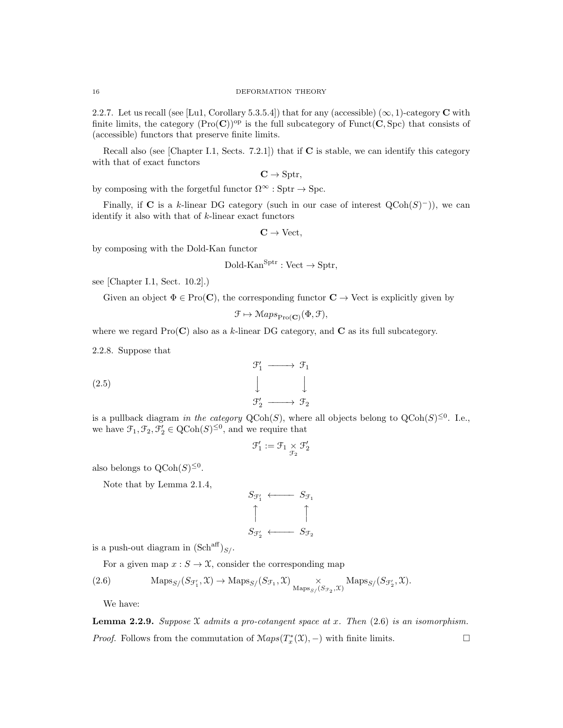2.2.7. Let us recall (see [Lu1, Corollary 5.3.5.4]) that for any (accessible)  $(\infty, 1)$ -category C with finite limits, the category  $(Pro(C))^{\text{op}}$  is the full subcategory of Funct $(C, Spc)$  that consists of (accessible) functors that preserve finite limits.

Recall also (see [Chapter I.1, Sects. 7.2.1]) that if C is stable, we can identify this category with that of exact functors

$$
\mathbf{C}\rightarrow \mathrm{Sptr},
$$

by composing with the forgetful functor  $\Omega^{\infty}$  : Sptr  $\rightarrow$  Spc.

Finally, if C is a k-linear DG category (such in our case of interest  $QCoh(S)^{-}$ )), we can identify it also with that of  $k$ -linear exact functors

$$
\mathbf{C} \to \mathrm{Vect},
$$

by composing with the Dold-Kan functor

$$
Dold-Kan^{Sptr}: Vect \rightarrow Sptr,
$$

see [Chapter I.1, Sect. 10.2].)

Given an object  $\Phi \in \text{Pro}(\mathbf{C})$ , the corresponding functor  $\mathbf{C} \to \text{Vect}$  is explicitly given by

$$
\mathcal{F}\mapsto \mathbf{Maps}_{\mathrm{Pro}(\mathbf{C})}(\Phi,\mathcal{F}),
$$

where we regard  $\text{Pro}(\mathbf{C})$  also as a k-linear DG category, and C as its full subcategory.

2.2.8. Suppose that

(2.5) 
$$
\begin{array}{ccc}\n & \mathcal{F}'_1 \longrightarrow \mathcal{F}_1 \\
 & \downarrow \qquad \qquad \downarrow \\
 & \mathcal{F}'_2 \longrightarrow \mathcal{F}_2\n\end{array}
$$

is a pullback diagram in the category  $\text{QCoh}(S)$ , where all objects belong to  $\text{QCoh}(S)^{\leq 0}$ . I.e., we have  $\mathfrak{F}_1, \mathfrak{F}_2, \mathfrak{F}'_2 \in \mathrm{QCoh}(S)^{\leq 0}$ , and we require that

$$
\mathcal{F}_1':=\mathcal{F}_1\times \mathcal{F}_2'
$$

also belongs to  $\mathrm{QCoh}(S)^{\leq 0}$ .

Note that by Lemma 2.1.4,

$$
S_{\mathcal{F}_1'} \longleftarrow S_{\mathcal{F}_1}
$$
\n
$$
\uparrow \qquad \qquad \uparrow
$$
\n
$$
S_{\mathcal{F}_2'} \longleftarrow S_{\mathcal{F}_2}
$$

is a push-out diagram in  $(\text{Sch}^{\text{aff}})_{S}$ .

For a given map  $x : S \to \mathfrak{X}$ , consider the corresponding map

(2.6) 
$$
\operatorname{Maps}_{S/}(S_{\mathcal{F}'_1}, \mathcal{X}) \to \operatorname{Maps}_{S/}(S_{\mathcal{F}_1}, \mathcal{X}) \underset{\operatorname{Maps}_{S/}(S_{\mathcal{F}_2}, \mathcal{X})}{\times} \operatorname{Maps}_{S/}(S_{\mathcal{F}'_2}, \mathcal{X}).
$$

We have:

**Lemma 2.2.9.** Suppose X admits a pro-cotangent space at x. Then  $(2.6)$  is an isomorphism. *Proof.* Follows from the commutation of  $Maps(T^*_x(\mathfrak{X}),-)$  with finite limits.  $□$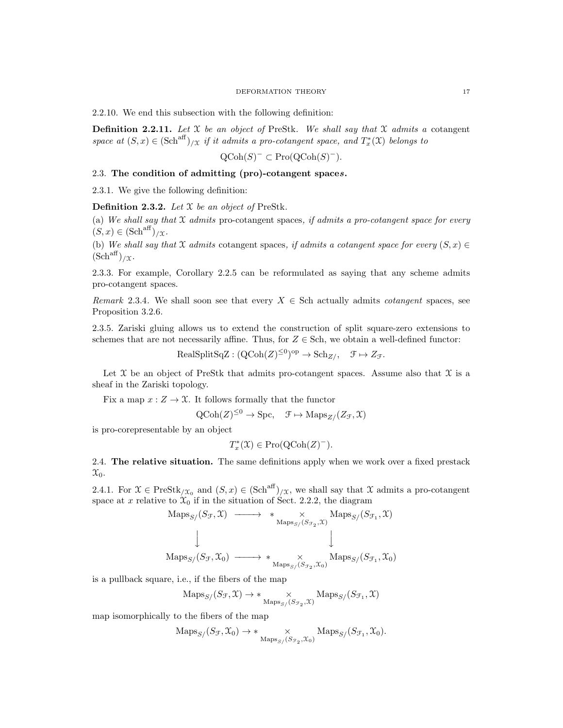2.2.10. We end this subsection with the following definition:

**Definition 2.2.11.** Let  $X$  be an object of PreStk. We shall say that  $X$  admits a cotangent space at  $(S, x) \in (\text{Sch}^{\text{aff}})_{/\mathfrak{X}}$  if it admits a pro-cotangent space, and  $T_x^*(\mathfrak{X})$  belongs to

$$
\mathrm{QCoh}(S)^{-} \subset \mathrm{Pro}(\mathrm{QCoh}(S)^{-}).
$$

# 2.3. The condition of admitting (pro)-cotangent spaces.

2.3.1. We give the following definition:

**Definition 2.3.2.** Let  $X$  be an object of PreStk.

(a) We shall say that  $X$  admits pro-cotangent spaces, if admits a pro-cotangent space for every  $(S, x) \in (\text{Sch}^{\text{aff}})_{\ell}$ 

(b) We shall say that X admits cotangent spaces, if admits a cotangent space for every  $(S, x) \in$  $(Sch<sup>aff</sup>)/\chi$ .

2.3.3. For example, Corollary 2.2.5 can be reformulated as saying that any scheme admits pro-cotangent spaces.

Remark 2.3.4. We shall soon see that every  $X \in$  Sch actually admits *cotangent* spaces, see Proposition 3.2.6.

2.3.5. Zariski gluing allows us to extend the construction of split square-zero extensions to schemes that are not necessarily affine. Thus, for  $Z \in$  Sch, we obtain a well-defined functor:

 $\text{RealSplitSqZ} : (\text{QCoh}(Z)^{\leq 0})^{\text{op}} \to \text{Sch}_{Z/\ }$ ,  $\mathcal{F} \mapsto Z_{\mathcal{F}}$ .

Let  $\mathfrak X$  be an object of PreStk that admits pro-cotangent spaces. Assume also that  $\mathfrak X$  is a sheaf in the Zariski topology.

Fix a map  $x: Z \to \mathfrak{X}$ . It follows formally that the functor

$$
Q\text{Coh}(Z)^{\leq 0} \to \text{Spc}, \quad \mathcal{F} \mapsto \text{Maps}_{Z}/(Z_{\mathcal{F}}, \mathcal{X})
$$

is pro-corepresentable by an object

$$
T_x^*(\mathfrak{X}) \in \mathrm{Pro}(\mathrm{QCoh}(Z)^-).
$$

2.4. The relative situation. The same definitions apply when we work over a fixed prestack  $\mathfrak{X}_0$ .

2.4.1. For  $\mathfrak{X} \in \text{PreStk}_{/\mathfrak{X}_0}$  and  $(S, x) \in (\text{Sch}^{\text{aff}})_{/\mathfrak{X}}$ , we shall say that  $\mathfrak{X}$  admits a pro-cotangent space at x relative to  $\mathcal{X}_0$  if in the situation of Sect. 2.2.2, the diagram

$$
\operatorname{Maps}_{S/}(S_{\mathcal{F}}, \mathcal{X}) \longrightarrow * \underset{\operatorname{Maps}_{S}/(S_{\mathcal{F}_2}, \mathcal{X})}{\times} \operatorname{Maps}_{S}/(S_{\mathcal{F}_1}, \mathcal{X})
$$
\n
$$
\downarrow \qquad \qquad \downarrow
$$
\n
$$
\operatorname{Maps}_{S}/(S_{\mathcal{F}}, \mathcal{X}_0) \longrightarrow * \underset{\operatorname{Maps}_{S}/(S_{\mathcal{F}_2}, \mathcal{X}_0)}{\times} \operatorname{Maps}_{S}/(S_{\mathcal{F}_1}, \mathcal{X}_0)
$$

is a pullback square, i.e., if the fibers of the map

$$
\mathrm{Maps}_{S/}(S_{\mathcal{F}}, \mathcal{X}) \to * \underset{\mathrm{Maps}_{S}/(S_{\mathcal{F}_2}, \mathcal{X})}{\times} \mathrm{Maps}_{S}/(S_{\mathcal{F}_1}, \mathcal{X})
$$

map isomorphically to the fibers of the map

$$
\mathrm{Maps}_{S/}(S_{\mathcal{F}}, \mathfrak{X}_0) \to * \underset{\mathrm{Maps}_{S/}(S_{\mathcal{F}_2}, \mathfrak{X}_0)}{\times} \mathrm{Maps}_{S/}(S_{\mathcal{F}_1}, \mathfrak{X}_0).
$$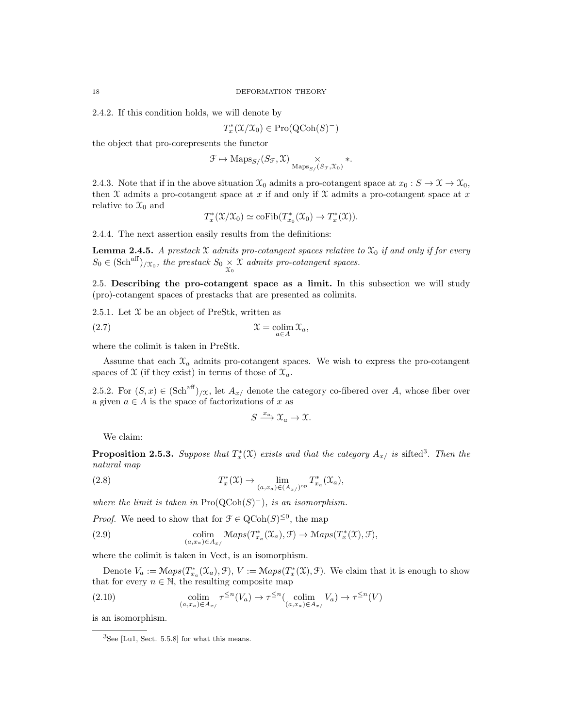2.4.2. If this condition holds, we will denote by

$$
T_x^*(\mathfrak{X}/\mathfrak{X}_0) \in \mathrm{Pro}(\mathrm{QCoh}(S)^-)
$$

the object that pro-corepresents the functor

$$
\mathcal{F} \mapsto \text{Maps}_{S/}(S_{\mathcal{F}}, \mathcal{X}) \underset{\text{Maps}_{S/}(S_{\mathcal{F}}, \mathcal{X}_0)}{\times} *.
$$

2.4.3. Note that if in the above situation  $\mathfrak{X}_0$  admits a pro-cotangent space at  $x_0 : S \to \mathfrak{X} \to \mathfrak{X}_0$ , then  $X$  admits a pro-cotangent space at x if and only if  $X$  admits a pro-cotangent space at x relative to  $\mathfrak{X}_0$  and

$$
T_x^*(\mathfrak{X}/\mathfrak{X}_0) \simeq \mathrm{coFib}(T_{x_0}^*(\mathfrak{X}_0) \to T_x^*(\mathfrak{X})).
$$

2.4.4. The next assertion easily results from the definitions:

**Lemma 2.4.5.** A prestack X admits pro-cotangent spaces relative to  $\mathfrak{X}_0$  if and only if for every  $S_0 \in (\text{Sch}^{\text{aff}})_{/\mathfrak{X}_0}$ , the prestack  $S_0 \underset{\mathfrak{X}_0}{\times} \mathfrak{X}$  admits pro-cotangent spaces.

2.5. Describing the pro-cotangent space as a limit. In this subsection we will study (pro)-cotangent spaces of prestacks that are presented as colimits.

2.5.1. Let  $\mathfrak X$  be an object of PreStk, written as

$$
\mathfrak{X} = \operatornamewithlimits{colim}_{a \in A} \mathfrak{X}_a,
$$

where the colimit is taken in PreStk.

Assume that each  $\mathfrak{X}_a$  admits pro-cotangent spaces. We wish to express the pro-cotangent spaces of  $\mathfrak X$  (if they exist) in terms of those of  $\mathfrak X_a$ .

2.5.2. For  $(S, x) \in (\text{Sch}^{\text{aff}})_{X}$ , let  $A_{x}$  denote the category co-fibered over A, whose fiber over a given  $a \in A$  is the space of factorizations of x as

$$
S \xrightarrow{x_a} \mathfrak{X}_a \to \mathfrak{X}.
$$

We claim:

**Proposition 2.5.3.** Suppose that  $T_x^*(\mathfrak{X})$  exists and that the category  $A_{x/2}$  is sifted<sup>3</sup>. Then the natural map

(2.8) 
$$
T_x^*(\mathfrak{X}) \to \lim_{(a,x_a)\in (A_x/\mathfrak{g})^{\mathrm{op}}} T_{x_a}^*(\mathfrak{X}_a),
$$

where the limit is taken in  $\text{Pro}(\text{QCoh}(S)^-)$ , is an isomorphism.

*Proof.* We need to show that for  $\mathcal{F} \in \mathrm{QCoh}(S)^{\leq 0}$ , the map

(2.9) 
$$
\underset{(a,x_a)\in A_{x'}}{\text{colim}} \text{Maps}(T_{x_a}^*(\mathfrak{X}_a),\mathfrak{F}) \to \text{Maps}(T_x^*(\mathfrak{X}),\mathfrak{F}),
$$

where the colimit is taken in Vect, is an isomorphism.

Denote  $V_a := \mathcal{M}aps(T^*_{x_a}(\mathcal{X}_a), \mathcal{F}), V := \mathcal{M}aps(T^*_{x}(\mathcal{X}), \mathcal{F}).$  We claim that it is enough to show that for every  $n \in \mathbb{N}$ , the resulting composite map

(2.10) 
$$
\underset{(a,x_a)\in A_{x/}}{\text{colim}} \tau^{\leq n}(V_a) \to \tau^{\leq n}(\underset{(a,x_a)\in A_{x/}}{\text{colim}} V_a) \to \tau^{\leq n}(V)
$$

is an isomorphism.

 ${}^{3}$ See [Lu1, Sect. 5.5.8] for what this means.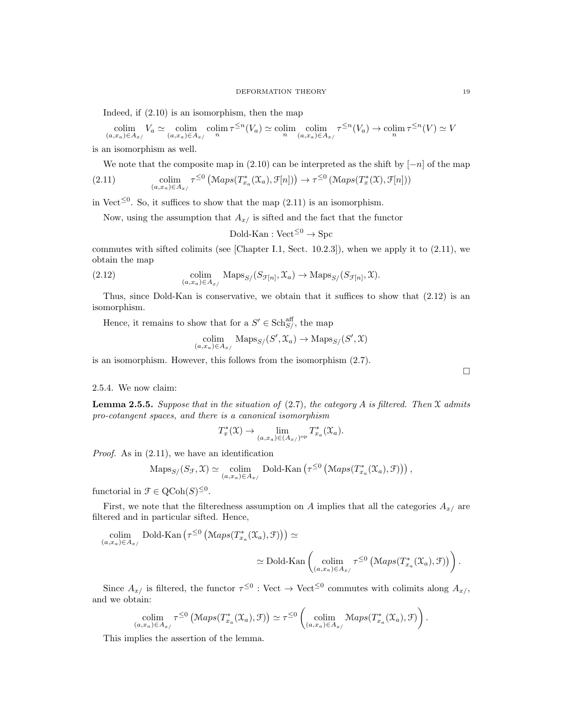Indeed, if (2.10) is an isomorphism, then the map

 $\operatorname{colim}_{(a,x_a)\in A_{x'}} V_a \simeq \operatorname{colim}_{(a,x_a)\in A_{x'}} \operatorname{colim}_{n} \tau^{\leq n}(V_a) \simeq \operatorname{colim}_{n} \operatorname{colim}_{(a,x_a)\in A_{x'}} \tau^{\leq n}(V_a) \to \operatorname{colim}_{n} \tau^{\leq n}(V) \simeq V_a$ 

is an isomorphism as well.

We note that the composite map in  $(2.10)$  can be interpreted as the shift by  $[-n]$  of the map

(2.11) 
$$
\underset{(a,x_a)\in A_{x/}}{\text{colim}} \tau^{\leq 0} \left( \mathcal{M}aps(T^*_{x_a}(\mathfrak{X}_a), \mathcal{F}[n]) \right) \to \tau^{\leq 0} \left( \mathcal{M}aps(T^*_{x}(\mathfrak{X}), \mathcal{F}[n]) \right)
$$

in Vect<sup> $\leq 0$ </sup>. So, it suffices to show that the map (2.11) is an isomorphism.

Now, using the assumption that  $A_{x}$  is sifted and the fact that the functor

 $Dold-Kan : Vect^{\leq 0} \rightarrow Spec$ 

commutes with sifted colimits (see [Chapter I.1, Sect. 10.2.3]), when we apply it to  $(2.11)$ , we obtain the map

(2.12) 
$$
\underset{(a,x_a)\in A_{x/}}{\text{colim}} \text{Maps}_{S/}(S_{\mathcal{F}[n]}, \mathfrak{X}_a) \to \text{Maps}_{S/}(S_{\mathcal{F}[n]}, \mathfrak{X}).
$$

Thus, since Dold-Kan is conservative, we obtain that it suffices to show that (2.12) is an isomorphism.

Hence, it remains to show that for a  $S' \in \text{Sch}^{\text{aff}}_{S'}$ , the map

$$
\operatornamewithlimits{colim}_{(a,x_a)\in A_{x/}}\ \operatorname{Maps}_{S/}(S',\mathfrak{X}_a)\rightarrow \operatorname{Maps}_{S/}(S',\mathfrak{X})
$$

is an isomorphism. However, this follows from the isomorphism (2.7).

#### 2.5.4. We now claim:

**Lemma 2.5.5.** Suppose that in the situation of (2.7), the category A is filtered. Then  $\mathcal{X}$  admits pro-cotangent spaces, and there is a canonical isomorphism

$$
T_x^*(\mathfrak{X}) \to \lim_{(a,x_a)\in (A_x/\mathfrak{g})^{\rm op}} T_{x_a}^*(\mathfrak{X}_a).
$$

Proof. As in (2.11), we have an identification

$$
\mathrm{Maps}_{S/}(S_{\mathcal{F}}, \mathfrak{X}) \simeq \underset{(a, x_a) \in A_{x/}}{\mathrm{colim}} \mathrm{Dold\text{-}Kan}\left(\tau^{\leq 0}\left(\mathrm{Maps}(T_{x_a}^*(\mathfrak{X}_a), \mathfrak{F})\right)\right),
$$

functorial in  $\mathfrak{F} \in \mathrm{QCoh}(S)^{\leq 0}$ .

First, we note that the filteredness assumption on A implies that all the categories  $A_{x/}$  are filtered and in particular sifted. Hence,

$$
\operatorname{colim}_{(a,x_a)\in A_{x/}} \operatorname{Dold-Kan}\left(\tau^{\leq 0} \left(\operatorname{Maps}(T_{x_a}^*(\mathfrak{X}_a), \mathfrak{F})\right)\right) \simeq
$$
  

$$
\simeq \operatorname{Dold-Kan}\left(\operatorname{colim}_{(a,x_a)\in A_{x/}} \tau^{\leq 0} \left(\operatorname{Maps}(T_{x_a}^*(\mathfrak{X}_a), \mathfrak{F})\right)\right).
$$

Since  $A_{x}$  is filtered, the functor  $\tau^{\leq 0}$  : Vect  $\to$  Vect<sup> $\leq 0$ </sup> commutes with colimits along  $A_{x}$ , and we obtain:

$$
\underset{(a,x_a)\in A_{x/}}{\text{colim}} \tau^{\leq 0} \left( \text{Maps}(T_{x_a}^*(\mathfrak{X}_a), \mathcal{F}) \right) \simeq \tau^{\leq 0} \left( \underset{(a,x_a)\in A_{x/}}{\text{colim}} \text{Maps}(T_{x_a}^*(\mathfrak{X}_a), \mathcal{F}) \right).
$$

This implies the assertion of the lemma.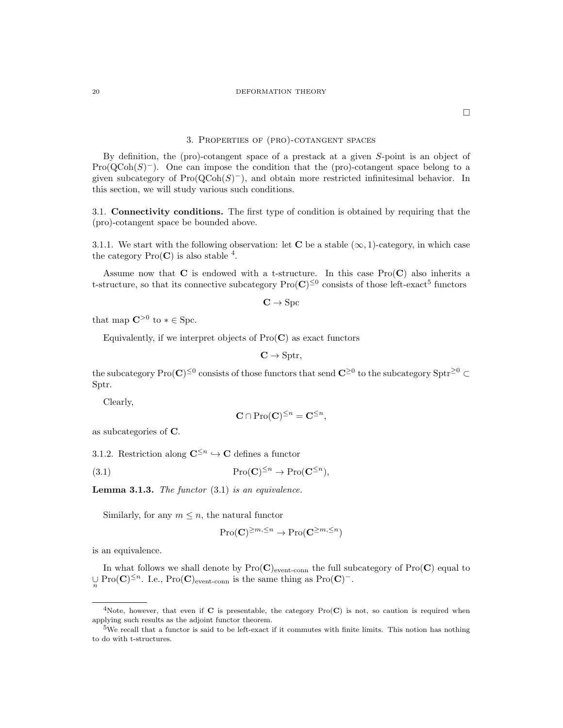#### 20 DEFORMATION THEORY

 $\Box$ 

#### 3. Properties of (pro)-cotangent spaces

By definition, the (pro)-cotangent space of a prestack at a given S-point is an object of  $Pro(QCoh(S)^-)$ . One can impose the condition that the (pro)-cotangent space belong to a given subcategory of  $\text{Pro}(\text{QCoh}(S)^-)$ , and obtain more restricted infinitesimal behavior. In this section, we will study various such conditions.

3.1. Connectivity conditions. The first type of condition is obtained by requiring that the (pro)-cotangent space be bounded above.

3.1.1. We start with the following observation: let **C** be a stable  $(\infty, 1)$ -category, in which case the category  $\text{Pro}(\mathbf{C})$  is also stable <sup>4</sup>.

Assume now that  $C$  is endowed with a t-structure. In this case  $Pro(C)$  also inherits a t-structure, so that its connective subcategory  $\text{Pro}(\mathbf{C})^{\leq 0}$  consists of those left-exact<sup>5</sup> functors

 $C \rightarrow \text{Spc}$ 

that map  $\mathbb{C}^{>0}$  to  $* \in \text{Spc}$ .

Equivalently, if we interpret objects of  $Pro(C)$  as exact functors

$$
\mathbf{C} \to \mathrm{Sptr},
$$

the subcategory  $\text{Pro}(\mathbf{C})^{\leq 0}$  consists of those functors that send  $\mathbf{C}^{\geq 0}$  to the subcategory  $\text{Sptr}^{\geq 0} \subset$ Sptr.

Clearly,

$$
\mathbf{C} \cap \mathrm{Pro}(\mathbf{C})^{\leq n} = \mathbf{C}^{\leq n},
$$

as subcategories of C.

3.1.2. Restriction along  $\mathbb{C}^{\leq n} \hookrightarrow \mathbb{C}$  defines a functor

(3.1) 
$$
\mathrm{Pro}(\mathbf{C})^{\leq n} \to \mathrm{Pro}(\mathbf{C}^{\leq n}),
$$

**Lemma 3.1.3.** The functor  $(3.1)$  is an equivalence.

Similarly, for any  $m \leq n$ , the natural functor

$$
\mathrm{Pro}(\mathbf{C})^{\geq m,\leq n}\to\mathrm{Pro}(\mathbf{C}^{\geq m,\leq n})
$$

is an equivalence.

In what follows we shall denote by  $Pro(C)_{\text{event-conn}}$  the full subcategory of  $Pro(C)$  equal to  $\cup_{n} \operatorname{Pro}(\mathbf{C})^{\leq n}$ . I.e., Pro( $\mathbf{C}$ )<sub>event-conn</sub> is the same thing as Pro( $\mathbf{C}$ )<sup>-</sup>.

<sup>&</sup>lt;sup>4</sup>Note, however, that even if C is presentable, the category  $Pro(C)$  is not, so caution is required when applying such results as the adjoint functor theorem.

<sup>&</sup>lt;sup>5</sup>We recall that a functor is said to be left-exact if it commutes with finite limits. This notion has nothing to do with t-structures.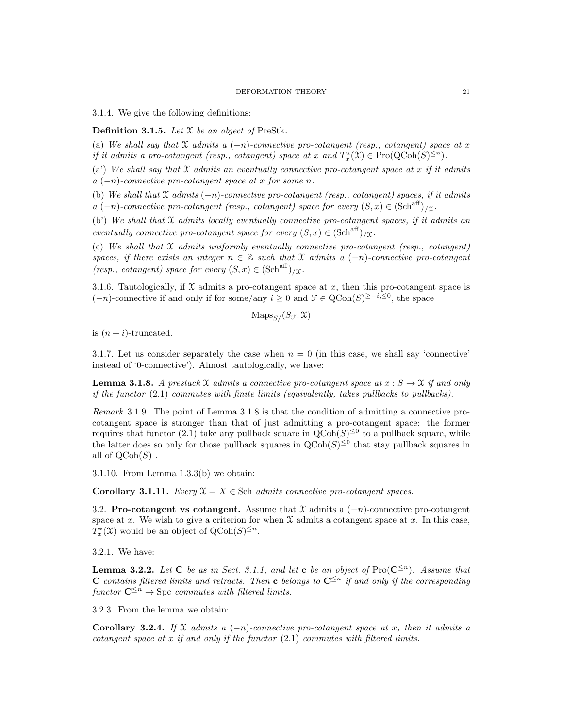3.1.4. We give the following definitions:

**Definition 3.1.5.** Let  $X$  be an object of PreStk.

(a) We shall say that X admits a  $(-n)$ -connective pro-cotangent (resp., cotangent) space at x if it admits a pro-cotangent (resp., cotangent) space at x and  $T_x^*(\mathfrak{X}) \in \mathrm{Pro}(\mathrm{QCoh}(S)^{\leq n})$ .

(a) We shall say that  $\mathfrak X$  admits an eventually connective pro-cotangent space at x if it admits  $a(-n)$ -connective pro-cotangent space at x for some n.

(b) We shall that  $\mathfrak X$  admits  $(-n)$ -connective pro-cotangent (resp., cotangent) spaces, if it admits a  $(-n)$ -connective pro-cotangent (resp., cotangent) space for every  $(S, x) \in (\text{Sch}^{\text{aff}})_{/\Upsilon}$ .

(b') We shall that X admits locally eventually connective pro-cotangent spaces, if it admits an eventually connective pro-cotangent space for every  $(S, x) \in (\text{Sch}^{\text{aff}})_{/\Upsilon}$ .

(c) We shall that  $X$  admits uniformly eventually connective pro-cotangent (resp., cotangent) spaces, if there exists an integer  $n \in \mathbb{Z}$  such that X admits a  $(-n)$ -connective pro-cotangent (resp., cotangent) space for every  $(S, x) \in (\text{Sch}^{\text{aff}})_{/\Upsilon}$ .

3.1.6. Tautologically, if  $X$  admits a pro-cotangent space at  $x$ , then this pro-cotangent space is  $(-n)$ -connective if and only if for some/any  $i \geq 0$  and  $\mathcal{F} \in \mathrm{QCoh}(S)^{\geq -i, \leq 0}$ , the space

$$
\text{Maps}_{S}/(S_{\mathcal{F}}, \mathfrak{X})
$$

is  $(n + i)$ -truncated.

3.1.7. Let us consider separately the case when  $n = 0$  (in this case, we shall say 'connective' instead of '0-connective'). Almost tautologically, we have:

**Lemma 3.1.8.** A prestack X admits a connective pro-cotangent space at  $x : S \to \mathcal{X}$  if and only if the functor (2.1) commutes with finite limits (equivalently, takes pullbacks to pullbacks).

Remark 3.1.9. The point of Lemma 3.1.8 is that the condition of admitting a connective procotangent space is stronger than that of just admitting a pro-cotangent space: the former requires that functor (2.1) take any pullback square in  $Q\text{Coh}(S)^{\leq 0}$  to a pullback square, while the latter does so only for those pullback squares in  $Q\text{Coh}(S)^{\leq 0}$  that stay pullback squares in all of  $\text{QCoh}(S)$ .

3.1.10. From Lemma 1.3.3(b) we obtain:

Corollary 3.1.11. Every  $\mathfrak{X} = X \in \text{Sch } admits \ connective \ proof.$ 

3.2. Pro-cotangent vs cotangent. Assume that  $\mathfrak X$  admits a  $(-n)$ -connective pro-cotangent space at x. We wish to give a criterion for when  $\mathfrak X$  admits a cotangent space at x. In this case,  $T_x^*(\mathfrak{X})$  would be an object of  $\mathrm{QCoh}(S)^{\leq n}$ .

3.2.1. We have:

**Lemma 3.2.2.** Let C be as in Sect. 3.1.1, and let c be an object of Pro( $\mathbb{C}^{\leq n}$ ). Assume that C contains filtered limits and retracts. Then c belongs to  $\mathbb{C}^{\leq n}$  if and only if the corresponding functor  $\mathbf{C}^{\leq n} \to \text{Spc}$  commutes with filtered limits.

3.2.3. From the lemma we obtain:

Corollary 3.2.4. If X admits a  $(-n)$ -connective pro-cotangent space at x, then it admits a cotangent space at x if and only if the functor  $(2.1)$  commutes with filtered limits.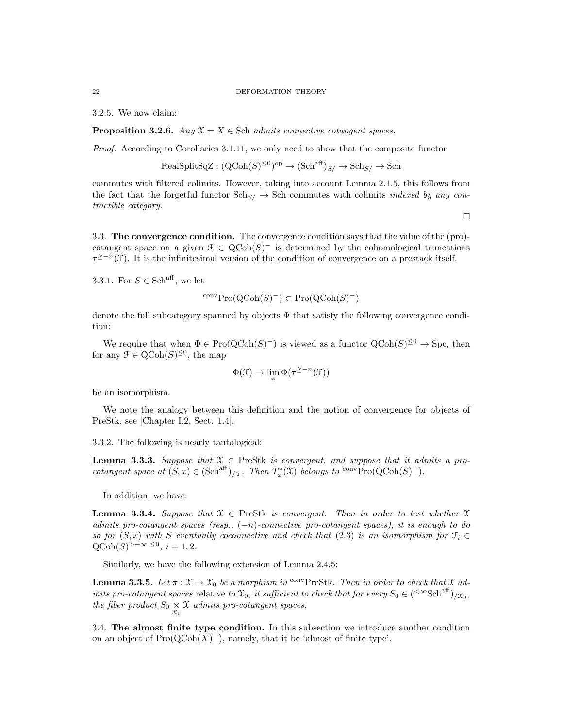#### 22 DEFORMATION THEORY

3.2.5. We now claim:

**Proposition 3.2.6.** Any  $X = X \in$  Sch admits connective cotangent spaces.

Proof. According to Corollaries 3.1.11, we only need to show that the composite functor

$$
\text{RealSplitSqZ} : (\text{QCoh}(S)^{\leq 0})^{\text{op}} \to (\text{Sch}^{\text{aff}})_{S/} \to \text{Sch}_{S/} \to \text{Sch}
$$

commutes with filtered colimits. However, taking into account Lemma 2.1.5, this follows from the fact that the forgetful functor  $\text{Sch}_{S/} \rightarrow \text{Sch}$  commutes with colimits *indexed by any con*tractible category.

 $\Box$ 

3.3. The convergence condition. The convergence condition says that the value of the (pro) cotangent space on a given  $\mathcal{F} \in \text{QCoh}(S)^-$  is determined by the cohomological truncations  $\tau^{\geq -n}(\mathcal{F})$ . It is the infinitesimal version of the condition of convergence on a prestack itself.

3.3.1. For  $S \in \mathsf{Sch}^{\mathrm{aff}}$ , we let

$$
^{conv}\mathrm{Pro}(\mathrm{QCoh}(S)^-) \subset \mathrm{Pro}(\mathrm{QCoh}(S)^-)
$$

denote the full subcategory spanned by objects  $\Phi$  that satisfy the following convergence condition:

We require that when  $\Phi \in \text{Pro}(\text{QCoh}(S)^-)$  is viewed as a functor  $\text{QCoh}(S)^{\leq 0} \to \text{Spc}$ , then for any  $\mathfrak{F} \in \mathrm{QCoh}(S)^{\leq 0}$ , the map

$$
\Phi(\mathcal{F}) \to \lim_{n} \Phi(\tau^{\geq -n}(\mathcal{F}))
$$

be an isomorphism.

We note the analogy between this definition and the notion of convergence for objects of PreStk, see [Chapter I.2, Sect. 1.4].

3.3.2. The following is nearly tautological:

**Lemma 3.3.3.** Suppose that  $X \in \text{PreStk}$  is convergent, and suppose that it admits a procotangent space at  $(S, x) \in (\text{Sch}^{\text{aff}})/x$ . Then  $T_x^*(\mathfrak{X})$  belongs to <sup>conv</sup>Pro $(\text{QCoh}(S)^-)$ .

In addition, we have:

**Lemma 3.3.4.** Suppose that  $X \in \text{PreStk}$  is convergent. Then in order to test whether X admits pro-cotangent spaces (resp.,  $(-n)$ -connective pro-cotangent spaces), it is enough to do so for  $(S, x)$  with S eventually coconnective and check that (2.3) is an isomorphism for  $\mathcal{F}_i \in$  $Q\text{Coh}(S)^{>-\infty, \leq 0}, i=1,2.$ 

Similarly, we have the following extension of Lemma 2.4.5:

**Lemma 3.3.5.** Let  $\pi : \mathcal{X} \to \mathcal{X}_0$  be a morphism in <sup>conv</sup>PreStk. Then in order to check that  $\mathcal{X}$  admits pro-cotangent spaces relative to  $\mathfrak{X}_0$ , it sufficient to check that for every  $S_0 \in (\text{``Sch}^{\text{aff}})_{/\mathfrak{X}_0}$ , the fiber product  $S_0 \underset{\mathcal{X}_0}{\times} \mathcal{X}$  admits pro-cotangent spaces.

3.4. The almost finite type condition. In this subsection we introduce another condition on an object of  $\text{Pro}(\text{QCoh}(X)^-)$ , namely, that it be 'almost of finite type'.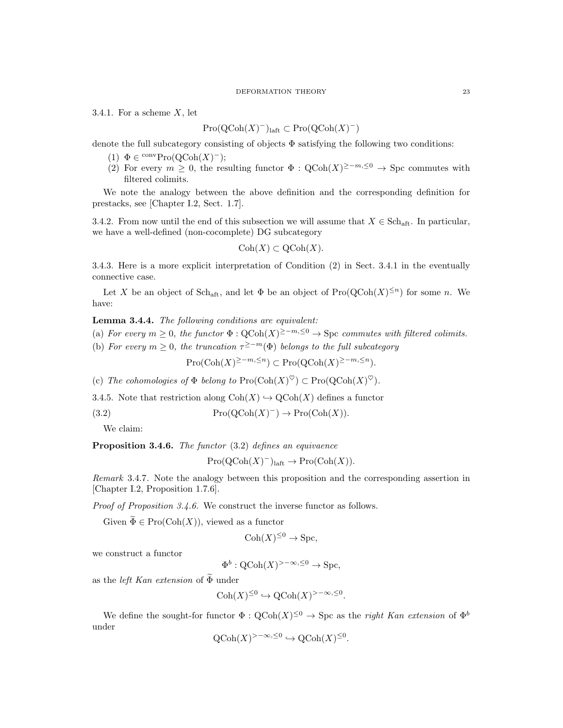#### DEFORMATION THEORY 23

3.4.1. For a scheme  $X$ , let

# $\mathrm{Pro}(\mathrm{QCoh}(X)^-)_{\mathrm{laft}} \subset \mathrm{Pro}(\mathrm{QCoh}(X)^-)$

denote the full subcategory consisting of objects  $\Phi$  satisfying the following two conditions:

- (1)  $\Phi \in \text{convPro}(\text{QCoh}(X)^-);$
- (2) For every  $m \geq 0$ , the resulting functor  $\Phi : \text{QCoh}(X)^{\geq -m, \leq 0} \to \text{Spc}$  commutes with filtered colimits.

We note the analogy between the above definition and the corresponding definition for prestacks, see [Chapter I.2, Sect. 1.7].

3.4.2. From now until the end of this subsection we will assume that  $X \in \text{Sch}_{\text{aft}}$ . In particular, we have a well-defined (non-cocomplete) DG subcategory

$$
Coh(X) \subset QCoh(X).
$$

3.4.3. Here is a more explicit interpretation of Condition (2) in Sect. 3.4.1 in the eventually connective case.

Let X be an object of Sch<sub>aft</sub>, and let  $\Phi$  be an object of Pro $(QCoh(X)^{\leq n})$  for some n. We have:

Lemma 3.4.4. The following conditions are equivalent:

(a) For every  $m \geq 0$ , the functor  $\Phi : \text{QCoh}(X)^{\geq -m, \leq 0} \to \text{Spc}$  commutes with filtered colimits.

(b) For every  $m \geq 0$ , the truncation  $\tau^{\geq -m}(\Phi)$  belongs to the full subcategory

 $\mathrm{Pro}(\mathrm{Coh}(X)^{\geq -m,\leq n}) \subset \mathrm{Pro}(\mathrm{QCoh}(X)^{\geq -m,\leq n}).$ 

(c) The cohomologies of  $\Phi$  belong to  $\text{Pro}(\text{Coh}(X)^{\heartsuit}) \subset \text{Pro}(\text{QCoh}(X)^{\heartsuit})$ .

3.4.5. Note that restriction along  $Coh(X) \hookrightarrow \text{QCoh}(X)$  defines a functor

(3.2)  $\mathrm{Pro}(\mathrm{QCoh}(X)^-) \to \mathrm{Pro}(\mathrm{Coh}(X)).$ 

We claim:

Proposition 3.4.6. The functor (3.2) defines an equivaence

 $Pro(QCoh(X)^-)_{\text{laft}} \to Pro(Coh(X)).$ 

Remark 3.4.7. Note the analogy between this proposition and the corresponding assertion in [Chapter I.2, Proposition 1.7.6].

Proof of Proposition 3.4.6. We construct the inverse functor as follows.

Given  $\widetilde{\Phi} \in \mathrm{Pro}(\mathrm{Coh}(X))$ , viewed as a functor

$$
Coh(X)^{\leq 0} \to \text{Spc},
$$

we construct a functor

$$
\Phi^b: \text{QCoh}(X)^{>-\infty, \leq 0} \to \text{Spc},
$$

as the *left Kan extension* of  $\overline{\Phi}$  under

$$
Coh(X)^{\leq 0} \hookrightarrow \mathrm{QCoh}(X)^{>-\infty, \leq 0}.
$$

We define the sought-for functor  $\Phi : \text{QCoh}(X)^{\leq 0} \to \text{Spc}$  as the *right Kan extension* of  $\Phi^b$ under

$$
Q\text{Coh}(X)^{>-\infty, \leq 0} \hookrightarrow Q\text{Coh}(X)^{\leq 0}.
$$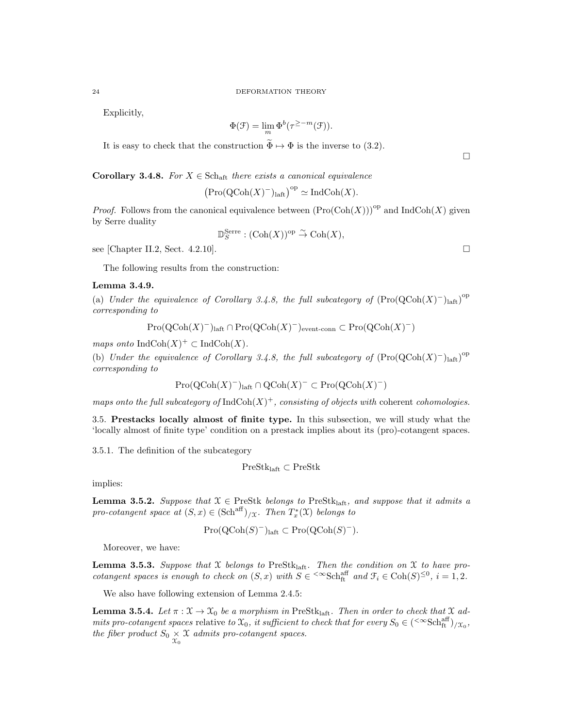Explicitly,

$$
\Phi(\mathcal{F}) = \lim_{m} \Phi^{b}(\tau^{\geq -m}(\mathcal{F})).
$$

It is easy to check that the construction  $\widetilde{\Phi} \mapsto \Phi$  is the inverse to (3.2).

Corollary 3.4.8. For  $X \in \text{Sch}_{\text{aff}}$  there exists a canonical equivalence

$$
\left(\mathrm{Pro}(\mathrm{QCoh}(X)^{-})_{\mathrm{laft}}\right)^{\mathrm{op}} \simeq \mathrm{IndCoh}(X).
$$

*Proof.* Follows from the canonical equivalence between  $(Pro(Coh(X)))^{op}$  and IndCoh(X) given by Serre duality

$$
\mathbb{D}_S^{\text{Serre}} : (\text{Coh}(X))^{\text{op}} \overset{\sim}{\to} \text{Coh}(X),
$$

see [Chapter II.2, Sect. 4.2.10].

The following results from the construction:

### Lemma 3.4.9.

(a) Under the equivalence of Corollary 3.4.8, the full subcategory of  $(Pro(QCoh(X)^{-})<sub>latt</sub>)<sup>op</sup>$ corresponding to

$$
Pro(QCoh(X)^{-})laff \cap Pro(QCoh(X)^{-})event-conn \subset Pro(QCoh(X)^{-})
$$

maps onto  $\text{IndCoh}(X)^+ \subset \text{IndCoh}(X)$ .

(b) Under the equivalence of Corollary 3.4.8, the full subcategory of  $(Pro(QCoh(X)^{-})_{\text{laff}})^{\text{op}}$ corresponding to

$$
Pro(QCoh(X)^-)_{\text{laft}} \cap QCoh(X)^- \subset Pro(QCoh(X)^-)
$$

maps onto the full subcategory of  $\text{IndCoh}(X)^+$ , consisting of objects with coherent cohomologies.

3.5. Prestacks locally almost of finite type. In this subsection, we will study what the 'locally almost of finite type' condition on a prestack implies about its (pro)-cotangent spaces.

3.5.1. The definition of the subcategory

$$
\mathrm{PreStk}_{\mathrm{laft}}\subset\mathrm{PreStk}
$$

implies:

**Lemma 3.5.2.** Suppose that  $X \in \text{PreStk}$  belongs to PreStk<sub>laft</sub>, and suppose that it admits a pro-cotangent space at  $(S, x) \in (\text{Sch}^{\text{aff}})_{/\mathfrak{X}}$ . Then  $T_x^*(\mathfrak{X})$  belongs to

$$
Pro(QCoh(S)^-)_{\text{laft}} \subset Pro(QCoh(S)^-).
$$

Moreover, we have:

**Lemma 3.5.3.** Suppose that X belongs to PreStk<sub>laft</sub>. Then the condition on X to have procotangent spaces is enough to check on  $(S, x)$  with  $S \in \text{&}\text{Sch}_{\text{ft}}^{\text{aff}}$  and  $\mathcal{F}_i \in \text{Coh}(S)^{\leq 0}$ ,  $i = 1, 2$ .

We also have following extension of Lemma 2.4.5:

**Lemma 3.5.4.** Let  $\pi : \mathcal{X} \to \mathcal{X}_0$  be a morphism in PreStk<sub>laft</sub>. Then in order to check that  $\mathcal{X}$  admits pro-cotangent spaces relative to  $\mathfrak{X}_0$ , it sufficient to check that for every  $S_0 \in (\text{&Sch}_H^{\text{aff}})_{/\mathfrak{X}_0}$ , the fiber product  $S_0 \underset{\mathcal{X}_0}{\times} \mathcal{X}$  admits pro-cotangent spaces.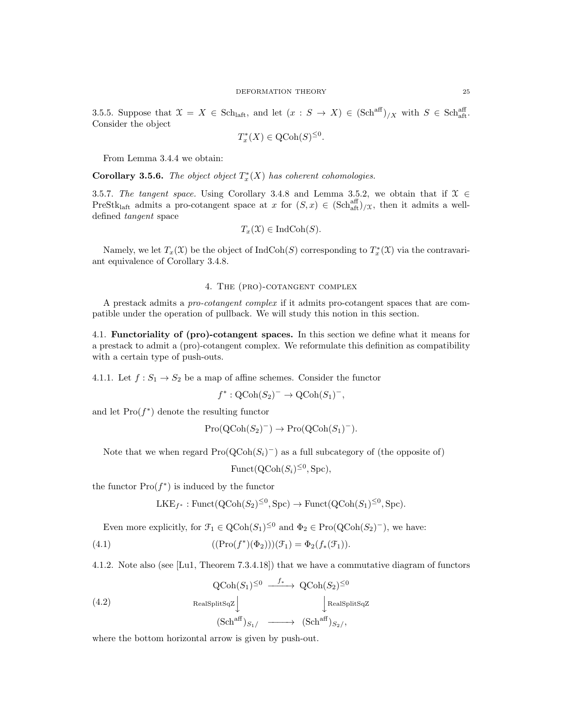3.5.5. Suppose that  $\mathfrak{X} = X \in Sch_{\mathrm{laff}},$  and let  $(x : S \to X) \in (Sch^{aff})_{/X}$  with  $S \in Sch^{aff}_{\mathrm{aff}}.$ Consider the object

$$
T_x^*(X) \in \text{QCoh}(S)^{\leq 0}.
$$

From Lemma 3.4.4 we obtain:

**Corollary 3.5.6.** The object object  $T_x^*(X)$  has coherent cohomologies.

3.5.7. The tangent space. Using Corollary 3.4.8 and Lemma 3.5.2, we obtain that if  $\mathcal{X} \in$ PreStk<sub>laft</sub> admits a pro-cotangent space at x for  $(S, x) \in (Sch<sub>aff</sub><sup>aff</sup>)_{X}$ , then it admits a welldefined tangent space

$$
T_x(\mathfrak{X}) \in \mathrm{IndCoh}(S).
$$

Namely, we let  $T_x(\mathfrak{X})$  be the object of  $\text{IndCoh}(S)$  corresponding to  $T_x^*(\mathfrak{X})$  via the contravariant equivalence of Corollary 3.4.8.

## 4. The (pro)-cotangent complex

A prestack admits a pro-cotangent complex if it admits pro-cotangent spaces that are compatible under the operation of pullback. We will study this notion in this section.

4.1. Functoriality of (pro)-cotangent spaces. In this section we define what it means for a prestack to admit a (pro)-cotangent complex. We reformulate this definition as compatibility with a certain type of push-outs.

4.1.1. Let  $f: S_1 \to S_2$  be a map of affine schemes. Consider the functor

$$
f^* : \mathrm{QCoh}(S_2)^- \to \mathrm{QCoh}(S_1)^-,
$$

and let  $\text{Pro}(f^*)$  denote the resulting functor

$$
Pro(QCoh(S_2)^-) \to Pro(QCoh(S_1)^-).
$$

Note that we when regard  $\text{Pro}(\text{QCoh}(S_i)^-)$  as a full subcategory of (the opposite of)

Funct( $Q\text{Coh}(S_i)^{\leq 0}$ , Spc),

the functor  $\text{Pro}(f^*)$  is induced by the functor

$$
\text{LKE}_{f^*}: \text{Funct}(\text{QCoh}(S_2)^{\leq 0}, \text{Spc}) \to \text{Funct}(\text{QCoh}(S_1)^{\leq 0}, \text{Spc}).
$$

Even more explicitly, for  $\mathcal{F}_1 \in \text{QCoh}(S_1)^{\leq 0}$  and  $\Phi_2 \in \text{Pro}(\text{QCoh}(S_2)^-)$ , we have:

(4.1) 
$$
((\text{Pro}(f^*)(\Phi_2)))(\mathcal{F}_1) = \Phi_2(f_*(\mathcal{F}_1)).
$$

4.1.2. Note also (see [Lu1, Theorem 7.3.4.18]) that we have a commutative diagram of functors

(4.2) 
$$
\operatorname{QCoh}(S_1)^{\leq 0} \xrightarrow{f_*} \operatorname{QCoh}(S_2)^{\leq 0}
$$

$$
\operatorname{RealSplitSqZ} \downarrow \qquad \qquad \downarrow \operatorname{RealSplitSqZ}
$$

$$
(\operatorname{Sch}^{\operatorname{aff}})_{S_1/} \xrightarrow{\qquad} (\operatorname{Sch}^{\operatorname{aff}})_{S_2/},
$$

where the bottom horizontal arrow is given by push-out.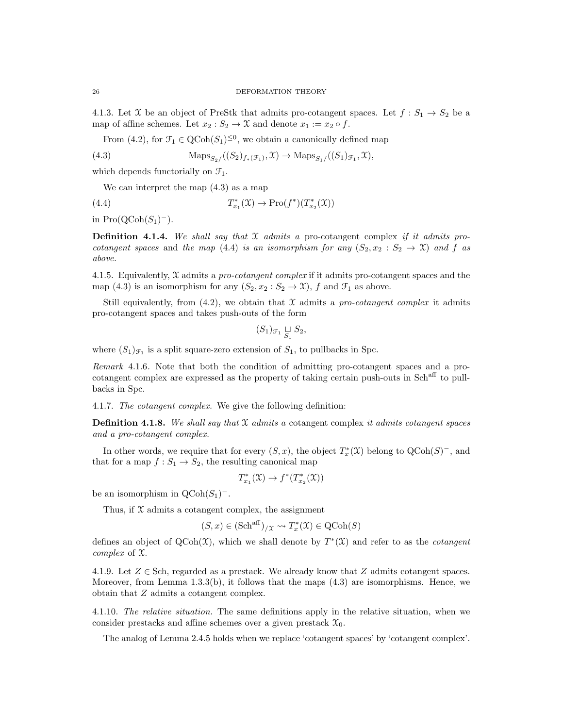4.1.3. Let X be an object of PreStk that admits pro-cotangent spaces. Let  $f: S_1 \to S_2$  be a map of affine schemes. Let  $x_2 : S_2 \to \mathfrak{X}$  and denote  $x_1 := x_2 \circ f$ .

From (4.2), for  $\mathcal{F}_1 \in \text{QCoh}(S_1)^{\leq 0}$ , we obtain a canonically defined map

(4.3) 
$$
\operatorname{Maps}_{S_2/}((S_2)_{f_*(\mathcal{F}_1)}, \mathfrak{X}) \to \operatorname{Maps}_{S_1/}((S_1)_{\mathcal{F}_1}, \mathfrak{X}),
$$

which depends functorially on  $\mathcal{F}_1$ .

We can interpret the map (4.3) as a map

(4.4) 
$$
T_{x_1}^*(\mathfrak{X}) \to \mathrm{Pro}(f^*)(T_{x_2}^*(\mathfrak{X}))
$$

in  $\text{Pro}(\text{QCoh}(S_1)^-)$ .

**Definition 4.1.4.** We shall say that  $X$  admits a pro-cotangent complex if it admits procotangent spaces and the map (4.4) is an isomorphism for any  $(S_2, x_2 : S_2 \to \mathcal{X})$  and f as above.

4.1.5. Equivalently,  $\mathfrak X$  admits a pro-cotangent complex if it admits pro-cotangent spaces and the map (4.3) is an isomorphism for any  $(S_2, x_2 : S_2 \to \mathfrak{X})$ , f and  $\mathfrak{F}_1$  as above.

Still equivalently, from  $(4.2)$ , we obtain that  $\mathfrak X$  admits a pro-cotangent complex it admits pro-cotangent spaces and takes push-outs of the form

$$
(S_1)_{\mathcal{F}_1} \underset{S_1}{\sqcup} S_2,
$$

where  $(S_1)_{\mathcal{F}_1}$  is a split square-zero extension of  $S_1$ , to pullbacks in Spc.

Remark 4.1.6. Note that both the condition of admitting pro-cotangent spaces and a procotangent complex are expressed as the property of taking certain push-outs in Sch<sup>aff</sup> to pullbacks in Spc.

4.1.7. The cotangent complex. We give the following definition:

**Definition 4.1.8.** We shall say that  $\mathfrak X$  admits a cotangent complex it admits cotangent spaces and a pro-cotangent complex.

In other words, we require that for every  $(S, x)$ , the object  $T_x^*(\mathfrak{X})$  belong to  $\mathrm{QCoh}(S)^-$ , and that for a map  $f: S_1 \to S_2$ , the resulting canonical map

$$
T_{x_1}^*(\mathfrak{X}) \to f^*(T_{x_2}^*(\mathfrak{X}))
$$

be an isomorphism in  $\text{QCoh}(S_1)^-$ .

Thus, if  $X$  admits a cotangent complex, the assignment

$$
(S, x) \in (\mathrm{Sch}^{\mathrm{aff}})_{/\mathfrak{X}} \leadsto T_x^*(\mathfrak{X}) \in \mathrm{QCoh}(S)
$$

defines an object of  $Q\text{Coh}(\mathfrak{X})$ , which we shall denote by  $T^{\ast}(\mathfrak{X})$  and refer to as the *cotangent* complex of X.

4.1.9. Let  $Z \in Sch$ , regarded as a prestack. We already know that Z admits cotangent spaces. Moreover, from Lemma  $1.3.3(b)$ , it follows that the maps  $(4.3)$  are isomorphisms. Hence, we obtain that Z admits a cotangent complex.

4.1.10. The relative situation. The same definitions apply in the relative situation, when we consider prestacks and affine schemes over a given prestack  $\mathfrak{X}_0$ .

The analog of Lemma 2.4.5 holds when we replace 'cotangent spaces' by 'cotangent complex'.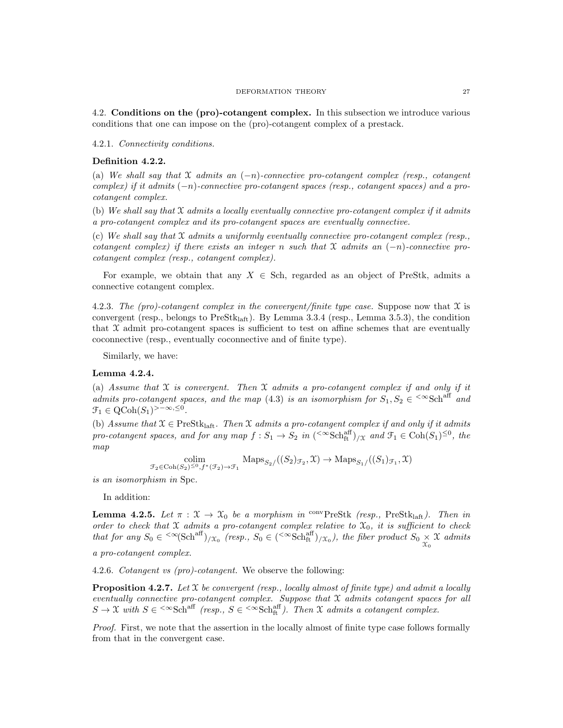#### DEFORMATION THEORY 27

4.2. Conditions on the (pro)-cotangent complex. In this subsection we introduce various conditions that one can impose on the (pro)-cotangent complex of a prestack.

4.2.1. Connectivity conditions.

# Definition 4.2.2.

(a) We shall say that  $X$  admits an  $(-n)$ -connective pro-cotangent complex (resp., cotangent complex) if it admits (−n)-connective pro-cotangent spaces (resp., cotangent spaces) and a procotangent complex.

(b) We shall say that  $X$  admits a locally eventually connective pro-cotangent complex if it admits a pro-cotangent complex and its pro-cotangent spaces are eventually connective.

(c) We shall say that  $\mathfrak X$  admits a uniformly eventually connective pro-cotangent complex (resp., cotangent complex) if there exists an integer n such that  $X$  admits an  $(-n)$ -connective procotangent complex (resp., cotangent complex).

For example, we obtain that any  $X \in Sch$ , regarded as an object of PreStk, admits a connective cotangent complex.

4.2.3. The (pro)-cotangent complex in the convergent/finite type case. Suppose now that  $\mathfrak X$  is convergent (resp., belongs to  $PreStk<sub>latt</sub>$ ). By Lemma 3.3.4 (resp., Lemma 3.5.3), the condition that  $X$  admit pro-cotangent spaces is sufficient to test on affine schemes that are eventually coconnective (resp., eventually coconnective and of finite type).

Similarly, we have:

## Lemma 4.2.4.

(a) Assume that  $\mathfrak X$  is convergent. Then  $\mathfrak X$  admits a pro-cotangent complex if and only if it admits pro-cotangent spaces, and the map (4.3) is an isomorphism for  $S_1, S_2 \in \text{&Sch}^{\text{aff}}$  and  $\mathfrak{F}_1 \in \mathrm{QCoh}(S_1)^{>-\infty,\leq 0}.$ 

(b) Assume that  $\mathfrak{X} \in \mathrm{PreStk}_{\mathrm{laff}}$ . Then  $\mathfrak{X}$  admits a pro-cotangent complex if and only if it admits pro-cotangent spaces, and for any map  $f: S_1 \to S_2$  in  $({\rm \infty Sch}^{\rm aff}_{\rm ft})_{/\mathfrak{X}}$  and  $\mathfrak{F}_1 \in \rm Coh(S_1)^{\leq 0}$ , the map

$$
\underset{\mathcal{F}_2 \in \mathrm{Coh}(S_2)^{\leq 0}, f^*(\mathcal{F}_2) \to \mathcal{F}_1}{\mathrm{Coh}(S_2)_{\mathcal{F}_2}} \mathrm{Maps}_{S_2}/((S_2)_{\mathcal{F}_2}, \mathfrak{X}) \to \mathrm{Maps}_{S_1}/((S_1)_{\mathcal{F}_1}, \mathfrak{X})
$$

is an isomorphism in Spc.

In addition:

**Lemma 4.2.5.** Let  $\pi : \mathcal{X} \to \mathcal{X}_0$  be a morphism in <sup>conv</sup>PreStk (resp., PreStk<sub>laft</sub>). Then in order to check that X admits a pro-cotangent complex relative to  $\mathfrak{X}_0$ , it is sufficient to check that for any  $S_0 \in \langle \infty (\text{Sch}^{\text{aff}})_{X_0} \text{ (resp., } S_0 \in (\langle \infty \text{Sch}^{\text{aff}}_{\text{ft}})_{X_0} \text{), the fiber product } S_0 \times \mathcal{X} \text{ admits }$ 

a pro-cotangent complex.

4.2.6. Cotangent vs (pro)-cotangent. We observe the following:

**Proposition 4.2.7.** Let  $X$  be convergent (resp., locally almost of finite type) and admit a locally eventually connective pro-cotangent complex. Suppose that  $\mathfrak X$  admits cotangent spaces for all  $S \to \mathfrak{X}$  with  $S \in \text{ (resp.,  $S \in \text{). Then  $\mathfrak{X}$  admits a cotangent complex.$$ 

Proof. First, we note that the assertion in the locally almost of finite type case follows formally from that in the convergent case.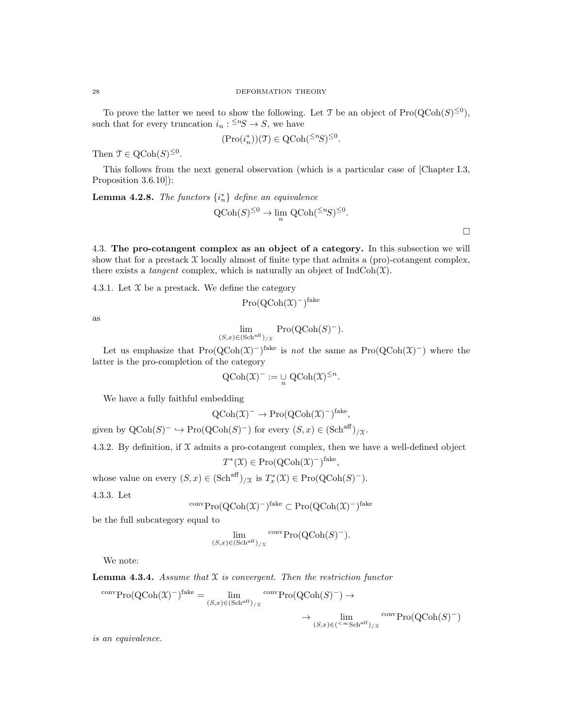To prove the latter we need to show the following. Let T be an object of  $\text{Pro}(\text{QCoh}(S)^{\leq 0})$ , such that for every truncation  $i_n: \leq^n S \to S$ , we have

$$
(\mathrm{Pro}(i_n^*)) (\mathfrak{T}) \in \mathrm{QCoh}({}^{\leq n}S)^{\leq 0}.
$$

Then  $\mathfrak{T} \in \mathrm{QCoh}(S)^{\leq 0}$ .

This follows from the next general observation (which is a particular case of [Chapter I.3, Proposition 3.6.10]):

**Lemma 4.2.8.** The functors  $\{i_n^*\}$  define an equivalence

$$
Q\text{Coh}(S)^{\leq 0} \to \lim_{n} Q\text{Coh}({}^{\leq n}S)^{\leq 0}.
$$

4.3. The pro-cotangent complex as an object of a category. In this subsection we will show that for a prestack  $\mathfrak X$  locally almost of finite type that admits a (pro)-cotangent complex, there exists a *tangent* complex, which is naturally an object of  $IndCoh(\mathcal{X})$ .

4.3.1. Let  $X$  be a prestack. We define the category

$$
\mathrm{Pro}(\mathrm{QCoh}(\mathfrak{X})^-)^{\mathrm{fake}}
$$

as

$$
\lim_{(S,x)\in(\text{Sch}^{\text{aff}})/x} \text{Pro}(\text{QCoh}(S)^-).
$$

Let us emphasize that  $\text{Pro}(\text{QCoh}(\mathfrak{X})^{-})^{\text{fake}}$  is *not* the same as  $\text{Pro}(\text{QCoh}(\mathfrak{X})^{-})$  where the latter is the pro-completion of the category

$$
Q\mathrm{Coh}(\mathfrak{X})^- := \mathop{\cup}\limits_{n} Q\mathrm{Coh}(\mathfrak{X})^{\leq n}.
$$

We have a fully faithful embedding

$$
Q\text{Coh}(\mathfrak{X})^- \to \text{Pro}(Q\text{Coh}(\mathfrak{X})^-)^{\text{fake}},
$$

given by  $\mathrm{QCoh}(S)^-\hookrightarrow \mathrm{Pro}(\mathrm{QCoh}(S)^-)$  for every  $(S, x)\in (\mathrm{Sch}^{\mathrm{aff}})_{/\mathfrak{X}}$ .

4.3.2. By definition, if  $\mathfrak X$  admits a pro-cotangent complex, then we have a well-defined object

$$
T^*(\mathfrak{X}) \in \mathrm{Pro}(\mathrm{QCoh}(\mathfrak{X})^-)^{\mathrm{fake}},
$$

whose value on every  $(S, x) \in (\text{Sch}^{\text{aff}})_{\text{/}\mathfrak{X}}$  is  $T_x^*(\mathfrak{X}) \in \text{Pro}(\text{QCoh}(S)^-)$ .

4.3.3. Let

$$
{}^{\text{conv}}\text{Pro}(\text{QCoh}(\mathfrak{X})^-)^{\text{fake}} \subset \text{Pro}(\text{QCoh}(\mathfrak{X})^-)^{\text{fake}}
$$

be the full subcategory equal to

$$
\lim_{(S,x)\in(\text{Sch}^{\text{aff}})/x} \text{conv}\text{Pro}(\text{QCoh}(S)^{-}).
$$

We note:

**Lemma 4.3.4.** Assume that  $X$  is convergent. Then the restriction functor

$$
{}^{\text{conv}}\text{Pro}(\text{QCoh}(\mathfrak{X})^{-})^{\text{fake}} = \lim_{(S,x)\in(\text{Sch}^{\text{aff}})/x} {}^{\text{conv}}\text{Pro}(\text{QCoh}(S)^{-}) \to
$$

$$
\to \lim_{(S,x)\in(\langle\infty^{\infty}\text{Sch}^{\text{aff}})/x} {}^{\text{conv}}\text{Pro}(\text{QCoh}(S)^{-})
$$

is an equivalence.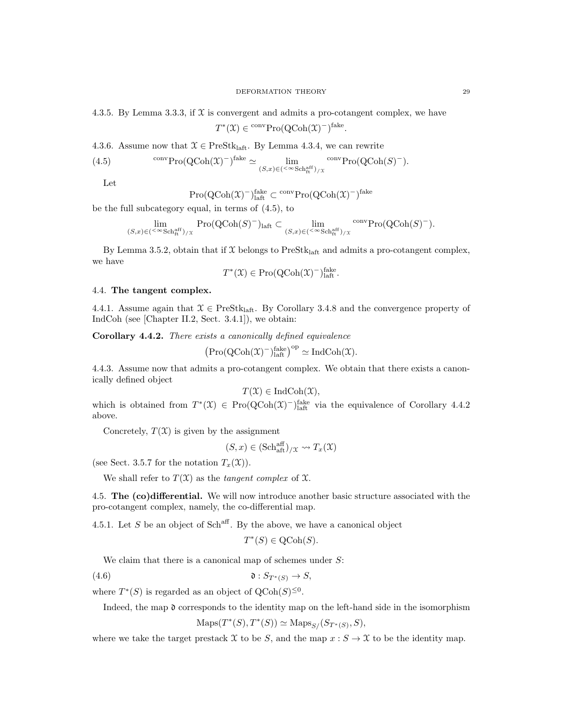$$
T^*(\mathfrak{X}) \in {}^{\mathrm{conv}}\mathrm{Pro}(\mathrm{QCoh}(\mathfrak{X})^-)^{\mathrm{fake}}.
$$

4.3.6. Assume now that  $\mathcal{X} \in \text{PreStk}_{\text{laff}}$ . By Lemma 4.3.4, we can rewrite

(4.5) 
$$
\text{conv} \text{Pro} (\text{QCoh}(\mathfrak{X})^{-})^{\text{fake}} \simeq \lim_{(S,x)\in (\leq \infty \text{Sch}_{\text{ft}}^{\text{aff}}) / x} \text{conv} \text{Pro} (\text{QCoh}(S)^{-}).
$$

Let

$$
\mathrm{Pro}(\mathrm{QCoh}(\mathfrak{X})^-)^{\mathrm{fake}}_{\mathrm{laff}} \subset {}^{\mathrm{conv}}\mathrm{Pro}(\mathrm{QCoh}(\mathfrak{X})^-)^{\mathrm{fake}}
$$

be the full subcategory equal, in terms of (4.5), to

$$
\lim_{(S,x)\in ({{}^< \infty}\mathrm{Sch}^{\mathrm{aff}}_{\mathrm{ft}})/x} \mathrm{Pro}(\mathrm{QCoh}(S)^-)_{\mathrm{laft}}\subset \lim_{(S,x)\in ({}^< \infty}\mathrm{Sch}^{\mathrm{aff}}_{\mathrm{ft}})/x} \mathrm{conv}\mathrm{Pro}(\mathrm{QCoh}(S)^-).
$$

By Lemma 3.5.2, obtain that if  $X$  belongs to PreStk<sub>laft</sub> and admits a pro-cotangent complex, we have

$$
T^*(\mathfrak{X}) \in \mathrm{Pro}(\mathrm{QCoh}(\mathfrak{X})^-)_{\mathrm{laft}}^{\mathrm{fake}}.
$$

#### 4.4. The tangent complex.

4.4.1. Assume again that  $\mathcal{X} \in \text{PreStk}_{\text{laff}}$ . By Corollary 3.4.8 and the convergence property of IndCoh (see [Chapter II.2, Sect. 3.4.1]), we obtain:

Corollary 4.4.2. There exists a canonically defined equivalence

$$
\big(\mathrm{Pro}(\mathrm{QCoh}(\mathfrak{X})^-)^{\mathrm{fake}}_\mathrm{laft}\big)^\mathrm{op}\simeq\mathrm{Ind}\mathrm{Coh}(\mathfrak{X}).
$$

4.4.3. Assume now that admits a pro-cotangent complex. We obtain that there exists a canonically defined object

$$
T(\mathfrak{X}) \in \mathrm{IndCoh}(\mathfrak{X}),
$$

which is obtained from  $T^*(\mathfrak{X}) \in \mathrm{Pro}({\rm QCoh}(\mathfrak{X})^{-})^{\text{fake}}_{\text{half}}$  via the equivalence of Corollary 4.4.2 above.

Concretely,  $T(\mathfrak{X})$  is given by the assignment

$$
(S, x) \in (\mathrm{Sch}^{\mathrm{aff}}_{\mathrm{aff}})_{/\mathfrak{X}} \leadsto T_x(\mathfrak{X})
$$

(see Sect. 3.5.7 for the notation  $T_x(\mathfrak{X})$ ).

We shall refer to  $T(\mathfrak{X})$  as the *tangent complex* of  $\mathfrak{X}$ .

4.5. The (co)differential. We will now introduce another basic structure associated with the pro-cotangent complex, namely, the co-differential map.

4.5.1. Let  $S$  be an object of  $Sch<sup>aff</sup>$ . By the above, we have a canonical object

$$
T^*(S) \in \text{QCoh}(S).
$$

We claim that there is a canonical map of schemes under  $S$ :

(4.6)  $\mathfrak{d}: S_{T^*(S)} \to S$ ,

where  $T^*(S)$  is regarded as an object of  $\text{QCoh}(S)^{\leq 0}$ .

Indeed, the map d corresponds to the identity map on the left-hand side in the isomorphism

 $\text{Maps}(T^*(S), T^*(S)) \simeq \text{Maps}_{S}/(S_{T^*(S)}, S),$ 

where we take the target prestack X to be S, and the map  $x : S \to \mathfrak{X}$  to be the identity map.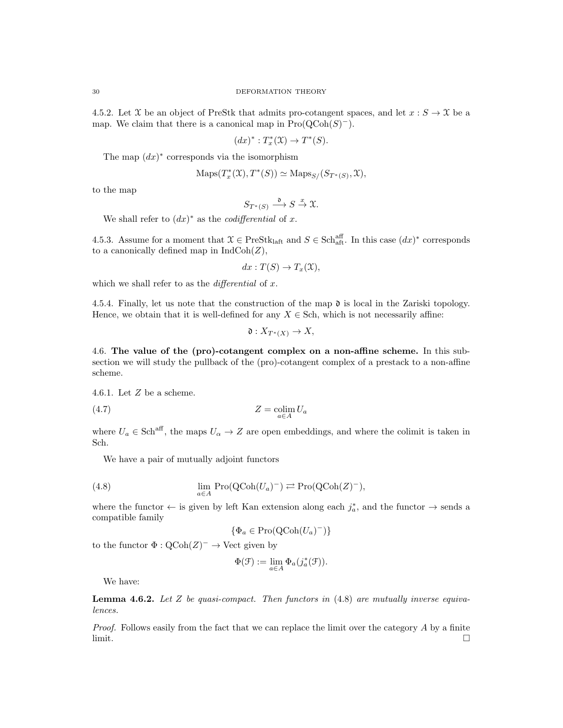4.5.2. Let X be an object of PreStk that admits pro-cotangent spaces, and let  $x : S \to \mathfrak{X}$  be a map. We claim that there is a canonical map in  $\text{Pro}(\text{QCoh}(S)^-)$ .

$$
(dx)^* : T^*_x(\mathfrak{X}) \to T^*(S).
$$

The map  $(dx)^*$  corresponds via the isomorphism

$$
Maps(T^*_{x}(\mathfrak{X}), T^*(S)) \simeq Maps_{S}/(S_{T^*(S)}, \mathfrak{X}),
$$

to the map

$$
S_{T^*(S)} \xrightarrow{\mathfrak{d}} S \xrightarrow{x} \mathfrak{X}.
$$

We shall refer to  $(dx)^*$  as the *codifferential* of x.

4.5.3. Assume for a moment that  $\mathfrak{X} \in \text{PreStk}_{\text{laff}}$  and  $S \in \text{Sch}_{\text{aff}}^{\text{aff}}$ . In this case  $(dx)^*$  corresponds to a canonically defined map in  $\text{IndCoh}(Z)$ ,

$$
dx: T(S) \to T_x(\mathfrak{X}),
$$

which we shall refer to as the *differential* of  $x$ .

4.5.4. Finally, let us note that the construction of the map  $\mathfrak d$  is local in the Zariski topology. Hence, we obtain that it is well-defined for any  $X \in Sch$ , which is not necessarily affine:

$$
\mathfrak{d}: X_{T^*(X)} \to X,
$$

4.6. The value of the (pro)-cotangent complex on a non-affine scheme. In this subsection we will study the pullback of the (pro)-cotangent complex of a prestack to a non-affine scheme.

4.6.1. Let Z be a scheme.

$$
(4.7) \t\t Z = \underset{a \in A}{\text{colim}} U_a
$$

where  $U_a \in \text{Sch}^{\text{aff}}$ , the maps  $U_\alpha \to Z$  are open embeddings, and where the colimit is taken in Sch.

We have a pair of mutually adjoint functors

(4.8) 
$$
\lim_{a \in A} \operatorname{Pro}(\operatorname{QCoh}(U_a)^-) \rightleftarrows \operatorname{Pro}(\operatorname{QCoh}(Z)^-),
$$

where the functor  $\leftarrow$  is given by left Kan extension along each  $j_a^*$ , and the functor  $\rightarrow$  sends a compatible family

$$
\{\Phi_a \in \mathrm{Pro}(\mathrm{QCoh}(U_a)^-)\}
$$

to the functor  $\Phi$ :  $\text{QCoh}(Z)^ \rightarrow$  Vect given by

$$
\Phi(\mathcal{F}) := \lim_{a \in A} \Phi_a(j_a^*(\mathcal{F})).
$$

We have:

**Lemma 4.6.2.** Let Z be quasi-compact. Then functors in  $(4.8)$  are mutually inverse equivalences.

Proof. Follows easily from the fact that we can replace the limit over the category A by a finite limit.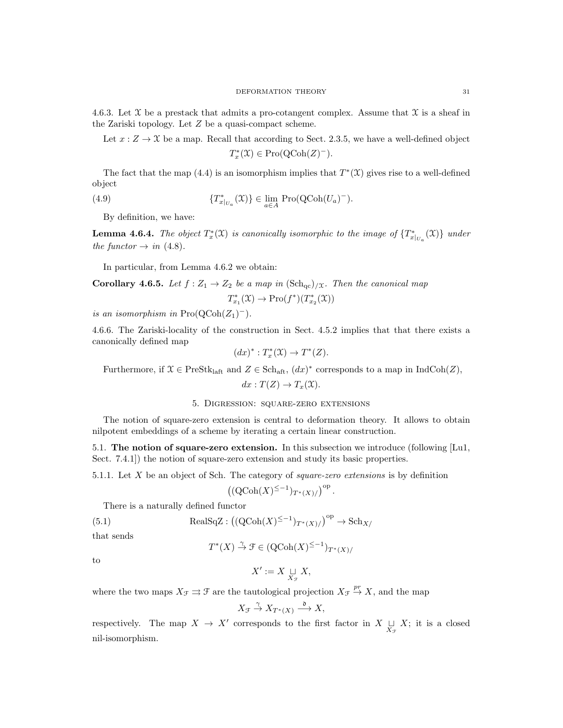4.6.3. Let  $\mathfrak X$  be a prestack that admits a pro-cotangent complex. Assume that  $\mathfrak X$  is a sheaf in the Zariski topology. Let Z be a quasi-compact scheme.

Let  $x: Z \to \mathfrak{X}$  be a map. Recall that according to Sect. 2.3.5, we have a well-defined object  $T_x^*(\mathfrak{X}) \in \mathrm{Pro}(\mathrm{QCoh}(Z)^-)$ .

The fact that the map (4.4) is an isomorphism implies that  $T^*(\mathfrak{X})$  gives rise to a well-defined object

(4.9) 
$$
\{T_{x|_{U_a}}^*(\mathfrak{X})\} \in \lim_{a \in A} \operatorname{Pro}(\operatorname{QCoh}(U_a)^-).
$$

By definition, we have:

**Lemma 4.6.4.** The object  $T_x^*(\mathfrak{X})$  is canonically isomorphic to the image of  $\{T_{x|_{U_a}}^*(\mathfrak{X})\}$  under the functor  $\rightarrow$  in (4.8).

In particular, from Lemma 4.6.2 we obtain:

Corollary 4.6.5. Let 
$$
f : Z_1 \to Z_2
$$
 be a map in  $(Sch_{qc})_{/X}$ . Then the canonical map  

$$
T_{x_1}^*(X) \to \text{Pro}(f^*)(T_{x_2}^*(X))
$$

is an isomorphism in  $\text{Pro}(\text{QCoh}(Z_1)^-)$ .

4.6.6. The Zariski-locality of the construction in Sect. 4.5.2 implies that that there exists a canonically defined map

$$
(dx)^* : T^*_x(\mathfrak{X}) \to T^*(Z).
$$

Furthermore, if  $\mathcal{X} \in \text{PreStk}_{\text{laff}}$  and  $Z \in \text{Sch}_{\text{aff}}$ ,  $(dx)^*$  corresponds to a map in  $\text{IndCoh}(Z)$ ,

$$
dx: T(Z) \to T_x(\mathfrak{X}).
$$

# 5. Digression: square-zero extensions

The notion of square-zero extension is central to deformation theory. It allows to obtain nilpotent embeddings of a scheme by iterating a certain linear construction.

5.1. The notion of square-zero extension. In this subsection we introduce (following [Lu1, Sect. 7.4.1) the notion of square-zero extension and study its basic properties.

5.1.1. Let X be an object of Sch. The category of square-zero extensions is by definition

$$
\left((\mathrm{QCoh}(X)^{\leq -1})_{T^*(X)/}\right)^{\mathrm{op}}.
$$

There is a naturally defined functor

(5.1) 
$$
\text{RealSqZ}: \left( (\text{QCoh}(X)^{\leq -1})_{T^*(X)/} \right)^{\text{op}} \to \text{Sch}_{X/}
$$

that sends

$$
T^*(X) \stackrel{\gamma}{\to} \mathcal{F} \in (\mathrm{QCoh}(X)^{\leq -1})_{T^*(X)}/
$$

to

$$
X' := X \mathop{\sqcup}\limits_{X_{\mathcal{F}}} X,
$$

where the two maps  $X_{\mathcal{F}} \rightrightarrows \mathcal{F}$  are the tautological projection  $X_{\mathcal{F}} \rightrightarrows X$ , and the map

$$
X_{\mathcal{F}} \stackrel{\gamma}{\to} X_{T^*(X)} \stackrel{\mathfrak{d}}{\longrightarrow} X,
$$

respectively. The map  $X \to X'$  corresponds to the first factor in  $X \underset{X_{\mathcal{F}}}{\cup} X$ ; it is a closed nil-isomorphism.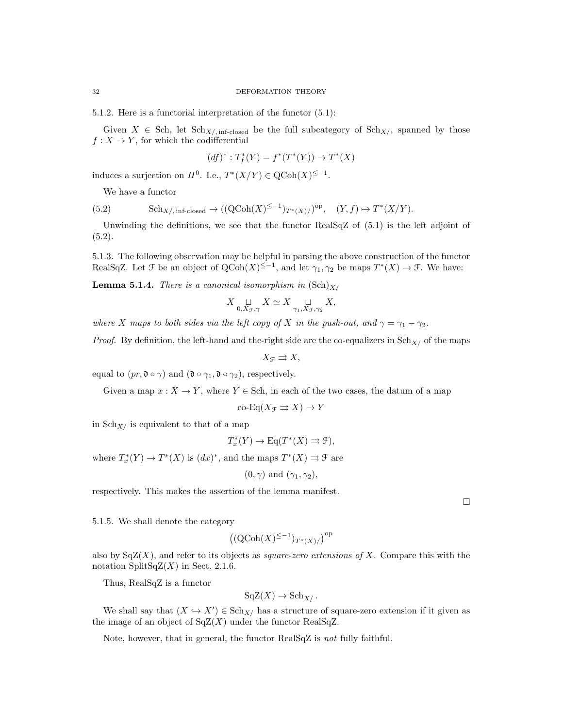5.1.2. Here is a functorial interpretation of the functor (5.1):

Given  $X \in Sch$ , let  $Sch_{X/\text{, inf-closed}}$  be the full subcategory of  $Sch_{X/\text{,}}$  spanned by those  $f: X \to Y$ , for which the codifferential

$$
(df)^* : T^*_{f}(Y) = f^*(T^*(Y)) \to T^*(X)
$$

induces a surjection on  $H^0$ . I.e.,  $T^*(X/Y) \in Q\text{Coh}(X)^{\leq -1}$ .

We have a functor

(5.2) 
$$
\mathrm{Sch}_{X/\, \mathrm{inf\text{-}closed}} \to ((\mathrm{QCoh}(X)^{\leq -1})_{T^*(X)}/\mathrm{)^{op}}, \quad (Y, f) \mapsto T^*(X/Y).
$$

Unwinding the definitions, we see that the functor RealSqZ of (5.1) is the left adjoint of  $(5.2).$ 

5.1.3. The following observation may be helpful in parsing the above construction of the functor RealSqZ. Let  $\mathcal F$  be an object of  $Q\text{Coh}(X)^{\leq -1}$ , and let  $\gamma_1, \gamma_2$  be maps  $T^*(X) \to \mathcal F$ . We have:

**Lemma 5.1.4.** There is a canonical isomorphism in  $(\text{Sch})_{X/L}$ 

$$
X \underset{0, X_{\mathcal{F}}, \gamma}{\sqcup} X \simeq X \underset{\gamma_1, X_{\mathcal{F}}, \gamma_2}{\sqcup} X,
$$

where X maps to both sides via the left copy of X in the push-out, and  $\gamma = \gamma_1 - \gamma_2$ .

*Proof.* By definition, the left-hand and the-right side are the co-equalizers in  $\text{Sch}_{X/}$  of the maps

$$
X_{\mathcal{F}} \rightrightarrows X,
$$

equal to  $(pr, \mathfrak{d} \circ \gamma)$  and  $(\mathfrak{d} \circ \gamma_1, \mathfrak{d} \circ \gamma_2)$ , respectively.

Given a map  $x : X \to Y$ , where  $Y \in Sch$ , in each of the two cases, the datum of a map

$$
\operatorname{co-Eq}(X_{\mathcal{F}} \rightrightarrows X) \to Y
$$

in  $\mathrm{Sch}_{X/}$  is equivalent to that of a map

$$
T_x^*(Y) \to \text{Eq}(T^*(X) \rightrightarrows \mathcal{F}),
$$

where  $T_x^*(Y) \to T^*(X)$  is  $(dx)^*$ , and the maps  $T^*(X) \rightrightarrows \mathcal{F}$  are

 $(0, \gamma)$  and  $(\gamma_1, \gamma_2)$ ,

respectively. This makes the assertion of the lemma manifest.

 $\Box$ 

5.1.5. We shall denote the category

$$
\left((\operatorname{QCoh}(X)^{\leq -1})_{T^*(X)/}\right)^{\operatorname{op}}
$$

also by  $SqZ(X)$ , and refer to its objects as *square-zero extensions of X*. Compare this with the notation SplitSqZ $(X)$  in Sect. 2.1.6.

Thus, RealSqZ is a functor

$$
\mathrm{SqZ}(X) \to \mathrm{Sch}_{X}/.
$$

We shall say that  $(X \hookrightarrow X') \in Sch_{X/\mathbb{R}}$  has a structure of square-zero extension if it given as the image of an object of  $SqZ(X)$  under the functor RealSqZ.

Note, however, that in general, the functor RealSqZ is not fully faithful.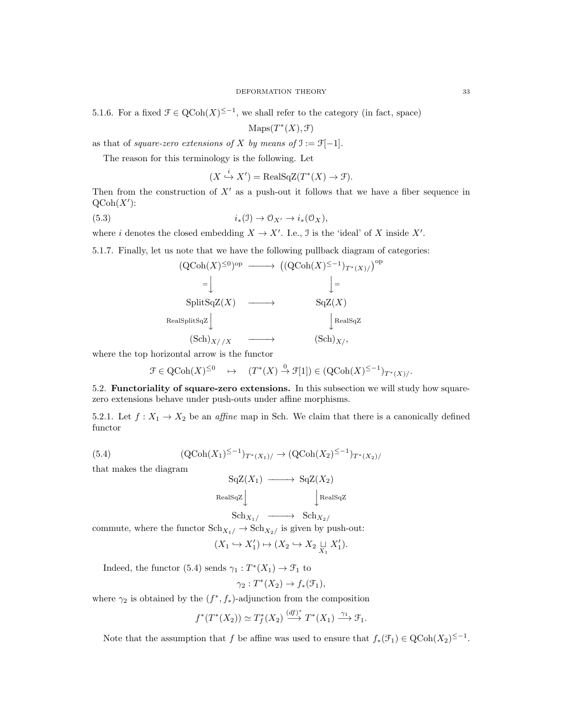5.1.6. For a fixed  $\mathcal{F} \in \mathrm{QCoh}(X)^{\leq -1}$ , we shall refer to the category (in fact, space)

 $\mathrm{Maps}(T^*(X), \mathcal{F})$ 

as that of square-zero extensions of X by means of  $\mathfrak{I} := \mathfrak{F}[-1]$ .

The reason for this terminology is the following. Let

$$
(X \xrightarrow{i} X') = \text{RealSqZ}(T^*(X) \to \mathcal{F}).
$$

Then from the construction of  $X'$  as a push-out it follows that we have a fiber sequence in  $\mathrm{QCoh}(X')$ :

op

(5.3) 
$$
i_*(\mathfrak{I}) \to \mathfrak{O}_{X'} \to i_*(\mathfrak{O}_X),
$$

where i denotes the closed embedding  $X \to X'$ . I.e., J is the 'ideal' of X inside X'.

5.1.7. Finally, let us note that we have the following pullback diagram of categories:

$$
(\text{QCoh}(X)^{\leq 0})^{\text{op}} \longrightarrow ((\text{QCoh}(X)^{\leq -1})_{T^*(X)}/ )
$$
\n
$$
= \downarrow \qquad \qquad \downarrow =
$$
\n
$$
\text{SplitSqZ}(X) \longrightarrow \text{SqZ}(X)
$$
\n
$$
\text{RealSplitSqZ} \downarrow \qquad \qquad \downarrow \text{RealSqZ}
$$
\n
$$
(\text{Sch})_{X//X} \longrightarrow (\text{Sch})_{X/},
$$

where the top horizontal arrow is the functor

$$
\mathcal{F}\in \operatorname{QCoh}(X)^{\leq 0} \quad \mapsto \quad (T^*(X)\xrightarrow{0} \mathcal{F}[1]) \in (\operatorname{QCoh}(X)^{\leq -1})_{T^*(X)/}.
$$

5.2. Functoriality of square-zero extensions. In this subsection we will study how squarezero extensions behave under push-outs under affine morphisms.

5.2.1. Let  $f: X_1 \to X_2$  be an *affine* map in Sch. We claim that there is a canonically defined functor

(5.4) 
$$
(\text{QCoh}(X_1)^{\leq -1})_{T^*(X_1)}/ \to (\text{QCoh}(X_2)^{\leq -1})_{T^*(X_2)}/
$$

that makes the diagram

$$
\begin{array}{ccc}\n\text{SqZ}(X_1) & \longrightarrow & \text{SqZ}(X_2) \\
\downarrow & \downarrow & \downarrow \\
\text{RealSqZ} & & \downarrow \\
\text{Sch}_{X_1/} & \longrightarrow & \text{Sch}_{X_2/}\n\end{array}
$$

commute, where the functor 
$$
Sch_{X_1/} \to Sch_{X_2/}
$$
 is given by push-out:

$$
(X_1 \hookrightarrow X_1') \mapsto (X_2 \hookrightarrow X_2 \underset{X_1}{\sqcup} X_1').
$$

Indeed, the functor (5.4) sends  $\gamma_1: T^*(X_1) \to \mathcal{F}_1$  to

$$
\gamma_2: T^*(X_2) \to f_*(\mathfrak{F}_1),
$$

where  $\gamma_2$  is obtained by the  $(f^*, f_*)$ -adjunction from the composition

$$
f^*(T^*(X_2)) \simeq T_f^*(X_2) \xrightarrow{(df)^*} T^*(X_1) \xrightarrow{\gamma_1} \mathcal{F}_1.
$$

Note that the assumption that f be affine was used to ensure that  $f_*(\mathcal{F}_1) \in \text{QCoh}(X_2)^{\leq -1}$ .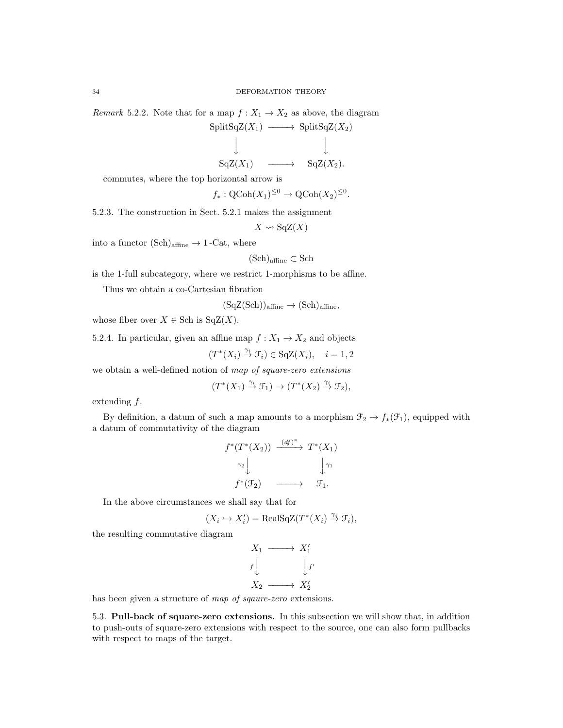Remark 5.2.2. Note that for a map  $f: X_1 \to X_2$  as above, the diagram  $\text{SplitSqZ}(X_1) \longrightarrow \text{SplitSqZ}(X_2)$ 

$$
\downarrow \qquad \qquad \downarrow
$$
  
\n
$$
\downarrow \qquad \qquad \downarrow
$$
  
\n
$$
\downarrow \qquad \qquad \downarrow
$$
  
\n
$$
\downarrow
$$
  
\n
$$
\downarrow
$$
  
\n
$$
\downarrow
$$
  
\n
$$
\downarrow
$$
  
\n
$$
\downarrow
$$
  
\n
$$
\downarrow
$$
  
\n
$$
\downarrow
$$
  
\n
$$
\downarrow
$$
  
\n
$$
\downarrow
$$
  
\n
$$
\downarrow
$$
  
\n
$$
\downarrow
$$
  
\n
$$
\downarrow
$$
  
\n
$$
\downarrow
$$
  
\n
$$
\downarrow
$$
  
\n
$$
\downarrow
$$
  
\n
$$
\downarrow
$$
  
\n
$$
\downarrow
$$
  
\n
$$
\downarrow
$$
  
\n
$$
\downarrow
$$
  
\n
$$
\downarrow
$$
  
\n
$$
\downarrow
$$
  
\n
$$
\downarrow
$$
  
\n
$$
\downarrow
$$
  
\n
$$
\downarrow
$$
  
\n
$$
\downarrow
$$
  
\n
$$
\downarrow
$$
  
\n
$$
\downarrow
$$
  
\n
$$
\downarrow
$$
  
\n
$$
\downarrow
$$
  
\n
$$
\downarrow
$$
  
\n
$$
\downarrow
$$
  
\n
$$
\downarrow
$$
  
\n
$$
\downarrow
$$
  
\n
$$
\downarrow
$$
  
\n
$$
\downarrow
$$
  
\n
$$
\downarrow
$$
  
\n
$$
\downarrow
$$
  
\n
$$
\downarrow
$$
  
\n
$$
\downarrow
$$
  
\n
$$
\downarrow
$$
  
\n
$$
\downarrow
$$
  
\n
$$
\downarrow
$$
  
\n
$$
\downarrow
$$
  
\n
$$
\downarrow
$$
  
\n
$$
\downarrow
$$
  
\n
$$
\downarrow
$$
  
\n
$$
\downarrow
$$
  
\n
$$
\downarrow
$$
  
\n
$$
\downarrow
$$
  
\n
$$
\downarrow
$$

commutes, where the top horizontal arrow is

 $f_*: \mathrm{QCoh}(X_1)^{\leq 0} \to \mathrm{QCoh}(X_2)^{\leq 0}.$ 

5.2.3. The construction in Sect. 5.2.1 makes the assignment

$$
X \rightsquigarrow \mathrm{SqZ}(X)
$$

into a functor  $(Sch)_{\text{affine}} \rightarrow 1$ -Cat, where

$$
(\mathrm{Sch})_{\mathrm{affine}} \subset \mathrm{Sch}
$$

is the 1-full subcategory, where we restrict 1-morphisms to be affine.

Thus we obtain a co-Cartesian fibration

$$
(SqZ(Sch))affine \to (Sch)affine,
$$

whose fiber over  $X \in Sch$  is  $SqZ(X)$ .

5.2.4. In particular, given an affine map  $f: X_1 \to X_2$  and objects

$$
(T^*(X_i) \stackrel{\gamma_i}{\to} \mathcal{F}_i) \in \text{SqZ}(X_i), \quad i = 1, 2
$$

we obtain a well-defined notion of map of square-zero extensions

$$
(T^*(X_1) \stackrel{\gamma_i}{\to} \mathcal{F}_1) \to (T^*(X_2) \stackrel{\gamma_i}{\to} \mathcal{F}_2),
$$

extending f.

By definition, a datum of such a map amounts to a morphism  $\mathfrak{F}_2 \to f_*(\mathfrak{F}_1)$ , equipped with a datum of commutativity of the diagram

$$
f^*(T^*(X_2)) \xrightarrow{(df)^*} T^*(X_1)
$$
  

$$
\gamma_2 \downarrow \qquad \qquad \downarrow \gamma_1
$$
  

$$
f^*(\mathcal{F}_2) \longrightarrow \mathcal{F}_1.
$$

In the above circumstances we shall say that for

$$
(X_i \hookrightarrow X_i') = \text{RealSqZ}(T^*(X_i) \overset{\gamma_i}{\to} \mathcal{F}_i),
$$

the resulting commutative diagram

$$
X_1 \longrightarrow X'_1
$$
  

$$
f \downarrow \qquad \qquad \downarrow f'
$$
  

$$
X_2 \longrightarrow X'_2
$$

has been given a structure of map of sqaure-zero extensions.

5.3. Pull-back of square-zero extensions. In this subsection we will show that, in addition to push-outs of square-zero extensions with respect to the source, one can also form pullbacks with respect to maps of the target.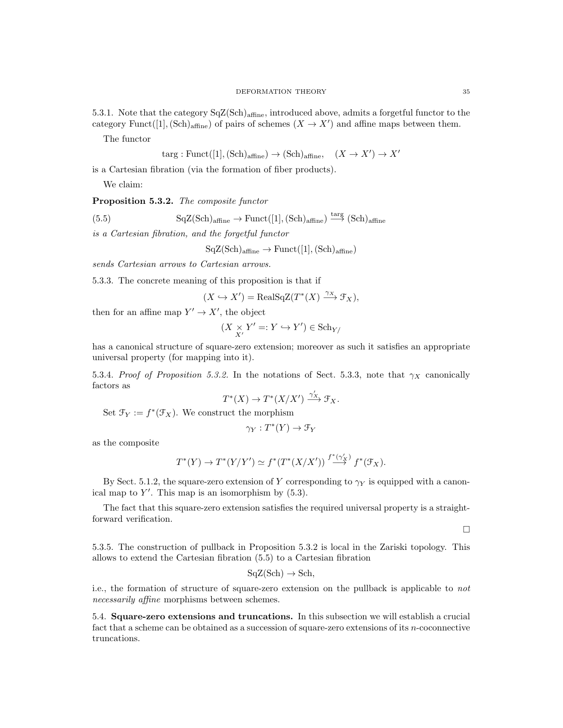5.3.1. Note that the category  $SqZ(Sch)_{affine}$ , introduced above, admits a forgetful functor to the category Funct([1],  $(\text{Sch})_{\text{affine}}$ ) of pairs of schemes  $(X \to X')$  and affine maps between them.

The functor

$$
targ: \text{Funct}([1], (\text{Sch})_{\text{affine}}) \to (\text{Sch})_{\text{affine}}, \quad (X \to X') \to X'
$$

is a Cartesian fibration (via the formation of fiber products).

We claim:

Proposition 5.3.2. The composite functor

(5.5) 
$$
\mathrm{SqZ}(\mathrm{Sch})_{\mathrm{affine}} \to \mathrm{Funct}([1], (\mathrm{Sch})_{\mathrm{affine}}) \stackrel{\mathrm{targ}}{\longrightarrow} (\mathrm{Sch})_{\mathrm{affine}}
$$

is a Cartesian fibration, and the forgetful functor

$$
\text{SqZ}(\text{Sch})_{\text{affine}} \to \text{Funct}([1], (\text{Sch})_{\text{affine}})
$$

sends Cartesian arrows to Cartesian arrows.

5.3.3. The concrete meaning of this proposition is that if

$$
(X \hookrightarrow X') = \text{RealSqZ}(T^*(X) \xrightarrow{\gamma_X} \mathcal{F}_X),
$$

then for an affine map  $Y' \to X'$ , the object

$$
(X \underset{X'}{\times} Y' =: Y \hookrightarrow Y') \in \mathrm{Sch}_{Y/}
$$

has a canonical structure of square-zero extension; moreover as such it satisfies an appropriate universal property (for mapping into it).

5.3.4. Proof of Proposition 5.3.2. In the notations of Sect. 5.3.3, note that  $\gamma_X$  canonically factors as

$$
T^*(X) \to T^*(X/X') \xrightarrow{\gamma'_X} \mathfrak{F}_X.
$$

Set  $\mathfrak{F}_Y := f^*(\mathfrak{F}_X)$ . We construct the morphism

$$
\gamma_Y: T^*(Y) \to \mathcal{F}_Y
$$

as the composite

$$
T^*(Y) \to T^*(Y/Y') \simeq f^*(T^*(X/X')) \stackrel{f^*(\gamma'_X)}{\longrightarrow} f^*(\mathfrak{F}_X).
$$

By Sect. 5.1.2, the square-zero extension of Y corresponding to  $\gamma_Y$  is equipped with a canonical map to  $Y'$ . This map is an isomorphism by  $(5.3)$ .

The fact that this square-zero extension satisfies the required universal property is a straightforward verification.

 $\Box$ 

5.3.5. The construction of pullback in Proposition 5.3.2 is local in the Zariski topology. This allows to extend the Cartesian fibration (5.5) to a Cartesian fibration

$$
SqZ(Sch) \to Sch,
$$

i.e., the formation of structure of square-zero extension on the pullback is applicable to not necessarily affine morphisms between schemes.

5.4. Square-zero extensions and truncations. In this subsection we will establish a crucial fact that a scheme can be obtained as a succession of square-zero extensions of its n-coconnective truncations.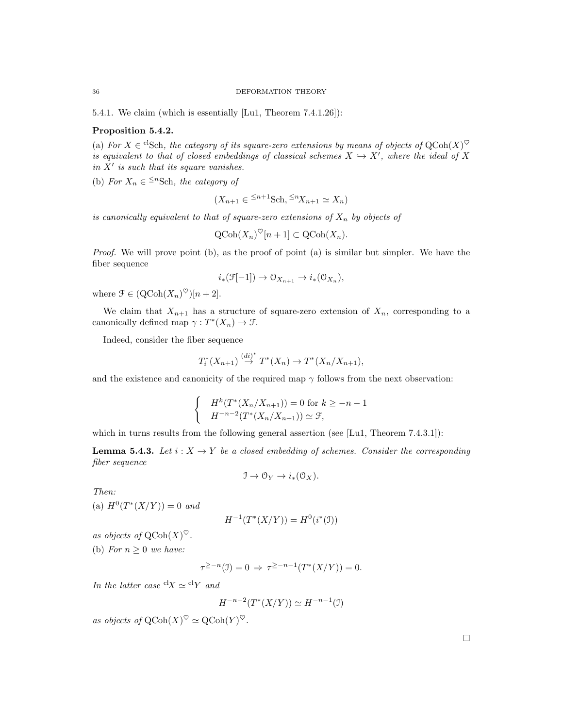5.4.1. We claim (which is essentially [Lu1, Theorem 7.4.1.26]):

# Proposition 5.4.2.

(a) For  $X \in C^1$ Sch, the category of its square-zero extensions by means of objects of  $Q \text{Coh}(X)^\heartsuit$ is equivalent to that of closed embeddings of classical schemes  $X \hookrightarrow X'$ , where the ideal of X in  $X'$  is such that its square vanishes.

(b) For  $X_n \in \leq^n \text{Sch}$ , the category of

$$
(X_{n+1} \in \frac{1}{2}n+1} \text{Sch}, \frac{1}{2}nX_{n+1} \simeq X_n)
$$

is canonically equivalent to that of square-zero extensions of  $X_n$  by objects of

$$
\mathrm{QCoh}(X_n)^\heartsuit[n+1] \subset \mathrm{QCoh}(X_n).
$$

Proof. We will prove point (b), as the proof of point (a) is similar but simpler. We have the fiber sequence

$$
i_*(\mathcal{F}[-1]) \to \mathcal{O}_{X_{n+1}} \to i_*(\mathcal{O}_{X_n}),
$$

where  $\mathcal{F} \in (\mathrm{QCoh}(X_n)^\heartsuit)[n+2].$ 

We claim that  $X_{n+1}$  has a structure of square-zero extension of  $X_n$ , corresponding to a canonically defined map  $\gamma: T^*(X_n) \to \mathcal{F}.$ 

Indeed, consider the fiber sequence

$$
T_i^*(X_{n+1}) \stackrel{(di)^*}{\rightarrow} T^*(X_n) \rightarrow T^*(X_n/X_{n+1}),
$$

and the existence and canonicity of the required map  $\gamma$  follows from the next observation:

$$
\begin{cases} H^k(T^*(X_n/X_{n+1})) = 0 \text{ for } k \ge -n-1\\ H^{-n-2}(T^*(X_n/X_{n+1})) \simeq \mathcal{F}, \end{cases}
$$

which in turns results from the following general assertion (see [Lu1, Theorem 7.4.3.1]):

**Lemma 5.4.3.** Let  $i: X \to Y$  be a closed embedding of schemes. Consider the corresponding fiber sequence

 $\mathcal{I} \to \mathcal{O}_Y \to i_*(\mathcal{O}_X).$ 

Then:

(a) 
$$
H^0(T^*(X/Y)) = 0
$$
 and

$$
H^{-1}(T^*(X/Y)) = H^0(i^*(\mathfrak{I}))
$$

as objects of  $\mathrm{QCoh}(X)^\heartsuit$ .

(b) For  $n \geq 0$  we have:

$$
\tau^{\geq -n}(\mathfrak{I}) = 0 \Rightarrow \tau^{\geq -n-1}(T^*(X/Y)) = 0.
$$

In the latter case  ${}^{cl}X \simeq {}^{cl}Y$  and

$$
H^{-n-2}(T^*(X/Y)) \simeq H^{-n-1}(\mathfrak{I})
$$

as objects of  $\mathrm{QCoh}(X)^\heartsuit \simeq \mathrm{QCoh}(Y)^\heartsuit$ .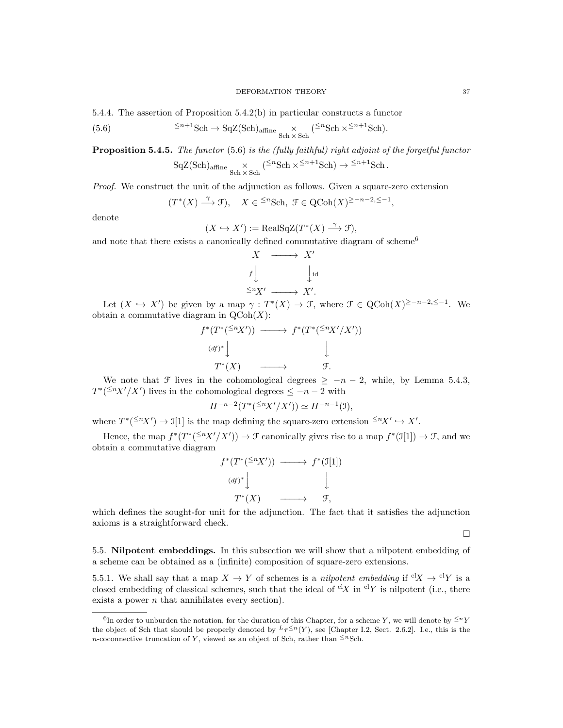5.4.4. The assertion of Proposition 5.4.2(b) in particular constructs a functor

(5.6) 
$$
\leq^{n+1} \text{Sch} \to \text{SqZ}(\text{Sch})_{\text{affine}} \underset{\text{Sch} \times \text{Sch}}{\times} (\leq^{n} \text{Sch} \times \leq^{n+1} \text{Sch}).
$$

**Proposition 5.4.5.** The functor (5.6) is the (fully faithful) right adjoint of the forgetful functor  $SqZ(Sch)_{affine} \times (\leq^{n} Sch \times \leq^{n+1}Sch) \rightarrow \leq^{n+1}Sch.$ 

$$
\text{SqZ}(\text{Sch})_{\text{affine}} \underset{\text{Sch} \times \text{Sch}}{\times} (-\text{Set} \times \text{Set} \times \text{Set}) \rightarrow -\text{Set} \text{Set}
$$

Proof. We construct the unit of the adjunction as follows. Given a square-zero extension

$$
(T^*(X) \stackrel{\gamma}{\longrightarrow} \mathcal{F}), \quad X \in \ {}^{\leq n} {\mathrm{Sch}}, \ {\mathcal{F}} \in {\mathrm{QCoh}}(X)^{\geq -n-2, \leq -1},
$$

denote

$$
(X \hookrightarrow X') := \text{RealSqZ}(T^*(X) \xrightarrow{\gamma} \mathcal{F}),
$$

and note that there exists a canonically defined commutative diagram of scheme<sup>6</sup>

$$
X \longrightarrow X'
$$
  
 $f \downarrow \qquad \qquad \downarrow id$   
 $\leq^n X'$   $\longrightarrow X'.$ 

Let  $(X \hookrightarrow X')$  be given by a map  $\gamma : T^*(X) \to \mathcal{F}$ , where  $\mathcal{F} \in \mathrm{QCoh}(X)^{\geq -n-2, \leq -1}$ . We obtain a commutative diagram in  $\mathrm{QCoh}(X)$ :

$$
f^*(T^*(\leq^n X')) \longrightarrow f^*(T^*(\leq^n X'/X'))
$$
  
\n(df)\*\downarrow \qquad \qquad \downarrow  
\nT^\*(X) \longrightarrow f.

We note that F lives in the cohomological degrees  $\geq -n-2$ , while, by Lemma 5.4.3,  $T^{*}({}^{\leq n}X'/X')$  lives in the cohomological degrees  $\leq -n-2$  with

$$
H^{-n-2}(T^*(\leq^n\!\!X'/X'))\simeq H^{-n-1}(\mathfrak{I}),
$$

where  $T^*(\leq^n X') \to \mathcal{I}[1]$  is the map defining the square-zero extension  $\leq^n X' \hookrightarrow X'$ .

Hence, the map  $f^*(T^*(\leq^n X'/X')) \to \mathcal{F}$  canonically gives rise to a map  $f^*(\mathcal{I}[1]) \to \mathcal{F}$ , and we obtain a commutative diagram

$$
f^*(T^*(\leq^n X')) \longrightarrow f^*(\mathcal{I}[1])
$$
  
\n
$$
(df)^* \downarrow \qquad \qquad \downarrow
$$
  
\n
$$
T^*(X) \longrightarrow \mathcal{F},
$$

which defines the sought-for unit for the adjunction. The fact that it satisfies the adjunction axioms is a straightforward check.

 $\Box$ 

5.5. Nilpotent embeddings. In this subsection we will show that a nilpotent embedding of a scheme can be obtained as a (infinite) composition of square-zero extensions.

5.5.1. We shall say that a map  $X \to Y$  of schemes is a nilpotent embedding if  ${}^{\text{cl}}X \to {}^{\text{cl}}Y$  is a closed embedding of classical schemes, such that the ideal of  ${}^{cl}X$  in  ${}^{cl}Y$  is nilpotent (i.e., there exists a power  $n$  that annihilates every section).

<sup>&</sup>lt;sup>6</sup>In order to unburden the notation, for the duration of this Chapter, for a scheme Y, we will denote by  $\leq^n Y$ the object of Sch that should be properly denoted by  $L_{\tau} \leq n(Y)$ , see [Chapter I.2, Sect. 2.6.2]. I.e., this is the n-coconnective truncation of Y, viewed as an object of Sch, rather than  $\leq^{n}$ Sch.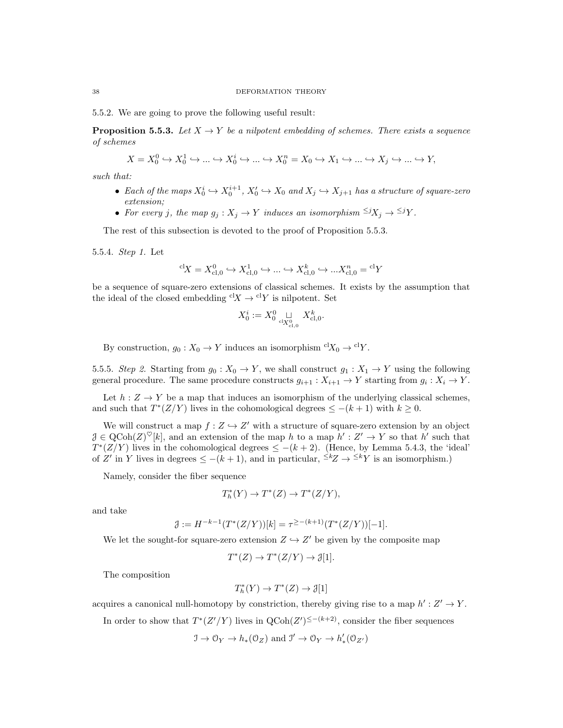5.5.2. We are going to prove the following useful result:

**Proposition 5.5.3.** Let  $X \to Y$  be a nilpotent embedding of schemes. There exists a sequence of schemes

$$
X = X_0^0 \hookrightarrow X_0^1 \hookrightarrow \dots \hookrightarrow X_0^i \hookrightarrow \dots \hookrightarrow X_0^n = X_0 \hookrightarrow X_1 \hookrightarrow \dots \hookrightarrow X_j \hookrightarrow \dots \hookrightarrow Y,
$$

such that:

- Each of the maps  $X_0^i \hookrightarrow X_0^{i+1}$ ,  $X_0' \hookrightarrow X_0$  and  $X_j \hookrightarrow X_{j+1}$  has a structure of square-zero extension;
- For every j, the map  $g_j: X_j \to Y$  induces an isomorphism  $\leq jX_j \to \leq jY$ .

The rest of this subsection is devoted to the proof of Proposition 5.5.3.

5.5.4. Step 1. Let

$$
{}^{\mathrm{cl}} \! X = X_{\mathrm{cl},0}^{0} \hookrightarrow X_{\mathrm{cl},0}^{1} \hookrightarrow \ldots \hookrightarrow X_{\mathrm{cl},0}^{k} \hookrightarrow \ldots X_{\mathrm{cl},0}^{n} = {}^{\mathrm{cl}} Y
$$

be a sequence of square-zero extensions of classical schemes. It exists by the assumption that the ideal of the closed embedding  ${}^{cl}X \rightarrow {}^{cl}Y$  is nilpotent. Set

$$
X_0^i := X_0^0 \underset{\mathrm{cl}_{X_{\mathrm{cl},0}^0}}{\sqcup} X_{\mathrm{cl},0}^k.
$$

By construction,  $g_0: X_0 \to Y$  induces an isomorphism  ${}^{cl}X_0 \to {}^{cl}Y$ .

5.5.5. Step 2. Starting from  $g_0: X_0 \to Y$ , we shall construct  $g_1: X_1 \to Y$  using the following general procedure. The same procedure constructs  $g_{i+1}: X_{i+1} \to Y$  starting from  $g_i: X_i \to Y$ .

Let  $h: Z \to Y$  be a map that induces an isomorphism of the underlying classical schemes, and such that  $T^*(Z/Y)$  lives in the cohomological degrees  $\leq -(k+1)$  with  $k \geq 0$ .

We will construct a map  $f: Z \hookrightarrow Z'$  with a structure of square-zero extension by an object  $\mathcal{J} \in \mathrm{QCoh}(Z)^\heartsuit[k]$ , and an extension of the map h to a map  $h' : Z' \to Y$  so that h' such that  $T^*(Z/Y)$  lives in the cohomological degrees  $\leq -(k+2)$ . (Hence, by Lemma 5.4.3, the 'ideal' of Z' in Y lives in degrees  $\leq -(k+1)$ , and in particular,  $\leq k$  $\geq k$ Y is an isomorphism.)

Namely, consider the fiber sequence

$$
T_h^*(Y) \to T^*(Z) \to T^*(Z/Y),
$$

and take

$$
\mathcal{J} := H^{-k-1}(T^*(Z/Y))[k] = \tau^{\geq -(k+1)}(T^*(Z/Y))[-1].
$$

We let the sought-for square-zero extension  $Z \hookrightarrow Z'$  be given by the composite map

$$
T^*(Z) \to T^*(Z/Y) \to \mathcal{J}[1].
$$

The composition

$$
T^*_h(Y) \to T^*(Z) \to \mathcal{J}[1]
$$

acquires a canonical null-homotopy by constriction, thereby giving rise to a map  $h': Z' \to Y$ .

In order to show that  $T^*(Z'/Y)$  lives in  $Q\text{Coh}(Z')^{\leq -(k+2)}$ , consider the fiber sequences

$$
\mathfrak{I} \to \mathcal{O}_Y \to h_*(\mathcal{O}_Z)
$$
 and  $\mathfrak{I}' \to \mathcal{O}_Y \to h'_*(\mathcal{O}_{Z'})$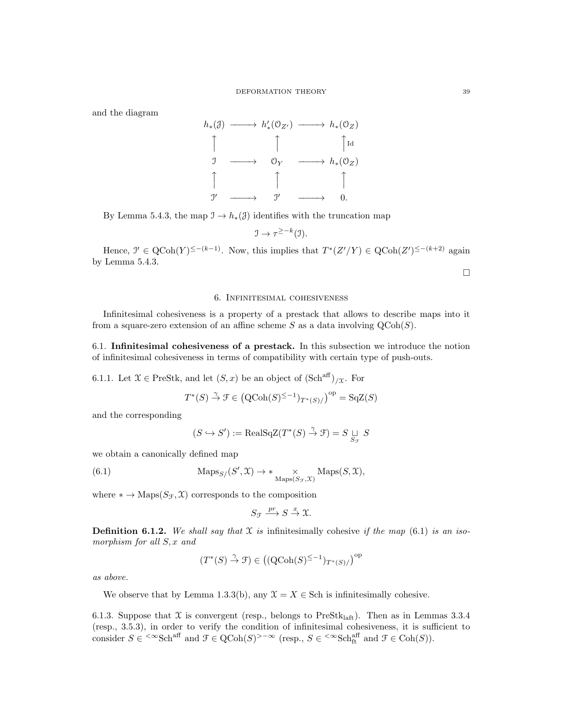#### DEFORMATION THEORY 39

and the diagram



By Lemma 5.4.3, the map  $\mathcal{I} \to h_*(\mathcal{J})$  identifies with the truncation map

$$
\mathfrak{I} \to \tau^{\geq -k}(\mathfrak{I}).
$$

Hence,  $\mathcal{I}' \in \text{QCoh}(Y)^{\leq -(k-1)}$ . Now, this implies that  $T^*(Z'/Y) \in \text{QCoh}(Z')^{\leq -(k+2)}$  again by Lemma 5.4.3.

 $\Box$ 

### 6. Infinitesimal cohesiveness

Infinitesimal cohesiveness is a property of a prestack that allows to describe maps into it from a square-zero extension of an affine scheme S as a data involving  $QCoh(S)$ .

6.1. Infinitesimal cohesiveness of a prestack. In this subsection we introduce the notion of infinitesimal cohesiveness in terms of compatibility with certain type of push-outs.

6.1.1. Let  $\mathfrak{X} \in \text{PreStk}$ , and let  $(S, x)$  be an object of  $(\text{Sch}^{\text{aff}})_{/\mathfrak{X}}$ . For

$$
T^*(S) \stackrel{\gamma}{\to} \mathcal{F} \in \left( \text{QCoh}(S)^{\leq -1} \right)_{T^*(S)/} \right)^{\text{op}} = \text{SqZ}(S)
$$

and the corresponding

$$
(S \hookrightarrow S') := \text{RealSqZ}(T^*(S) \stackrel{\gamma}{\to} \mathcal{F}) = S \underset{S_{\mathcal{F}}}{\sqcup} S
$$

we obtain a canonically defined map

(6.1) 
$$
\text{Maps}_{S}/(S', \mathfrak{X}) \to * \underset{\text{Maps}(S_{\mathcal{F}}, \mathfrak{X})}{\times} \text{Maps}(S, \mathfrak{X}),
$$

where  $* \to \text{Maps}(S_{\mathcal{F}}, \mathcal{X})$  corresponds to the composition

$$
S_{\mathcal{F}} \xrightarrow{pr} S \xrightarrow{x} \mathfrak{X}.
$$

**Definition 6.1.2.** We shall say that  $X$  is infinitesimally cohesive if the map (6.1) is an isomorphism for all  $S, x$  and

$$
(T^*(S) \stackrel{\gamma}{\to} \mathcal{F}) \in \left((\operatorname{QCoh}(S)^{\leq -1})_{T^*(S)}/\right)^{\operatorname{op}}
$$

as above.

We observe that by Lemma 1.3.3(b), any  $\mathcal{X} = X \in \text{Sch}$  is infinitesimally cohesive.

6.1.3. Suppose that  $\mathfrak X$  is convergent (resp., belongs to PreStk<sub>laft</sub>). Then as in Lemmas 3.3.4 (resp., 3.5.3), in order to verify the condition of infinitesimal cohesiveness, it is sufficient to consider  $S \in \langle \infty \text{Sch}^{\text{aff}} \text{ and } \mathcal{F} \in \text{QCoh}(S) \rangle - \infty$  (resp.,  $S \in \langle \infty \text{Sch}^{\text{aff}}_{\text{ft}} \text{ and } \mathcal{F} \in \text{Coh}(S) \rangle$ ).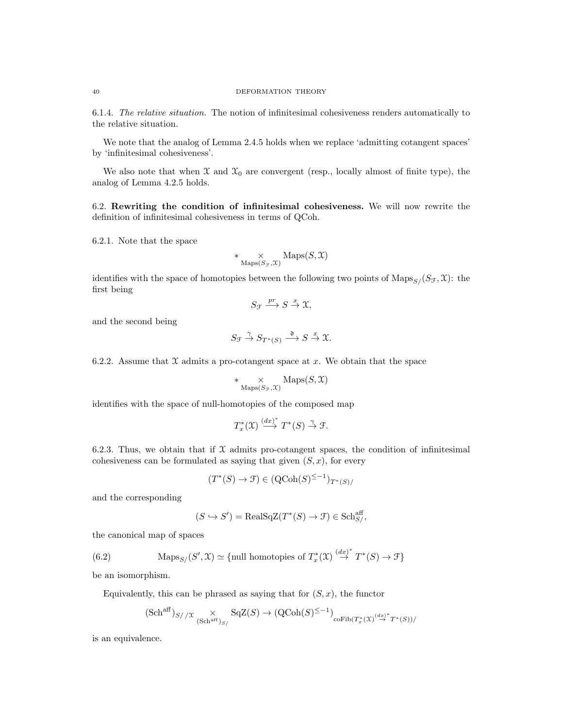6.1.4. The relative situation. The notion of infinitesimal cohesiveness renders automatically to the relative situation.

We note that the analog of Lemma 2.4.5 holds when we replace 'admitting cotangent spaces' by 'infinitesimal cohesiveness'.

We also note that when  $\mathfrak X$  and  $\mathfrak X_0$  are convergent (resp., locally almost of finite type), the analog of Lemma 4.2.5 holds.

6.2. Rewriting the condition of infinitesimal cohesiveness. We will now rewrite the definition of infinitesimal cohesiveness in terms of QCoh.

6.2.1. Note that the space

$$
* \underset{\mathrm{Maps}(S_{\mathcal{F}}, \mathcal{X})}{\times} \mathrm{Maps}(S, \mathcal{X})
$$

identifies with the space of homotopies between the following two points of  $\text{Maps}_{S}(S_{\mathcal{F}}, \mathcal{X})$ : the first being

$$
S_{\mathcal{F}} \xrightarrow{pr} S \xrightarrow{x} \mathfrak{X},
$$

and the second being

$$
S_{\mathcal{F}} \stackrel{\gamma}{\to} S_{T^*(S)} \stackrel{\mathfrak{d}}{\longrightarrow} S \stackrel{x}{\to} \mathfrak{X}.
$$

6.2.2. Assume that  $X$  admits a pro-cotangent space at x. We obtain that the space

$$
* \underset{\mathrm{Maps}(S_{\mathcal{F}},\mathfrak{X})}{\times} \mathrm{Maps}(S,\mathfrak{X})
$$

identifies with the space of null-homotopies of the composed map

$$
T^*_x(\mathfrak{X}) \stackrel{(dx)^*}{\longrightarrow} T^*(S) \stackrel{\gamma}{\to} \mathfrak{F}.
$$

6.2.3. Thus, we obtain that if  $\mathfrak X$  admits pro-cotangent spaces, the condition of infinitesimal cohesiveness can be formulated as saying that given  $(S, x)$ , for every

$$
(T^*(S) \to \mathcal{F}) \in (\mathrm{QCoh}(S)^{\le -1})_{T^*(S)}
$$

and the corresponding

$$
(S \hookrightarrow S') = \text{RealSqZ}(T^*(S) \to \mathcal{F}) \in \text{Sch}^{\text{aff}}_{S/}
$$

the canonical map of spaces

(6.2) 
$$
\operatorname{Maps}_{S}/(S', \mathfrak{X}) \simeq \{\text{null homotopies of } T_x^*(\mathfrak{X}) \stackrel{(dx)^*}{\to} T^*(S) \to \mathfrak{F}\}
$$

be an isomorphism.

Equivalently, this can be phrased as saying that for  $(S, x)$ , the functor

$$
(\mathrm{Sch}^{\mathrm{aff}})_{S//\mathfrak{X}} \underset{(\mathrm{Sch}^{\mathrm{aff}})_{S/}}{\times} \mathrm{SqZ}(S) \to (\mathrm{QCoh}(S)^{\leq -1})_{\mathrm{coFib}(T_x^*(\mathfrak{X}) \stackrel{(dx)^*}{\to} T^*(S))/}
$$

is an equivalence.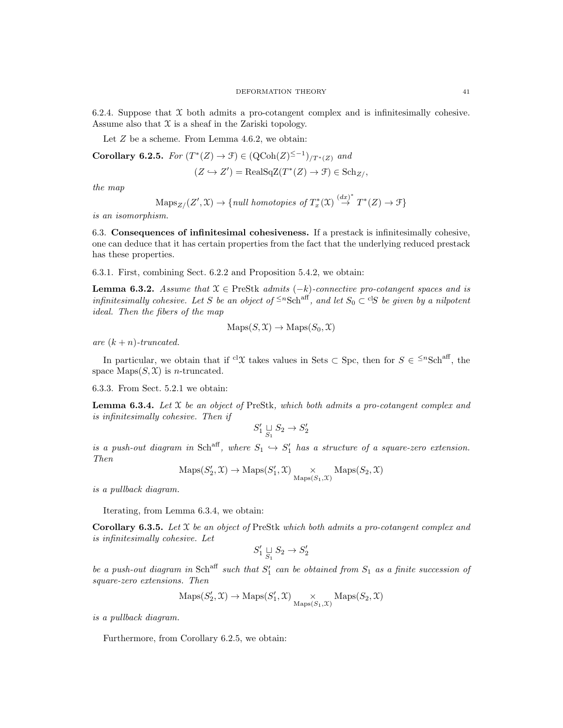6.2.4. Suppose that  $X$  both admits a pro-cotangent complex and is infinitesimally cohesive. Assume also that  $\mathfrak X$  is a sheaf in the Zariski topology.

Let Z be a scheme. From Lemma 4.6.2, we obtain:

Corollary 6.2.5. For 
$$
(T^*(Z) \to \mathcal{F}) \in (\mathrm{QCoh}(Z)^{\leq -1})_{/T^*(Z)}
$$
 and  
\n $(Z \hookrightarrow Z') = \mathrm{RealSqZ}(T^*(Z) \to \mathcal{F}) \in \mathrm{Sch}_{Z/}$ 

the map

$$
\operatorname{Maps}_{Z/}(Z', \mathfrak{X}) \to \{ \text{null homotopies of } T_x^*(\mathfrak{X}) \stackrel{(dx)^*}{\to} T^*(Z) \to \mathfrak{F} \}
$$

is an isomorphism.

6.3. Consequences of infinitesimal cohesiveness. If a prestack is infinitesimally cohesive, one can deduce that it has certain properties from the fact that the underlying reduced prestack has these properties.

6.3.1. First, combining Sect. 6.2.2 and Proposition 5.4.2, we obtain:

**Lemma 6.3.2.** Assume that  $X \in \text{PreStk }$  admits  $(-k)$ -connective pro-cotangent spaces and is infinitesimally cohesive. Let S be an object of  $\leq n\,\text{Sch}^{\text{aff}}$ , and let  $S_0 \subset \text{cl}S$  be given by a nilpotent ideal. Then the fibers of the map

$$
Maps(S, \mathcal{X}) \to Maps(S_0, \mathcal{X})
$$

are  $(k+n)$ -truncated.

In particular, we obtain that if <sup>cl</sup> $\mathcal{X}$  takes values in Sets  $\subset$  Spc, then for  $S \in \leq^n\text{Sch}^{\text{aff}}$ , the space  $Maps(S, \mathcal{X})$  is *n*-truncated.

6.3.3. From Sect. 5.2.1 we obtain:

**Lemma 6.3.4.** Let  $X$  be an object of PreStk, which both admits a pro-cotangent complex and is infinitesimally cohesive. Then if

$$
S_1' \underset{S_1}{\sqcup} S_2 \to S_2'
$$

is a push-out diagram in Sch<sup>aff</sup>, where  $S_1 \hookrightarrow S'_1$  has a structure of a square-zero extension. Then

$$
\mathrm{Maps}(S_2',\mathfrak{X})\to\mathrm{Maps}(S_1',\mathfrak{X})\underset{\mathrm{Maps}(S_1,\mathfrak{X})}{\times}\mathrm{Maps}(S_2,\mathfrak{X})
$$

is a pullback diagram.

Iterating, from Lemma 6.3.4, we obtain:

**Corollary 6.3.5.** Let  $X$  be an object of PreStk which both admits a pro-cotangent complex and is infinitesimally cohesive. Let

$$
S'_1 \underset{S_1}{\sqcup} S_2 \to S'_2
$$

be a push-out diagram in Sch<sup>aff</sup> such that  $S'_1$  can be obtained from  $S_1$  as a finite succession of square-zero extensions. Then

$$
\mathrm{Maps}(S'_2,\mathcal{X})\to\mathrm{Maps}(S'_1,\mathcal{X})\underset{\mathrm{Maps}(S_1,\mathcal{X})}{\times}\mathrm{Maps}(S_2,\mathcal{X})
$$

is a pullback diagram.

Furthermore, from Corollary 6.2.5, we obtain: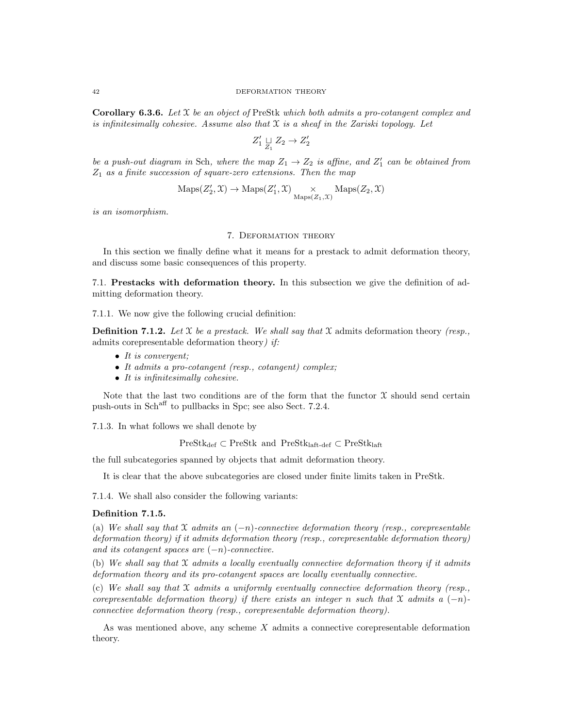**Corollary 6.3.6.** Let  $\mathfrak X$  be an object of PreStk which both admits a pro-cotangent complex and is infinitesimally cohesive. Assume also that  $X$  is a sheaf in the Zariski topology. Let

$$
Z'_1 \underset{Z_1}{\sqcup} Z_2 \to Z'_2
$$

be a push-out diagram in Sch, where the map  $Z_1 \rightarrow Z_2$  is affine, and  $Z'_1$  can be obtained from  $Z_1$  as a finite succession of square-zero extensions. Then the map

$$
\mathrm{Maps}(Z'_2,\mathfrak{X})\to\mathrm{Maps}(Z'_1,\mathfrak{X})\underset{\mathrm{Maps}(Z_1,\mathfrak{X})}{\times}\mathrm{Maps}(Z_2,\mathfrak{X})
$$

is an isomorphism.

### 7. Deformation theory

In this section we finally define what it means for a prestack to admit deformation theory, and discuss some basic consequences of this property.

7.1. Prestacks with deformation theory. In this subsection we give the definition of admitting deformation theory.

7.1.1. We now give the following crucial definition:

**Definition 7.1.2.** Let  $\mathcal{X}$  be a prestack. We shall say that  $\mathcal{X}$  admits deformation theory (resp., admits corepresentable deformation theory) if:

- It is convergent;
- It admits a pro-cotangent (resp., cotangent) complex;
- It is infinitesimally cohesive.

Note that the last two conditions are of the form that the functor  $\mathfrak X$  should send certain push-outs in Schaff to pullbacks in Spc; see also Sect. 7.2.4.

7.1.3. In what follows we shall denote by

 $PreStk_{def} \subset PreStk_{ant}$  and  $PreStk_{left-def} \subset PreStk_{left}$ 

the full subcategories spanned by objects that admit deformation theory.

It is clear that the above subcategories are closed under finite limits taken in PreStk.

7.1.4. We shall also consider the following variants:

#### Definition 7.1.5.

(a) We shall say that  $\mathfrak X$  admits an  $(-n)$ -connective deformation theory (resp., corepresentable deformation theory) if it admits deformation theory (resp., corepresentable deformation theory) and its cotangent spaces are  $(-n)$ -connective.

(b) We shall say that  $\mathfrak X$  admits a locally eventually connective deformation theory if it admits deformation theory and its pro-cotangent spaces are locally eventually connective.

(c) We shall say that  $\mathfrak X$  admits a uniformly eventually connective deformation theory (resp., corepresentable deformation theory) if there exists an integer n such that  $\mathfrak X$  admits a  $(-n)$ connective deformation theory (resp., corepresentable deformation theory).

As was mentioned above, any scheme X admits a connective corepresentable deformation theory.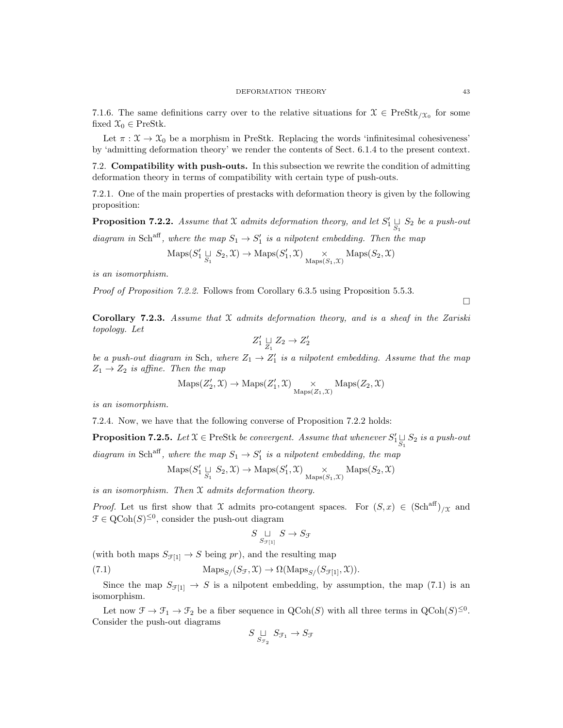7.1.6. The same definitions carry over to the relative situations for  $\mathcal{X} \in \text{PreStk}_{/\mathcal{X}_0}$  for some fixed  $\mathcal{X}_0 \in \text{PreStk.}$ 

Let  $\pi : \mathfrak{X} \to \mathfrak{X}_0$  be a morphism in PreStk. Replacing the words 'infinitesimal cohesiveness' by 'admitting deformation theory' we render the contents of Sect. 6.1.4 to the present context.

7.2. Compatibility with push-outs. In this subsection we rewrite the condition of admitting deformation theory in terms of compatibility with certain type of push-outs.

7.2.1. One of the main properties of prestacks with deformation theory is given by the following proposition:

**Proposition 7.2.2.** Assume that X admits deformation theory, and let  $S'_1 \underset{S_1}{\sqcup} S_2$  be a push-out

diagram in Sch<sup>aff</sup>, where the map  $S_1 \rightarrow S'_1$  is a nilpotent embedding. Then the map

$$
\mathrm{Maps}(S'_1 \underset{S_1}{\sqcup} S_2, \mathcal{X}) \to \mathrm{Maps}(S'_1, \mathcal{X}) \underset{\mathrm{Maps}(S_1, \mathcal{X})}{\times} \mathrm{Maps}(S_2, \mathcal{X})
$$

is an isomorphism.

Proof of Proposition 7.2.2. Follows from Corollary 6.3.5 using Proposition 5.5.3.

 $\Box$ 

Corollary 7.2.3. Assume that  $X$  admits deformation theory, and is a sheaf in the Zariski topology. Let

$$
Z'_1 \mathrel{\underset{Z_1}{\sqcup}} Z_2 \to Z'_2
$$

be a push-out diagram in Sch, where  $Z_1 \rightarrow Z'_1$  is a nilpotent embedding. Assume that the map  $Z_1 \rightarrow Z_2$  is affine. Then the map

$$
\mathrm{Maps}(Z'_2,\mathfrak{X}) \to \mathrm{Maps}(Z'_1,\mathfrak{X}) \underset{\mathrm{Maps}(Z_1,\mathfrak{X})}{\times} \mathrm{Maps}(Z_2,\mathfrak{X})
$$

is an isomorphism.

7.2.4. Now, we have that the following converse of Proposition 7.2.2 holds:

**Proposition 7.2.5.** Let  $X \in \text{PreStk}$  be convergent. Assume that whenever  $S'_{1} \underset{S_1}{\cup} S_2$  is a push-out

diagram in Sch<sup>aff</sup>, where the map  $S_1 \rightarrow S'_1$  is a nilpotent embedding, the map

$$
\mathrm{Maps}(S'_1 \sqcup_{S_1} S_2, \mathcal{X}) \to \mathrm{Maps}(S'_1, \mathcal{X}) \underset{\mathrm{Maps}(S_1, \mathcal{X})}{\times} \mathrm{Maps}(S_2, \mathcal{X})
$$

is an isomorphism. Then X admits deformation theory.

*Proof.* Let us first show that X admits pro-cotangent spaces. For  $(S, x) \in (\text{Sch}^{\text{aff}})_{/\mathcal{X}}$  and  $\mathcal{F} \in \mathrm{QCoh}(S)^{\leq 0}$ , consider the push-out diagram

$$
S \underset{S_{\mathcal{F}[1]}}{\sqcup} S \to S_{\mathcal{F}}
$$

(with both maps  $S_{\mathcal{F}[1]} \to S$  being pr), and the resulting map

(7.1) 
$$
\text{Maps}_{S/}(S_{\mathcal{F}}, \mathfrak{X}) \to \Omega(\text{Maps}_{S/}(S_{\mathcal{F}[1]}, \mathfrak{X})).
$$

Since the map  $S_{\mathcal{F}[1]} \to S$  is a nilpotent embedding, by assumption, the map (7.1) is an isomorphism.

Let now  $\mathfrak{F} \to \mathfrak{F}_1 \to \mathfrak{F}_2$  be a fiber sequence in  $\mathrm{QCoh}(S)$  with all three terms in  $\mathrm{QCoh}(S)^{\leq 0}$ . Consider the push-out diagrams

$$
S \underset{S_{\mathcal{F}_2}}{\sqcup} S_{\mathcal{F}_1} \to S_{\mathcal{F}}
$$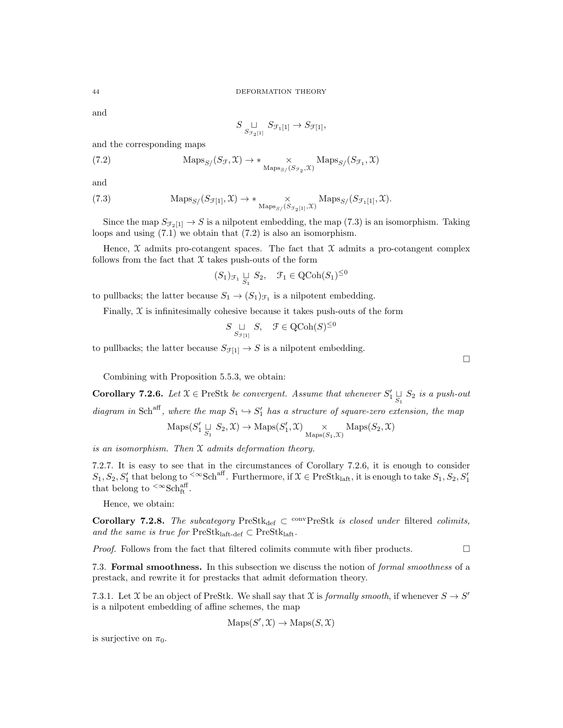and

$$
S \underset{S_{\mathcal{F}_2[1]}}{\sqcup} S_{\mathcal{F}_1[1]} \to S_{\mathcal{F}[1]},
$$

and the corresponding maps

(7.2) 
$$
\operatorname{Maps}_{S}/(S_{\mathcal{F}}, \mathfrak{X}) \to * \underset{\operatorname{Maps}_{S}/(S_{\mathcal{F}_2}, \mathfrak{X})}{\times} \operatorname{Maps}_{S}/(S_{\mathcal{F}_1}, \mathfrak{X})
$$

and

(7.3) 
$$
\operatorname{Maps}_{S/}(S_{\mathcal{F}[1]}, \mathcal{X}) \to * \underset{\operatorname{Maps}_{S/}(S_{\mathcal{F}_2[1]}, \mathcal{X})}{\times} \operatorname{Maps}_{S/}(S_{\mathcal{F}_1[1]}, \mathcal{X}).
$$

Since the map  $S_{\mathcal{F}_2[1]} \to S$  is a nilpotent embedding, the map (7.3) is an isomorphism. Taking loops and using (7.1) we obtain that (7.2) is also an isomorphism.

Hence,  $\mathfrak X$  admits pro-cotangent spaces. The fact that  $\mathfrak X$  admits a pro-cotangent complex follows from the fact that  $X$  takes push-outs of the form

$$
(S_1)_{\mathcal{F}_1} \underset{S_1}{\sqcup} S_2, \quad \mathcal{F}_1 \in \text{QCoh}(S_1)^{\leq 0}
$$

to pullbacks; the latter because  $S_1 \to (S_1)_{\mathcal{F}_1}$  is a nilpotent embedding.

Finally,  $\mathfrak X$  is infinitesimally cohesive because it takes push-outs of the form

$$
S \underset{S_{\mathcal{F}[1]}}{\sqcup} S, \quad \mathcal{F} \in \text{QCoh}(S)^{\leq 0}
$$

to pullbacks; the latter because  $S_{\mathcal{F}[1]} \to S$  is a nilpotent embedding.

Combining with Proposition 5.5.3, we obtain:

**Corollary 7.2.6.** Let  $X \in \text{PreStk}$  be convergent. Assume that whenever  $S'_1 \underset{S_1}{\cup} S_2$  is a push-out diagram in Sch<sup>aff</sup>, where the map  $S_1 \hookrightarrow S'_1$  has a structure of square-zero extension, the map

$$
\mathrm{Maps}(S'_1 \underset{S_1}{\sqcup} S_2, \mathcal{X}) \to \mathrm{Maps}(S'_1, \mathcal{X}) \underset{\mathrm{Maps}(S_1, \mathcal{X})}{\times} \mathrm{Maps}(S_2, \mathcal{X})
$$

is an isomorphism. Then X admits deformation theory.

7.2.7. It is easy to see that in the circumstances of Corollary 7.2.6, it is enough to consider  $S_1, S_2, S'_1$  that belong to <sup><∞</sup>Sch<sup>aff</sup>. Furthermore, if  $\mathfrak{X} \in \text{PreStk}_{\text{laff}},$  it is enough to take  $S_1, S_2, S'_1$ that belong to  $\rm{<}\infty\rm{Sch}^{\rm{aff}}_{\rm{ft}}$ .

Hence, we obtain:

Corollary 7.2.8. The subcategory PreStk<sub>def</sub>  $\subset$  <sup>conv</sup>PreStk is closed under filtered colimits, and the same is true for  $PreStk<sub>laff-def</sub> \subset PreStk<sub>laff</sub>$ .

*Proof.* Follows from the fact that filtered colimits commute with fiber products.  $\Box$ 

7.3. Formal smoothness. In this subsection we discuss the notion of formal smoothness of a prestack, and rewrite it for prestacks that admit deformation theory.

7.3.1. Let X be an object of PreStk. We shall say that X is *formally smooth*, if whenever  $S \to S'$ is a nilpotent embedding of affine schemes, the map

$$
\mathrm{Maps}(S', \mathcal{X}) \to \mathrm{Maps}(S, \mathcal{X})
$$

is surjective on  $\pi_0$ .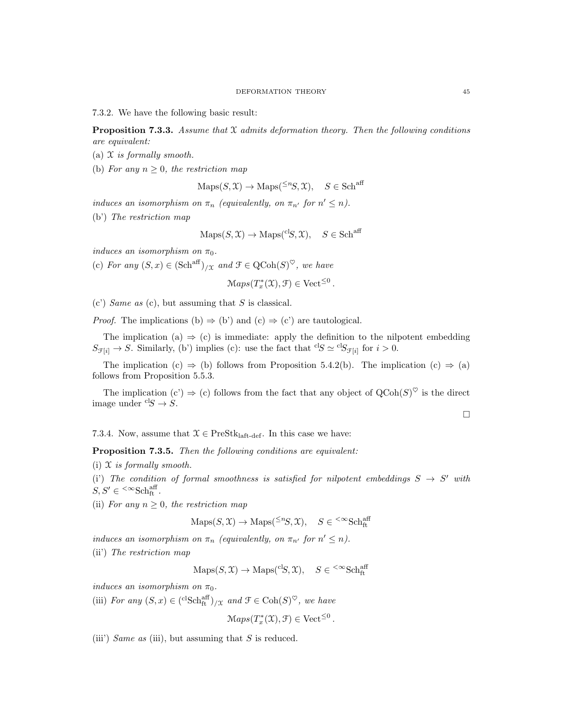7.3.2. We have the following basic result:

**Proposition 7.3.3.** Assume that  $\mathfrak X$  admits deformation theory. Then the following conditions are equivalent:

- (a)  $X$  is formally smooth.
- (b) For any  $n \geq 0$ , the restriction map

$$
Maps(S, \mathcal{X}) \to Maps({}^{\leq n}S, \mathcal{X}), \quad S \in Sch^{aff}
$$

induces an isomorphism on  $\pi_n$  (equivalently, on  $\pi_{n'}$  for  $n' \leq n$ ).

(b') The restriction map

$$
Maps(S, \mathcal{X}) \to \text{Maps}({}^{cl}S, \mathcal{X}), \quad S \in Sch^{aff}
$$

induces an isomorphism on  $\pi_0$ .

(c) For any  $(S, x) \in (\text{Sch}^{\text{aff}})_{/\mathfrak{X}}$  and  $\mathfrak{F} \in \text{QCoh}(S)^{\heartsuit}$ , we have

$$
Maps(T^*_x(\mathfrak{X}), \mathfrak{F}) \in Vect^{\leq 0}
$$

.

 $(c')$  Same as  $(c)$ , but assuming that S is classical.

*Proof.* The implications (b)  $\Rightarrow$  (b') and (c)  $\Rightarrow$  (c') are tautological.

The implication (a)  $\Rightarrow$  (c) is immediate: apply the definition to the nilpotent embedding  $S_{\mathcal{F}[i]} \to S$ . Similarly, (b') implies (c): use the fact that <sup>cl</sup>S  $\simeq$  <sup>cl</sup>S<sub>F[i]</sub> for  $i > 0$ .

The implication (c)  $\Rightarrow$  (b) follows from Proposition 5.4.2(b). The implication (c)  $\Rightarrow$  (a) follows from Proposition 5.5.3.

The implication (c')  $\Rightarrow$  (c) follows from the fact that any object of  $QCoh(S)^{\heartsuit}$  is the direct image under  ${}^{cl}S \rightarrow S$ .

7.3.4. Now, assume that  $\mathcal{X} \in \text{PreStk}_{\text{left-def}}$ . In this case we have:

Proposition 7.3.5. Then the following conditions are equivalent:

(i)  $X$  is formally smooth.

(i) The condition of formal smoothness is satisfied for nilpotent embeddings  $S \to S'$  with  $S, S' \in \sup^{\text{def}}_{\text{ft}}$ .

(ii) For any  $n \geq 0$ , the restriction map

$$
\mathrm{Maps}(S, \mathcal{X}) \to \mathrm{Maps}({}^{\leq n}S, \mathcal{X}), \quad S \in {}^{<\infty}\mathrm{Sch}^{\mathrm{aff}}_{\mathrm{ft}}
$$

induces an isomorphism on  $\pi_n$  (equivalently, on  $\pi_{n'}$  for  $n' \leq n$ ).

(ii') The restriction map

$$
\mathrm{Maps}(S, \mathcal{X}) \to \mathrm{Maps}({}^{\mathrm{cl}}S, \mathcal{X}), \quad S \in {}^{<\infty}\mathrm{Sch}^{\mathrm{aff}}_{\mathrm{ft}}
$$

induces an isomorphism on  $\pi_0$ .

(iii) For any  $(S, x) \in {\mathrm{clSch}}_{\mathrm{ft}}^{\mathrm{aff}}/_{X}$  and  $\mathcal{F} \in \mathrm{Coh}(S)^{\heartsuit}$ , we have

$$
Maps(T_x^*(\mathfrak{X}), \mathfrak{F}) \in Vect^{\leq 0}.
$$

(iii) Same as (iii), but assuming that  $S$  is reduced.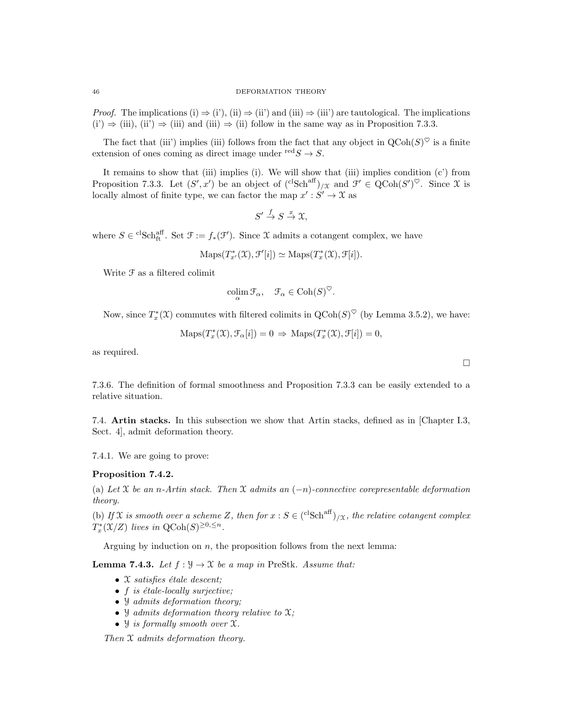*Proof.* The implications (i)  $\Rightarrow$  (i'), (ii)  $\Rightarrow$  (ii') and (iii)  $\Rightarrow$  (iii') are tautological. The implications  $(i') \Rightarrow (iii)$ ,  $(ii') \Rightarrow (iii)$  and  $(iii) \Rightarrow (ii)$  follow in the same way as in Proposition 7.3.3.

The fact that (iii) implies (iii) follows from the fact that any object in  $\text{QCoh}(S)^\heartsuit$  is a finite extension of ones coming as direct image under  $\text{red} S \to S$ .

It remains to show that (iii) implies (i). We will show that (iii) implies condition (c') from Proposition 7.3.3. Let  $(S', x')$  be an object of  $({}^{\text{cl}}\text{Sch}^{\text{aff}})_{/\mathfrak{X}}$  and  $\mathcal{F}' \in \text{QCoh}(S')^{\heartsuit}$ . Since X is locally almost of finite type, we can factor the map  $x': S' \to \mathfrak{X}$  as

$$
S' \xrightarrow{f} S \xrightarrow{x} \mathfrak{X},
$$

where  $S \in {}^{cl}Sch_{ft}^{aff}$ . Set  $\mathcal{F} := f_*(\mathcal{F}')$ . Since X admits a cotangent complex, we have

 $\mathrm{Maps}(T^*_{x'}(\mathfrak{X}), \mathfrak{F}'[i]) \simeq \mathrm{Maps}(T^*_{x}(\mathfrak{X}), \mathfrak{F}[i]).$ 

Write  ${\mathcal F}$  as a filtered colimit

$$
\operatorname{colim}_{\alpha} \mathcal{F}_{\alpha}, \quad \mathcal{F}_{\alpha} \in \operatorname{Coh}(S)^{\heartsuit}.
$$

Now, since  $T_x^*(\mathfrak{X})$  commutes with filtered colimits in  $\mathrm{QCoh}(S)^\heartsuit$  (by Lemma 3.5.2), we have:

$$
Maps(T_x^*(\mathfrak{X}), \mathcal{F}_\alpha[i]) = 0 \Rightarrow Maps(T_x^*(\mathfrak{X}), \mathcal{F}[i]) = 0,
$$

as required.

7.3.6. The definition of formal smoothness and Proposition 7.3.3 can be easily extended to a relative situation.

7.4. Artin stacks. In this subsection we show that Artin stacks, defined as in [Chapter I.3, Sect. 4], admit deformation theory.

7.4.1. We are going to prove:

### Proposition 7.4.2.

(a) Let X be an n-Artin stack. Then X admits an  $(-n)$ -connective corepresentable deformation theory.

(b) If X is smooth over a scheme Z, then for  $x : S \in {\text{clsch}}^{\text{aff}}/x$ , the relative cotangent complex  $T_x^*(\mathfrak{X}/Z)$  lives in  $\mathrm{QCoh}(S)^{\geq 0, \leq n}$ .

Arguing by induction on  $n$ , the proposition follows from the next lemma:

**Lemma 7.4.3.** Let  $f : \mathcal{Y} \to \mathcal{X}$  be a map in PreStk. Assume that:

- $\mathfrak X$  satisfies étale descent;
- $f$  is étale-locally surjective;
- *Y* admits deformation theory;
- $\mathcal{Y}$  admits deformation theory relative to  $\mathcal{X}$ ;
- $\mathcal Y$  is formally smooth over  $\mathfrak X$ .

Then X admits deformation theory.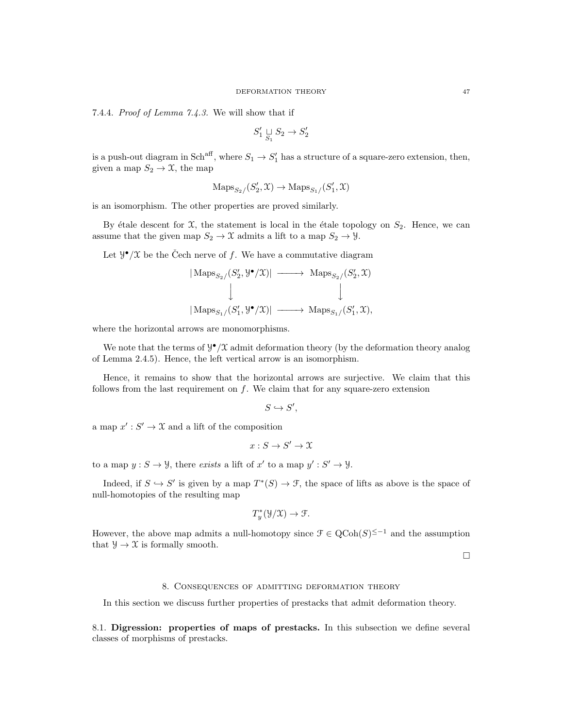7.4.4. Proof of Lemma 7.4.3. We will show that if

$$
S_1' \underset{S_1}{\sqcup} S_2 \to S_2'
$$

is a push-out diagram in Sch<sup>aff</sup>, where  $S_1 \to S_1'$  has a structure of a square-zero extension, then, given a map  $S_2 \to \mathfrak{X}$ , the map

$$
\operatorname{Maps}_{S_2/}(S'_2,\mathfrak{X})\to\operatorname{Maps}_{S_1/}(S'_1,\mathfrak{X})
$$

is an isomorphism. The other properties are proved similarly.

By étale descent for  $\mathfrak{X}$ , the statement is local in the étale topology on  $S_2$ . Hence, we can assume that the given map  $S_2 \to \mathfrak{X}$  admits a lift to a map  $S_2 \to \mathcal{Y}$ .

Let  $\mathcal{Y}^{\bullet}/\mathcal{X}$  be the Čech nerve of f. We have a commutative diagram

$$
\begin{array}{ccc}\n|\text{Maps}_{S_2}/(S'_2,\mathcal{Y}^{\bullet}/\mathcal{X})| & \longrightarrow & \text{Maps}_{S_2}/(S'_2,\mathcal{X}) \\
\downarrow & & \downarrow \\
|\text{Maps}_{S_1}/(S'_1,\mathcal{Y}^{\bullet}/\mathcal{X})| & \longrightarrow & \text{Maps}_{S_1}/(S'_1,\mathcal{X}),\n\end{array}
$$

where the horizontal arrows are monomorphisms.

We note that the terms of  $\mathcal{Y}^{\bullet}/\mathcal{X}$  admit deformation theory (by the deformation theory analog of Lemma 2.4.5). Hence, the left vertical arrow is an isomorphism.

Hence, it remains to show that the horizontal arrows are surjective. We claim that this follows from the last requirement on  $f$ . We claim that for any square-zero extension

$$
S \hookrightarrow S',
$$

a map  $x' : S' \to \mathfrak{X}$  and a lift of the composition

$$
x: S \to S' \to \mathfrak{X}
$$

to a map  $y : S \to Y$ , there exists a lift of x' to a map  $y' : S' \to Y$ .

Indeed, if  $S \hookrightarrow S'$  is given by a map  $T^*(S) \to \mathcal{F}$ , the space of lifts as above is the space of null-homotopies of the resulting map

$$
T_y^*(\mathcal{Y}/\mathcal{X}) \to \mathcal{F}.
$$

However, the above map admits a null-homotopy since  $\mathcal{F} \in \text{QCoh}(S)^{\leq -1}$  and the assumption that  $\mathcal{Y} \to \mathcal{X}$  is formally smooth.

 $\Box$ 

### 8. Consequences of admitting deformation theory

In this section we discuss further properties of prestacks that admit deformation theory.

8.1. Digression: properties of maps of prestacks. In this subsection we define several classes of morphisms of prestacks.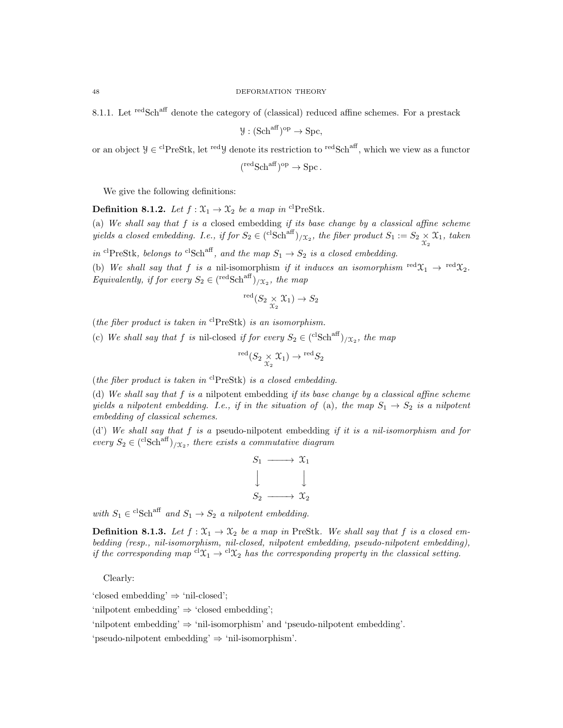8.1.1. Let <sup>red</sup>Sch<sup>aff</sup> denote the category of (classical) reduced affine schemes. For a prestack

$$
\mathcal{Y}: (\mathrm{Sch}^{\mathrm{aff}})^{\mathrm{op}} \to \mathrm{Spc},
$$

or an object  $\mathcal{Y} \in {}^{cl}P \text{reStk}$ , let  ${}^{red}\mathcal{Y}$  denote its restriction to  ${}^{red}Sch^{aff}$ , which we view as a functor

$$
(\text{redSch}^{\text{aff}})^{\text{op}} \to \text{Spc}.
$$

We give the following definitions:

**Definition 8.1.2.** Let  $f : \mathfrak{X}_1 \to \mathfrak{X}_2$  be a map in <sup>cl</sup>PreStk. (a) We shall say that  $f$  is a closed embedding if its base change by a classical affine scheme yields a closed embedding. I.e., if for  $S_2 \in {}^{(\mathrm{clSch} \mathrm{aff})}/\mathfrak{x}_2$ , the fiber product  $S_1 := S_2 \underset{\mathfrak{X}_2}{\times} \mathfrak{X}_1$ , taken in <sup>cl</sup>PreStk, belongs to <sup>cl</sup>Sch<sup>aff</sup>, and the map  $S_1 \rightarrow S_2$  is a closed embedding. (b) We shall say that f is a nil-isomorphism if it induces an isomorphism  $\text{red}\mathfrak{X}_1 \rightarrow \text{red}\mathfrak{X}_2$ . Equivalently, if for every  $S_2 \in (\text{redSch}^{\text{aff}})_{/\mathfrak{X}_2}$ , the map

$$
{}^{\rm red}(S_2\underset{\mathfrak{X}_2}{\times}\mathfrak{X}_1)\to S_2
$$

(the fiber product is taken in  ${}^{cl}$ PreStk) is an isomorphism.

(c) We shall say that f is nil-closed if for every  $S_2 \in {^{c}Sch}^{aff}$   $\mid \chi_2$ , the map

$$
{}^{\text{red}}(S_2 \underset{\mathcal{X}_2}{\times} \mathcal{X}_1) \to {}^{\text{red}}S_2
$$

(the fiber product is taken in  ${}^{cl}$ PreStk) is a closed embedding.

(d) We shall say that  $f$  is a nilpotent embedding if its base change by a classical affine scheme yields a nilpotent embedding. I.e., if in the situation of (a), the map  $S_1 \rightarrow S_2$  is a nilpotent embedding of classical schemes.

(d') We shall say that f is a pseudo-nilpotent embedding if it is a nil-isomorphism and for every  $S_2 \in {\rm (c^lSch^{aff})}_{/\mathfrak{T}_2}$ , there exists a commutative diagram

$$
S_1 \longrightarrow X_1
$$
  
\n
$$
\downarrow \qquad \qquad \downarrow
$$
  
\n
$$
S_2 \longrightarrow X_2
$$

with  $S_1 \in {}^{cl}Sch^{aff}$  and  $S_1 \to S_2$  a nilpotent embedding.

**Definition 8.1.3.** Let  $f: \mathfrak{X}_1 \to \mathfrak{X}_2$  be a map in PreStk. We shall say that f is a closed embedding (resp., nil-isomorphism, nil-closed, nilpotent embedding, pseudo-nilpotent embedding), if the corresponding map  ${}^{cl}\mathfrak{X}_1 \rightarrow {}^{cl}\mathfrak{X}_2$  has the corresponding property in the classical setting.

Clearly:

'closed embedding' ⇒ 'nil-closed';

'nilpotent embedding'  $\Rightarrow$  'closed embedding';

'nilpotent embedding' ⇒ 'nil-isomorphism' and 'pseudo-nilpotent embedding'.

'pseudo-nilpotent embedding' ⇒ 'nil-isomorphism'.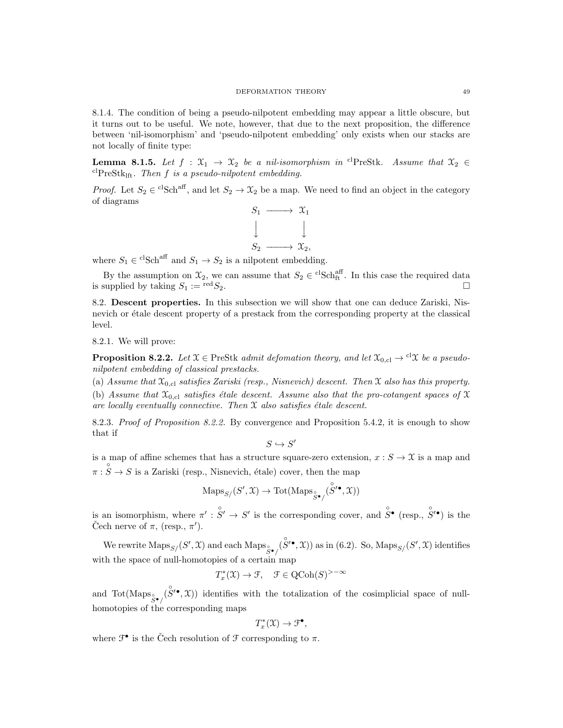#### DEFORMATION THEORY 49

8.1.4. The condition of being a pseudo-nilpotent embedding may appear a little obscure, but it turns out to be useful. We note, however, that due to the next proposition, the difference between 'nil-isomorphism' and 'pseudo-nilpotent embedding' only exists when our stacks are not locally of finite type:

**Lemma 8.1.5.** Let  $f : \mathfrak{X}_1 \to \mathfrak{X}_2$  be a nil-isomorphism in <sup>cl</sup>PreStk. Assume that  $\mathfrak{X}_2 \in$  $\mathrm{clPrestk}_{\mathrm{lft}}$ . Then f is a pseudo-nilpotent embedding.

*Proof.* Let  $S_2 \in C^1Sch^{aff}$ , and let  $S_2 \to \mathfrak{X}_2$  be a map. We need to find an object in the category of diagrams



where  $S_1 \in {}^{cl}Sch^{aff}$  and  $S_1 \to S_2$  is a nilpotent embedding.

By the assumption on  $\mathfrak{X}_2$ , we can assume that  $S_2 \in {}^{\mathrm{cl}}S\mathrm{ch}_{\mathrm{ft}}^{\mathrm{aff}}$ . In this case the required data is supplied by taking  $S_1 := {}^{\text{red}}S_2$ .

8.2. Descent properties. In this subsection we will show that one can deduce Zariski, Nisnevich or étale descent property of a prestack from the corresponding property at the classical level.

8.2.1. We will prove:

**Proposition 8.2.2.** Let  $\mathfrak{X} \in \text{PreStk } \text{admit } \text{deformation theory, and let } \mathfrak{X}_{0,\text{cl}} \to {}^{\text{cl}}\mathfrak{X} \text{ be a pseudo-}$ nilpotent embedding of classical prestacks.

(a) Assume that  $\mathfrak{X}_{0,\text{cl}}$  satisfies Zariski (resp., Nisnevich) descent. Then  $\mathfrak X$  also has this property.

(b) Assume that  $\mathfrak{X}_{0,\text{cl}}$  satisfies étale descent. Assume also that the pro-cotangent spaces of X are locally eventually connective. Then  $\mathfrak X$  also satisfies étale descent.

8.2.3. Proof of Proposition 8.2.2. By convergence and Proposition 5.4.2, it is enough to show that if

$$
S\hookrightarrow S'
$$

is a map of affine schemes that has a structure square-zero extension,  $x : S \to \mathcal{X}$  is a map and  $\pi : \mathring{S} \to S$  is a Zariski (resp., Nisnevich, étale) cover, then the map

$$
\mathrm{Maps}_{S/}(S',\mathfrak{X}) \to \mathrm{Tot}(\mathrm{Maps}_{\overset{\circ}{S}\bullet/}(\overset{\circ}{S'}\spadesuit,\mathfrak{X}))
$$

is an isomorphism, where  $\pi': \mathring{S}' \to S'$  is the corresponding cover, and  $\mathring{S}^{\bullet}$  (resp.,  $\mathring{S}'^{\bullet}$ ) is the Čech nerve of  $\pi$ , (resp.,  $\pi'$ ).

We rewrite  $\mathrm{Maps}_{S/}(S', \mathfrak{X})$  and each  $\mathrm{Maps}_{\mathcal{S}\bullet}(\mathcal{S}'\bullet, \mathfrak{X}))$  as in (6.2). So,  $\mathrm{Maps}_{S/}(S', \mathfrak{X})$  identifies with the space of null-homotopies of a certain map

$$
T^*_x(\mathfrak{X}) \to \mathfrak{F}, \quad \mathfrak{F} \in {\rm QCoh}(S)^{>-\infty}
$$

and  $\text{Tot}(\text{Maps}_{\overset{\circ}{S}\bullet}(\overset{\circ}{S}'\bullet,\mathfrak{X}))$  identifies with the totalization of the cosimplicial space of nullhomotopies of the corresponding maps

$$
T^*_x(\mathfrak{X}) \to \mathfrak{F}^\bullet,
$$

where  $\mathcal{F}^{\bullet}$  is the Čech resolution of  $\mathcal F$  corresponding to  $\pi$ .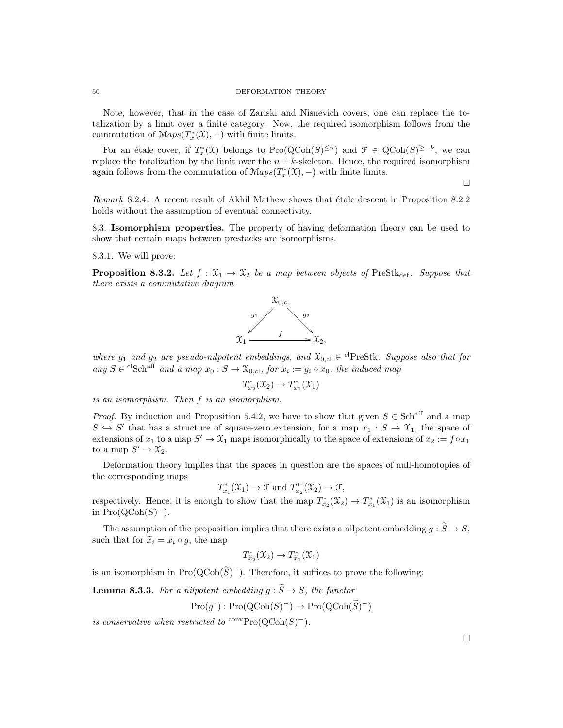Note, however, that in the case of Zariski and Nisnevich covers, one can replace the totalization by a limit over a finite category. Now, the required isomorphism follows from the commutation of  $\mathcal{M}aps(T^*_x(\mathfrak{X}),-)$  with finite limits.

For an étale cover, if  $T_x^*(\mathfrak{X})$  belongs to  $\text{Pro}(\text{QCoh}(S)^{\leq n})$  and  $\mathfrak{F} \in \text{QCoh}(S)^{\geq -k}$ , we can replace the totalization by the limit over the  $n + k$ -skeleton. Hence, the required isomorphism again follows from the commutation of  $\mathcal{M}aps(T^*_x(\mathfrak{X}),-)$  with finite limits.

 $\Box$ 

Remark 8.2.4. A recent result of Akhil Mathew shows that étale descent in Proposition 8.2.2 holds without the assumption of eventual connectivity.

8.3. Isomorphism properties. The property of having deformation theory can be used to show that certain maps between prestacks are isomorphisms.

8.3.1. We will prove:

**Proposition 8.3.2.** Let  $f : \mathfrak{X}_1 \to \mathfrak{X}_2$  be a map between objects of PreStk<sub>def</sub>. Suppose that there exists a commutative diagram



where  $g_1$  and  $g_2$  are pseudo-nilpotent embeddings, and  $\mathfrak{X}_{0,cl} \in {}^{cl}$ PreStk. Suppose also that for any  $S \in {}^{cl}Sch^{aff}$  and a map  $x_0 : S \to \mathfrak{X}_{0, cl}$ , for  $x_i := g_i \circ x_0$ , the induced map

$$
T_{x_2}^*(\mathfrak{X}_2) \to T_{x_1}^*(\mathfrak{X}_1)
$$

is an isomorphism. Then f is an isomorphism.

*Proof.* By induction and Proposition 5.4.2, we have to show that given  $S \in \text{Sch}^{\text{aff}}$  and a map  $S \hookrightarrow S'$  that has a structure of square-zero extension, for a map  $x_1 : S \to \mathfrak{X}_1$ , the space of extensions of  $x_1$  to a map  $S' \to \mathfrak{X}_1$  maps isomorphically to the space of extensions of  $x_2 := f \circ x_1$ to a map  $S' \to \mathfrak{X}_2$ .

Deformation theory implies that the spaces in question are the spaces of null-homotopies of the corresponding maps

$$
T_{x_1}^*(\mathfrak{X}_1) \to \mathfrak{F}
$$
 and  $T_{x_2}^*(\mathfrak{X}_2) \to \mathfrak{F}$ ,

respectively. Hence, it is enough to show that the map  $T_{x_2}^*(\mathcal{X}_2) \to T_{x_1}^*(\mathcal{X}_1)$  is an isomorphism in  $\text{Pro}(\text{QCoh}(S)^-)$ .

The assumption of the proposition implies that there exists a nilpotent embedding  $q : \widetilde{S} \to S$ , such that for  $\tilde{x}_i = x_i \circ g$ , the map

$$
T_{\widetilde{x}_2}^*(\mathfrak{X}_2) \to T_{\widetilde{x}_1}^*(\mathfrak{X}_1)
$$

is an isomorphism in  $\text{Pro}(\text{QCoh}(\tilde{S})^{-})$ . Therefore, it suffices to prove the following:

**Lemma 8.3.3.** For a nilpotent embedding  $g : \widetilde{S} \to S$ , the functor

$$
\mathrm{Pro}(g^*): \mathrm{Pro}(\mathrm{QCoh}(S)^-) \to \mathrm{Pro}(\mathrm{QCoh}(\widetilde{S})^-)
$$

is conservative when restricted to  $\text{conv}\text{Pro}(\text{QCoh}(S)^-)$ .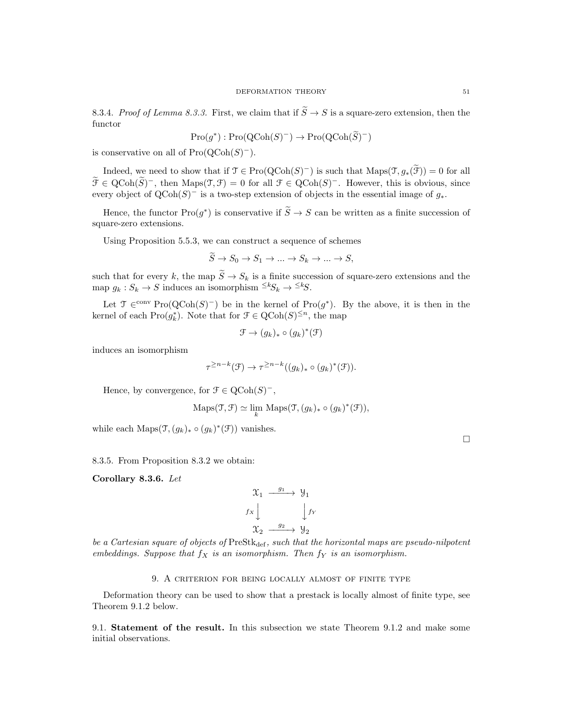8.3.4. Proof of Lemma 8.3.3. First, we claim that if  $\widetilde{S} \to S$  is a square-zero extension, then the functor

$$
\mathrm{Pro}(g^*): \mathrm{Pro}(\mathrm{QCoh}(S)^-) \to \mathrm{Pro}(\mathrm{QCoh}(\widetilde{S})^-)
$$

is conservative on all of  $\text{Pro}(\text{QCoh}(S)^-)$ .

Indeed, we need to show that if  $\mathcal{T} \in \text{Pro}(\text{QCoh}(S)^-)$  is such that  $\text{Maps}(\mathcal{T}, g_*(\mathcal{F})) = 0$  for all  $\widetilde{\mathcal{F}} \in \text{QCoh}(\widetilde{S})^-$ , then  $\text{Maps}(\mathcal{T}, \mathcal{F}) = 0$  for all  $\mathcal{F} \in \text{QCoh}(S)^-$ . However, this is obvious, since every object of  $Q\text{Coh}(S)^-$  is a two-step extension of objects in the essential image of  $g_*$ .

Hence, the functor  $\text{Pro}(g^*)$  is conservative if  $\widetilde{S} \to S$  can be written as a finite succession of square-zero extensions.

Using Proposition 5.5.3, we can construct a sequence of schemes

$$
S \to S_0 \to S_1 \to \dots \to S_k \to \dots \to S,
$$

such that for every k, the map  $\tilde{S} \to S_k$  is a finite succession of square-zero extensions and the map  $g_k : S_k \to S$  induces an isomorphism  $\leq k S_k \to \leq k$ .

Let  $\mathfrak{T} \in^{\text{conv}} \text{Pro}(\text{QCoh}(S)^-)$  be in the kernel of  $\text{Pro}(g^*)$ . By the above, it is then in the kernel of each  $\text{Pro}(g_k^*)$ . Note that for  $\mathcal{F} \in \text{QCoh}(S)^{\leq n}$ , the map

$$
\mathcal{F} \to (g_k)_* \circ (g_k)^*(\mathcal{F})
$$

induces an isomorphism

$$
\tau^{\geq n-k}(\mathfrak{F}) \to \tau^{\geq n-k}((g_k)_*\circ (g_k)^*(\mathfrak{F})).
$$

Hence, by convergence, for  $\mathcal{F} \in \mathrm{QCoh}(S)^-$ ,

$$
\mathrm{Maps}(\mathfrak{T}, \mathfrak{F}) \simeq \lim_{k} \mathrm{Maps}(\mathfrak{T}, (g_k)_* \circ (g_k)^*(\mathfrak{F})),
$$

while each Maps $(\mathcal{T}, (g_k)_* \circ (g_k)^*(\mathcal{F}))$  vanishes.

8.3.5. From Proposition 8.3.2 we obtain:

Corollary 8.3.6. Let

$$
\begin{array}{ccc}\n\mathfrak{X}_{1} & \xrightarrow{g_{1}} & \mathfrak{Y}_{1} \\
f_{X} & & \downarrow f_{Y} \\
\mathfrak{X}_{2} & \xrightarrow{g_{2}} & \mathfrak{Y}_{2}\n\end{array}
$$

be a Cartesian square of objects of  $PreStk_{def}$ , such that the horizontal maps are pseudo-nilpotent embeddings. Suppose that  $f_X$  is an isomorphism. Then  $f_Y$  is an isomorphism.

# 9. A criterion for being locally almost of finite type

Deformation theory can be used to show that a prestack is locally almost of finite type, see Theorem 9.1.2 below.

9.1. Statement of the result. In this subsection we state Theorem 9.1.2 and make some initial observations.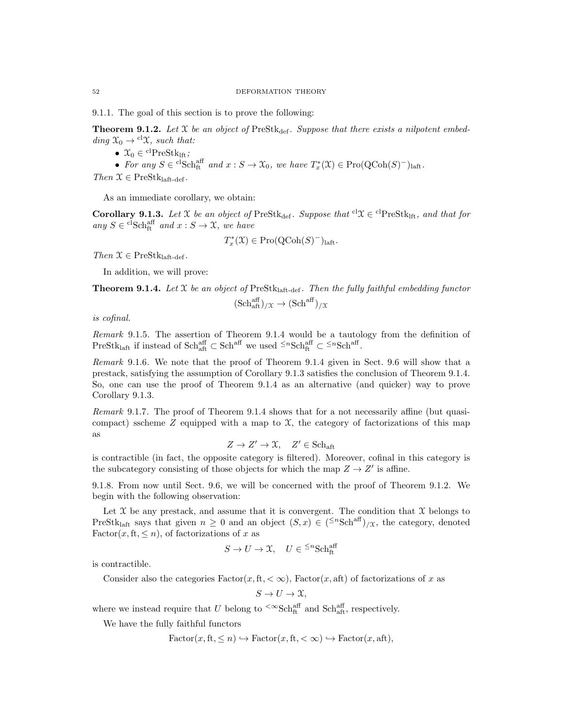9.1.1. The goal of this section is to prove the following:

**Theorem 9.1.2.** Let X be an object of PreStk<sub>def</sub>. Suppose that there exists a nilpotent embedding  $\mathfrak{X}_0 \rightarrow$  <sup>cl</sup> $\mathfrak{X}$ *, such that:* 

•  $\mathcal{X}_0 \in {}^{\mathrm{cl}}\mathrm{PreStk}_{\mathrm{lft}};$ 

• For any  $S \in {}^{cl}Sch_{ft}^{aff}$  and  $x : S \to \mathfrak{X}_0$ , we have  $T_x^*(\mathfrak{X}) \in \mathrm{Pro}(\mathrm{QCoh}(S)^-)_{\mathrm{laft}}$ .

Then  $\mathcal{X} \in \text{PreStk}_{\text{laft-def}}$ .

As an immediate corollary, we obtain:

**Corollary 9.1.3.** Let X be an object of PreStk<sub>def</sub>. Suppose that <sup>cl</sup> $\mathcal{X} \in$ <sup>cl</sup>PreStk<sub>lft</sub>, and that for any  $S \in {}^{\mathrm{cl}}\mathrm{Sch}^{\mathrm{aff}}_{\mathrm{ft}}$  and  $x : S \to \mathfrak{X}$ , we have

$$
T_x^*(\mathfrak{X}) \in \mathrm{Pro}(\mathrm{QCoh}(S)^-)_{\mathrm{laft}}.
$$

Then  $\mathcal{X} \in \text{PreStk}_{\text{laft-def}}$ .

In addition, we will prove:

**Theorem 9.1.4.** Let  $X$  be an object of PreStk<sub>laft-def</sub>. Then the fully faithful embedding functor

$$
(\mathrm{Sch}^{\mathrm{aff}}_{\mathrm{aft}})_{/\mathfrak{X}} \to (\mathrm{Sch}^{\mathrm{aff}})_{/\mathfrak{X}}
$$

is cofinal.

Remark 9.1.5. The assertion of Theorem 9.1.4 would be a tautology from the definition of PreStk<sub>laft</sub> if instead of Schaff  $\subset$  Sch<sup>aff</sup> we used <sup> $\leq n$ </sup>Schaff  $\subset$   $\leq n$ Sch<sup>aff</sup>.

Remark 9.1.6. We note that the proof of Theorem 9.1.4 given in Sect. 9.6 will show that a prestack, satisfying the assumption of Corollary 9.1.3 satisfies the conclusion of Theorem 9.1.4. So, one can use the proof of Theorem 9.1.4 as an alternative (and quicker) way to prove Corollary 9.1.3.

Remark 9.1.7. The proof of Theorem 9.1.4 shows that for a not necessarily affine (but quasicompact) sscheme  $Z$  equipped with a map to  $\mathfrak{X}$ , the category of factorizations of this map as

$$
Z \to Z' \to \mathfrak{X}, \quad Z' \in \mathbf{Sch}_{\mathbf{aft}}
$$

is contractible (in fact, the opposite category is filtered). Moreover, cofinal in this category is the subcategory consisting of those objects for which the map  $Z \to Z'$  is affine.

9.1.8. From now until Sect. 9.6, we will be concerned with the proof of Theorem 9.1.2. We begin with the following observation:

Let  $X$  be any prestack, and assume that it is convergent. The condition that  $X$  belongs to PreStk<sub>laft</sub> says that given  $n \geq 0$  and an object  $(S, x) \in (\leq^n \text{Sch}^{\text{aff}})_{/\mathfrak{X}}$ , the category, denoted Factor $(x, ft, \leq n)$ , of factorizations of x as

$$
S \to U \to \mathfrak{X}, \quad U \in \leq^n \text{Sch}^{\text{aff}}_{\text{ft}}
$$

is contractible.

Consider also the categories  $Factor(x, ft, < \infty)$ , Factor $(x, aft)$  of factorizations of x as

$$
S \to U \to \mathfrak{X},
$$

where we instead require that U belong to <sup> $\text{<}\infty$ </sup>Sch<sup>aff</sup> and Sch<sub>aff</sub>, respectively.

We have the fully faithful functors

$$
Factor(x, ft, \le n) \hookrightarrow Factor(x, ft, < \infty) \hookrightarrow Factor(x, aft),
$$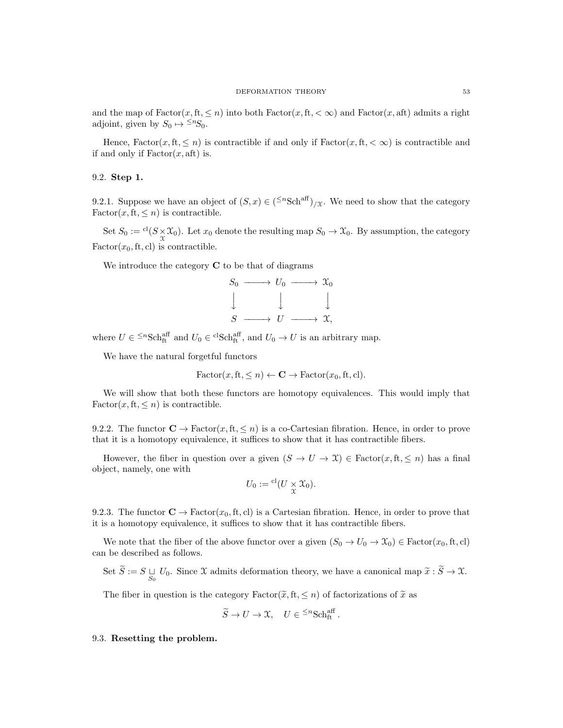and the map of  $Factor(x, ft, \leq n)$  into both  $Factor(x, ft, < \infty)$  and  $Factor(x, aft)$  admits a right adjoint, given by  $S_0 \mapsto {}^{\leq n}S_0$ .

Hence,  $Factor(x, ft, \leq n)$  is contractible if and only if  $Factor(x, ft, < \infty)$  is contractible and if and only if  $Factor(x, aft)$  is.

# 9.2. Step 1.

9.2.1. Suppose we have an object of  $(S, x) \in (\leq^n \text{Sch}^{\text{aff}})_{\text{in}}$ . We need to show that the category  $Factor(x, ft, \leq n)$  is contractible.

Set  $S_0 := {}^{cl}(S \underset{\chi}{\times} \mathfrak{X}_0)$ . Let  $x_0$  denote the resulting map  $S_0 \to \mathfrak{X}_0$ . By assumption, the category  $Factor(x_0, ft, cl)$  is contractible.

We introduce the category  $C$  to be that of diagrams

$$
S_0 \longrightarrow U_0 \longrightarrow \mathfrak{X}_0
$$
  

$$
\downarrow \qquad \qquad \downarrow \qquad \qquad \downarrow
$$
  

$$
S \longrightarrow U \longrightarrow \mathfrak{X},
$$

where  $U \in \leq^n \text{Sch}^{\text{aff}}_{\text{ft}}$  and  $U_0 \in \text{clSch}^{\text{aff}}_{\text{ft}}$ , and  $U_0 \to U$  is an arbitrary map.

We have the natural forgetful functors

$$
\text{Factor}(x, \text{ft}, \leq n) \leftarrow \mathbf{C} \rightarrow \text{Factor}(x_0, \text{ft}, \text{cl}).
$$

We will show that both these functors are homotopy equivalences. This would imply that  $Factor(x, ft, \leq n)$  is contractible.

9.2.2. The functor  $\mathbf{C} \to \text{Factor}(x, \text{ft}, \leq n)$  is a co-Cartesian fibration. Hence, in order to prove that it is a homotopy equivalence, it suffices to show that it has contractible fibers.

However, the fiber in question over a given  $(S \to U \to \mathfrak{X}) \in \text{Factor}(x, \text{ft}, \leq n)$  has a final object, namely, one with

$$
U_0:= {}^{\mathrm{cl}}(U\underset{\mathfrak{X}}{\times} \mathfrak{X}_0).
$$

9.2.3. The functor  $\mathbf{C} \to \text{Factor}(x_0, \text{ft}, \text{cl})$  is a Cartesian fibration. Hence, in order to prove that it is a homotopy equivalence, it suffices to show that it has contractible fibers.

We note that the fiber of the above functor over a given  $(S_0 \to U_0 \to X_0) \in$  Factor $(x_0, \text{ft}, \text{cl})$ can be described as follows.

Set  $S := S \sqcup_{S_0} U_0$ . Since X admits deformation theory, we have a canonical map  $\tilde{x} : S \to \mathfrak{X}$ .

The fiber in question is the category Factor( $\tilde{x}$ , ft,  $\leq n$ ) of factorizations of  $\tilde{x}$  as

$$
\widetilde{S} \to U \to \mathfrak{X}, \quad U \in \leq^n \mathrm{Sch}_\mathrm{ft}^\mathrm{aff}.
$$

#### 9.3. Resetting the problem.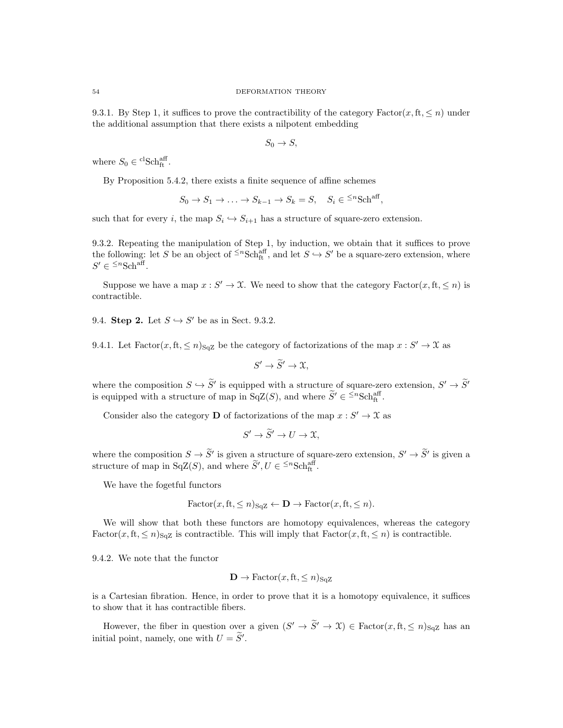9.3.1. By Step 1, it suffices to prove the contractibility of the category Factor(x, ft,  $\leq n$ ) under the additional assumption that there exists a nilpotent embedding

$$
S_0 \to S,
$$

where  $S_0 \in {}^{\mathrm{cl}}\mathrm{Sch}^{\mathrm{aff}}_{\mathrm{ft}}$ .

By Proposition 5.4.2, there exists a finite sequence of affine schemes

$$
S_0 \to S_1 \to \ldots \to S_{k-1} \to S_k = S, \quad S_i \in {}^{\leq n}Sch^{aff},
$$

such that for every *i*, the map  $S_i \hookrightarrow S_{i+1}$  has a structure of square-zero extension.

9.3.2. Repeating the manipulation of Step 1, by induction, we obtain that it suffices to prove the following: let S be an object of  $\leq^n \text{Sch}_{\text{ft}}^{\text{aff}}$ , and let  $S \hookrightarrow S'$  be a square-zero extension, where  $S' \in {}^{\leq n} {\rm Sch}^{\text{aff}}.$ 

Suppose we have a map  $x : S' \to \mathfrak{X}$ . We need to show that the category Factor $(x, ft, \leq n)$  is contractible.

9.4. Step 2. Let  $S \hookrightarrow S'$  be as in Sect. 9.3.2.

9.4.1. Let  $Factor(x, ft, \leq n)_{\text{SqZ}}$  be the category of factorizations of the map  $x : S' \to \mathfrak{X}$  as

$$
S' \to \widetilde{S}' \to \mathfrak{X},
$$

where the composition  $S \hookrightarrow \tilde{S}'$  is equipped with a structure of square-zero extension,  $S' \to \tilde{S}'$ is equipped with a structure of map in  $SqZ(S)$ , and where  $\widetilde{S}' \in {}^{\leq n}Sch^{\text{aff}}_{\text{ft}}$ .

Consider also the category **D** of factorizations of the map  $x : S' \to \mathcal{X}$  as

$$
S' \to \widetilde{S}' \to U \to \mathfrak{X},
$$

where the composition  $S \to \tilde{S}'$  is given a structure of square-zero extension,  $S' \to \tilde{S}'$  is given a structure of map in SqZ(S), and where  $\widetilde{S}'$ ,  $U \in \leq^n \text{Sch}^{\text{aff}}_{\text{ft}}$ .

We have the fogetful functors

$$
\text{Factor}(x, \text{ft}, \leq n)_{\text{SqZ}} \leftarrow \mathbf{D} \rightarrow \text{Factor}(x, \text{ft}, \leq n).
$$

We will show that both these functors are homotopy equivalences, whereas the category Factor(x, ft,  $\leq n$ )<sub>SqZ</sub> is contractible. This will imply that Factor(x, ft,  $\leq n$ ) is contractible.

9.4.2. We note that the functor

$$
\mathbf{D} \to \text{Factor}(x, \text{ft}, \leq n)_{\text{SqZ}}
$$

is a Cartesian fibration. Hence, in order to prove that it is a homotopy equivalence, it suffices to show that it has contractible fibers.

However, the fiber in question over a given  $(S' \to \tilde{S}' \to \mathcal{X}) \in \text{Factor}(x, f, f)_{\text{SqZ}}$  has an initial point, namely, one with  $U = \widetilde{S}'$ .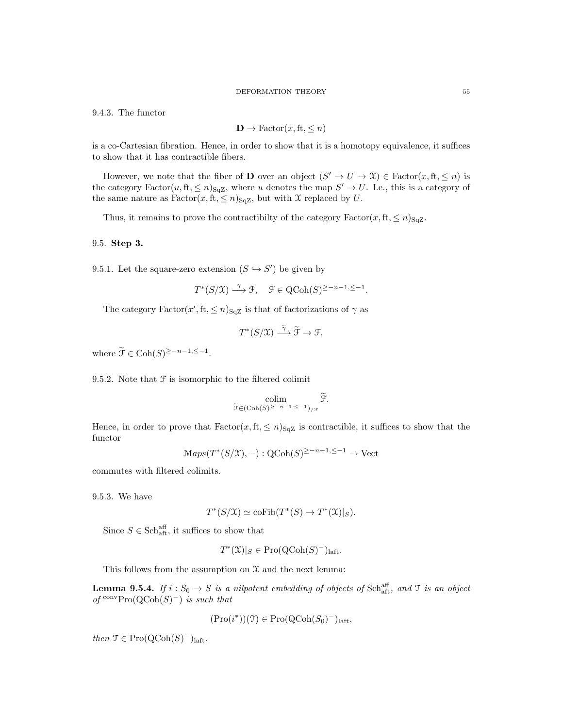#### DEFORMATION THEORY 55

9.4.3. The functor

$$
\mathbf{D} \to \text{Factor}(x, \text{ft}, \leq n)
$$

is a co-Cartesian fibration. Hence, in order to show that it is a homotopy equivalence, it suffices to show that it has contractible fibers.

However, we note that the fiber of **D** over an object  $(S' \to U \to \mathcal{X}) \in$  Factor $(x, ft, \leq n)$  is the category  $Factor(u, ft, \leq n)_{\text{SqZ}}$ , where u denotes the map  $S' \to U$ . I.e., this is a category of the same nature as  $Factor(x, ft, \leq n)_{\text{SqZ}}$ , but with X replaced by U.

Thus, it remains to prove the contractibilty of the category  $Factor(x, ft, \leq n)_{\text{SqZ}}$ .

# 9.5. Step 3.

9.5.1. Let the square-zero extension  $(S \hookrightarrow S')$  be given by

$$
T^*(S/\mathfrak{X}) \xrightarrow{\gamma} \mathfrak{F}, \quad \mathfrak{F} \in \text{QCoh}(S)^{\geq -n-1, \leq -1}.
$$

The category  $Factor(x', ft, \leq n)_{\text{SqZ}}$  is that of factorizations of  $\gamma$  as

$$
T^*(S/\mathfrak{X}) \stackrel{\widetilde{\gamma}}{\longrightarrow} \widetilde{\mathfrak{F}} \to \mathfrak{F},
$$

where  $\widetilde{\mathcal{F}} \in \text{Coh}(S)^{\geq -n-1, \leq -1}$ .

9.5.2. Note that  $\mathcal F$  is isomorphic to the filtered colimit

$$
\operatornamewithlimits{colim}_{\widetilde{\mathcal{F}} \in (\operatorname{Coh}(S)^{\geq -n-1},\leq -1)_{/\mathcal{F}}}\widetilde{\mathcal{F}}.
$$

Hence, in order to prove that  $Factor(x, ft, \leq n)_{\text{SqZ}}$  is contractible, it suffices to show that the functor

$$
\mathcal{M}aps(T^*(S/\mathfrak{X}), -): \mathrm{QCoh}(S)^{\geq -n-1, \leq -1} \to \mathrm{Vect}
$$

commutes with filtered colimits.

9.5.3. We have

$$
T^*(S/\mathfrak{X}) \simeq \mathrm{coFib}(T^*(S) \to T^*(\mathfrak{X})|_S).
$$

Since  $S \in \text{Sch}^{\text{aff}}_{\text{aff}}$ , it suffices to show that

$$
T^*(\mathfrak{X})|_S \in \mathrm{Pro}(\mathrm{QCoh}(S)^-)_{\mathrm{laft}}.
$$

This follows from the assumption on  $\mathfrak X$  and the next lemma:

**Lemma 9.5.4.** If  $i: S_0 \to S$  is a nilpotent embedding of objects of Schaff, and T is an object of  $\operatorname{conv} \operatorname{Pro} (\operatorname{QCoh}(S)^-)$  is such that

$$
(\mathrm{Pro}(i^*)) (\mathfrak{T}) \in \mathrm{Pro}(\mathrm{QCoh}(S_0)^-)_{\mathrm{laft}},
$$

then  $\mathfrak{T} \in \mathrm{Pro}(\mathrm{QCoh}(S)^-)_{\mathrm{laft}}$ .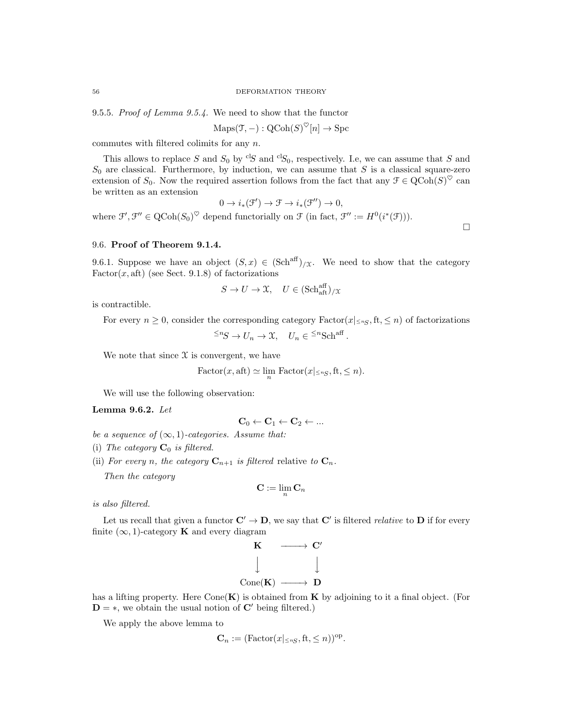9.5.5. Proof of Lemma 9.5.4. We need to show that the functor

$$
\mathrm{Maps}(\mathfrak{T}, -): \mathrm{QCoh}(S)^{\heartsuit}[n] \to \mathrm{Spc}
$$

commutes with filtered colimits for any n.

This allows to replace S and  $S_0$  by <sup>cl</sup>S and <sup>cl</sup>S<sub>0</sub>, respectively. I.e, we can assume that S and  $S_0$  are classical. Furthermore, by induction, we can assume that S is a classical square-zero extension of  $S_0$ . Now the required assertion follows from the fact that any  $\mathcal{F} \in \text{QCoh}(S)^\heartsuit$  can be written as an extension

$$
0 \to i_*(\mathcal{F}') \to \mathcal{F} \to i_*(\mathcal{F}'') \to 0,
$$

where  $\mathcal{F}', \mathcal{F}'' \in \text{QCoh}(S_0)^\heartsuit$  depend functorially on  $\mathcal{F}$  (in fact,  $\mathcal{F}'' := H^0(i^*(\mathcal{F}))).$ 

 $\Box$ 

### 9.6. Proof of Theorem 9.1.4.

9.6.1. Suppose we have an object  $(S, x) \in (\text{Sch}^{\text{aff}})_{X}$ . We need to show that the category  $Factor(x, aft)$  (see Sect. 9.1.8) of factorizations

$$
S \to U \to \mathfrak{X}, \quad U \in (\mathrm{Sch}^{\mathrm{aff}}_{\mathrm{aft}})_{/\mathfrak{X}}
$$

is contractible.

For every  $n \geq 0$ , consider the corresponding category  $Factor(x|_{\leq nS}, ft, \leq n)$  of factorizations

 $\leq^n S \to U_n \to \mathfrak{X}, \quad U_n \in \leq^n \text{Sch}^{\text{aff}}.$ 

We note that since  $\mathfrak X$  is convergent, we have

Factor
$$
(x, \text{aft}) \simeq \lim_{n} \text{Factor}(x | \leq n_S, \text{ft}, \leq n).
$$

We will use the following observation:

## Lemma 9.6.2. Let

$$
\mathbf{C}_0 \leftarrow \mathbf{C}_1 \leftarrow \mathbf{C}_2 \leftarrow \dots
$$

- be a sequence of  $(\infty, 1)$ -categories. Assume that:
- (i) The category  $\mathbf{C}_0$  is filtered.
- (ii) For every n, the category  $\mathbf{C}_{n+1}$  is filtered relative to  $\mathbf{C}_n$ .

Then the category

$$
\mathbf{C} := \lim_n \mathbf{C}_n
$$

is also filtered.

Let us recall that given a functor  $\mathbf{C}' \to \mathbf{D}$ , we say that  $\mathbf{C}'$  is filtered *relative* to  $\mathbf{D}$  if for every finite  $(\infty, 1)$ -category **K** and every diagram



has a lifting property. Here  $Cone(\mathbf{K})$  is obtained from  $\mathbf{K}$  by adjoining to it a final object. (For  $D = *$ , we obtain the usual notion of C' being filtered.)

We apply the above lemma to

$$
\mathbf{C}_n := (\text{Factor}(x | \leq n_S, \text{ft}, \leq n))^{\text{op}}.
$$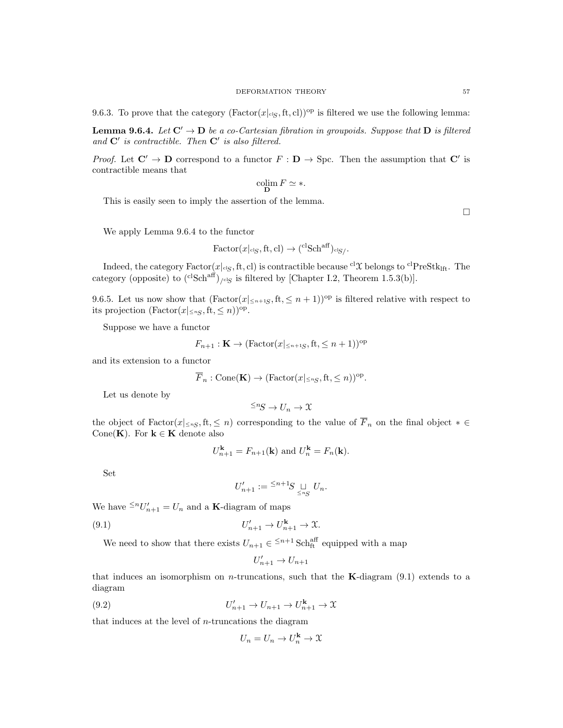**Lemma 9.6.4.** Let  $C' \rightarrow D$  be a co-Cartesian fibration in groupoids. Suppose that D is filtered and  $C'$  is contractible. Then  $C'$  is also filtered.

*Proof.* Let  $C' \to D$  correspond to a functor  $F : D \to \text{Spc}$ . Then the assumption that  $C'$  is contractible means that

$$
\operatornamewithlimits{colim}_{\mathbf D} F \simeq *.
$$

This is easily seen to imply the assertion of the lemma.

 $\Box$ 

We apply Lemma 9.6.4 to the functor

$$
\text{Factor}(x|_{\text{clg}}, \text{ft}, \text{cl}) \to {^{c1}\text{Sch}}^{\text{aff}})_{\text{clg}}.
$$

Indeed, the category  $Factor(x|_{cig}, ft, cl)$  is contractible because  ${}^{cl}\mathcal{X}$  belongs to  ${}^{cl}PreStk_{lft}$ . The category (opposite) to  $({}^{cl}Sch^{aff})_{/cl}$  is filtered by [Chapter I.2, Theorem 1.5.3(b)].

9.6.5. Let us now show that  $(Factor(x|_{\leq n+1S}, ft, \leq n+1))^{op}$  is filtered relative with respect to its projection  $(\text{Factor}(x | \leq n_S, \text{ft}, \leq n))^{\text{op}}$ .

Suppose we have a functor

$$
F_{n+1} : \mathbf{K} \to (\text{Factor}(x|_{\leq n+1S}, \text{ft}, \leq n+1))^{\text{op}}
$$

and its extension to a functor

$$
\overline{F}_n : \text{Cone}(\mathbf{K}) \to (\text{Factor}(x|_{\leq nS}, \text{ft}, \leq n))^{\text{op}}.
$$

Let us denote by

$$
\leq^n S \to U_n \to \mathfrak{X}
$$

the object of  $Factor(x|_{\leq nS},ft,\leq n)$  corresponding to the value of  $\overline{F}_n$  on the final object  $* \in$ Cone(K). For  $k \in K$  denote also

$$
U_{n+1}^{\mathbf{k}} = F_{n+1}(\mathbf{k}) \text{ and } U_n^{\mathbf{k}} = F_n(\mathbf{k}).
$$

Set

$$
U'_{n+1}:=\displaystyle{^{\leq n+1}\hspace{-0.1cm}S}\sqcup_{\leq n\hspace{-0.1cm}S}U_n.
$$

We have  $\leq^n U'_{n+1} = U_n$  and a **K**-diagram of maps

$$
(9.1) \t\t\t U'_{n+1} \to U^{\mathbf{k}}_{n+1} \to \mathfrak{X}.
$$

We need to show that there exists  $U_{n+1} \in \leq^{n+1} \text{Sch}_{\text{ft}}^{\text{aff}}$  equipped with a map

$$
U_{n+1}' \to U_{n+1}
$$

that induces an isomorphism on *n*-truncations, such that the **K**-diagram  $(9.1)$  extends to a diagram

(9.2) 
$$
U'_{n+1} \to U_{n+1} \to U^{\mathbf{k}}_{n+1} \to \mathfrak{X}
$$

that induces at the level of n-truncations the diagram

$$
U_n = U_n \to U_n^{\mathbf{k}} \to \mathfrak{X}
$$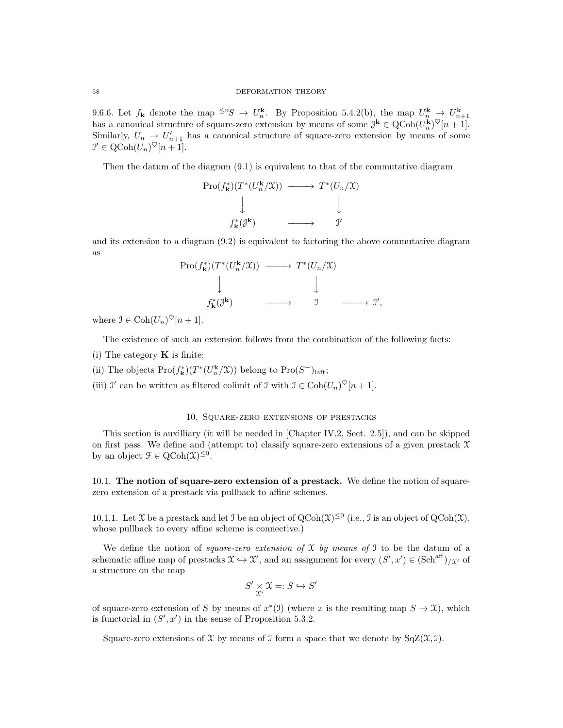9.6.6. Let  $f_{\mathbf{k}}$  denote the map  $\leq^n S \to U_n^{\mathbf{k}}$ . By Proposition 5.4.2(b), the map  $U_n^{\mathbf{k}} \to U_{n+1}^{\mathbf{k}}$  has a canonical structure of square-zero extension by means of some  $\mathcal{J}^{\mathbf{k}} \in \text{QCoh}(U_n^{\mathbf{k}})^\heartsuit[n+1]$ . Similarly,  $U_n \to U'_{n+1}$  has a canonical structure of square-zero extension by means of some  $\mathcal{I}' \in \mathrm{QCoh}(U_n)^\heartsuit[n+1].$ 

Then the datum of the diagram (9.1) is equivalent to that of the commutative diagram

$$
\begin{array}{ccc}\n\Pro(f_{\mathbf{k}}^{*})(T^{*}(U_{n}^{\mathbf{k}}/\mathfrak{X})) & \longrightarrow & T^{*}(U_{n}/\mathfrak{X}) \\
\downarrow & & \downarrow & \\
f_{\mathbf{k}}^{*}(\mathfrak{J}^{\mathbf{k}}) & \longrightarrow & \mathfrak{I}'\n\end{array}
$$

and its extension to a diagram (9.2) is equivalent to factoring the above commutative diagram as

$$
\begin{array}{ccc}\n\operatorname{Pro}(f_{\mathbf{k}}^*) (T^*(U_n^{\mathbf{k}}/\mathfrak{X})) & \xrightarrow{\hspace*{1cm}} & T^*(U_n/\mathfrak{X}) \\
\downarrow & & \downarrow & & \downarrow \\
f_{\mathbf{k}}^*(\mathfrak{J}^{\mathbf{k}}) & \xrightarrow{\hspace*{1cm}} & \mathfrak{I} & \xrightarrow{\hspace*{1cm}} & \mathfrak{I}',\n\end{array}
$$

where  $\mathfrak{I} \in \text{Coh}(U_n)^\heartsuit[n+1].$ 

The existence of such an extension follows from the combination of the following facts:

- (i) The category  $\bf{K}$  is finite;
- (ii) The objects  $\text{Pro}(f_{\mathbf{k}}^{*})(T^{*}(U_{n}^{\mathbf{k}}/\mathfrak{X}))$  belong to  $\text{Pro}(S^{-})_{\text{la}}$ ,
- (iii)  $\mathcal{I}'$  can be written as filtered colimit of  $\mathcal{I}$  with  $\mathcal{I} \in \text{Coh}(U_n)^\heartsuit[n+1]$ .

### 10. Square-zero extensions of prestacks

This section is auxilliary (it will be needed in [Chapter IV.2, Sect. 2.5]), and can be skipped on first pass. We define and (attempt to) classify square-zero extensions of a given prestack  $\mathfrak X$ by an object  $\mathcal{F} \in \mathrm{QCoh}(\mathfrak{X})^{\leq 0}$ .

10.1. The notion of square-zero extension of a prestack. We define the notion of squarezero extension of a prestack via pullback to affine schemes.

10.1.1. Let X be a prestack and let J be an object of  $QCoh(\mathcal{X})^{\leq 0}$  (i.e., J is an object of  $QCoh(\mathcal{X})$ , whose pullback to every affine scheme is connective.)

We define the notion of *square-zero extension of*  $X$  by means of  $J$  to be the datum of a schematic affine map of prestacks  $\mathfrak{X} \hookrightarrow \mathfrak{X}'$ , and an assignment for every  $(S', x') \in (\text{Sch}^{\text{aff}})_{/\mathfrak{X}'}$  of a structure on the map

$$
S' \underset{\mathcal{X}'}{\times} \mathcal{X} =: S \hookrightarrow S'
$$

of square-zero extension of S by means of  $x^*(1)$  (where x is the resulting map  $S \to \mathfrak{X}$ ), which is functorial in  $(S', x')$  in the sense of Proposition 5.3.2.

Square-zero extensions of X by means of J form a space that we denote by  $SqZ(\mathfrak{X}, \mathfrak{I})$ .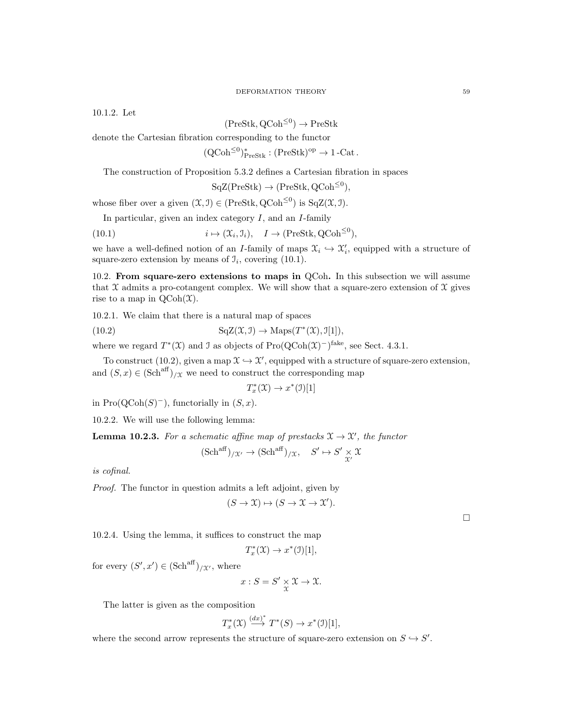10.1.2. Let

# $(PreStk, QCoh^{\leq 0}) \rightarrow PreStk$

denote the Cartesian fibration corresponding to the functor

 $(QCoh^{\leq 0})^*_{\text{PreStk}} : (\text{PreStk})^{\text{op}} \to 1\text{-Cat}.$ 

The construction of Proposition 5.3.2 defines a Cartesian fibration in spaces

$$
SqZ(PreStk) \to (PreStk, QCoh^{\leq 0}),
$$

whose fiber over a given  $(\mathfrak{X}, \mathfrak{I}) \in (\text{PreStk}, \text{QCoh}^{\leq 0})$  is  $\text{SqZ}(\mathfrak{X}, \mathfrak{I})$ .

In particular, given an index category  $I$ , and an  $I$ -family

(10.1) 
$$
i \mapsto (\mathfrak{X}_i, \mathfrak{I}_i), \quad I \to (\text{PreStk}, \text{QCoh}^{\leq 0}),
$$

we have a well-defined notion of an I-family of maps  $\mathfrak{X}_i \hookrightarrow \mathfrak{X}'_i$ , equipped with a structure of square-zero extension by means of  $\mathcal{I}_i$ , covering (10.1).

10.2. From square-zero extensions to maps in QCoh. In this subsection we will assume that  $\mathfrak X$  admits a pro-cotangent complex. We will show that a square-zero extension of  $\mathfrak X$  gives rise to a map in  $\mathrm{QCoh}(\mathfrak{X})$ .

10.2.1. We claim that there is a natural map of spaces

(10.2) 
$$
\mathrm{SqZ}(\mathfrak{X}, \mathfrak{I}) \to \mathrm{Maps}(T^*(\mathfrak{X}), \mathfrak{I}[1]),
$$

where we regard  $T^*(\mathfrak{X})$  and J as objects of  $\text{Pro}(\text{QCoh}(\mathfrak{X})^-)^\text{fake}$ , see Sect. 4.3.1.

To construct (10.2), given a map  $\mathfrak{X} \hookrightarrow \mathfrak{X}'$ , equipped with a structure of square-zero extension, and  $(S, x) \in (Sch<sup>aff</sup>)_{/\mathfrak{X}}$  we need to construct the corresponding map

 $T_x^*(\mathfrak{X}) \to x^*(\mathfrak{I})[1]$ 

in  $\text{Pro}(\text{QCoh}(S)^-)$ , functorially in  $(S, x)$ .

10.2.2. We will use the following lemma:

**Lemma 10.2.3.** For a schematic affine map of prestacks  $\mathfrak{X} \to \mathfrak{X}'$ , the functor

$$
(\mathrm{Sch}^{\mathrm{aff}})_{/\mathfrak{X}'} \to (\mathrm{Sch}^{\mathrm{aff}})_{/\mathfrak{X}}, \quad S' \mapsto S' \underset{\mathfrak{X}'}{\times} \mathfrak{X}
$$

is cofinal.

Proof. The functor in question admits a left adjoint, given by

$$
(S \to \mathfrak{X}) \mapsto (S \to \mathfrak{X} \to \mathfrak{X}').
$$

 $\Box$ 

10.2.4. Using the lemma, it suffices to construct the map

$$
T^*_x(\mathfrak{X})\to x^*(\mathfrak{I})[1],
$$

for every  $(S', x') \in (\mathrm{Sch}^{\mathrm{aff}})_{/\mathcal{X}'},$  where

$$
x: S = S' \underset{\mathfrak{X}}{\times} \mathfrak{X} \to \mathfrak{X}.
$$

The latter is given as the composition

$$
T_x^*(\mathfrak{X}) \stackrel{(dx)^*}{\longrightarrow} T^*(S) \to x^*(\mathfrak{I})[1],
$$

where the second arrow represents the structure of square-zero extension on  $S \hookrightarrow S'$ .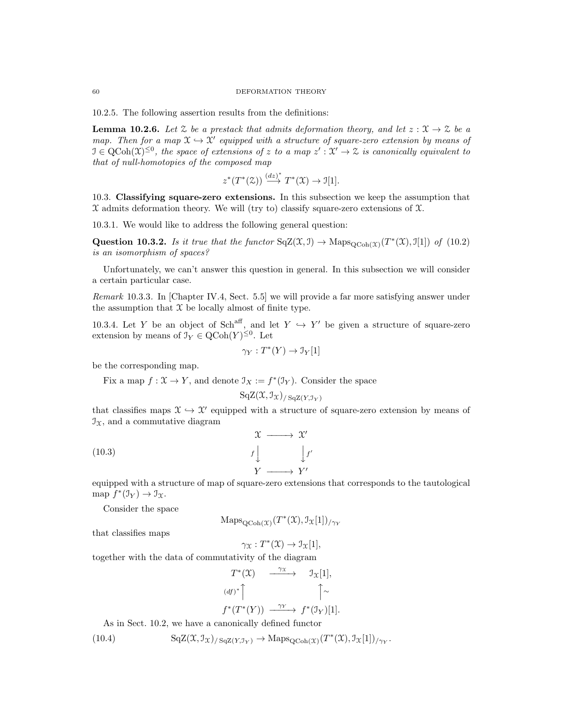10.2.5. The following assertion results from the definitions:

**Lemma 10.2.6.** Let  $\mathcal{Z}$  be a prestack that admits deformation theory, and let  $z : \mathcal{X} \to \mathcal{Z}$  be a map. Then for a map  $\mathfrak{X} \hookrightarrow \mathfrak{X}'$  equipped with a structure of square-zero extension by means of  $\mathfrak{I} \in \mathrm{QCoh}(\mathfrak{X})^{\leq 0}$ , the space of extensions of z to a map  $z': \mathfrak{X}' \to \mathfrak{X}$  is canonically equivalent to that of null-homotopies of the composed map

$$
z^*(T^*(\mathfrak{X})) \stackrel{(dz)^*}{\longrightarrow} T^*(\mathfrak{X}) \to \mathfrak{I}[1].
$$

10.3. Classifying square-zero extensions. In this subsection we keep the assumption that  $\mathfrak X$  admits deformation theory. We will (try to) classify square-zero extensions of  $\mathfrak X$ .

10.3.1. We would like to address the following general question:

Question 10.3.2. Is it true that the functor  $SqZ(\mathfrak{X}, \mathfrak{I}) \to \text{Maps}_{Q\text{Coh}(\mathfrak{X})}(T^*(\mathfrak{X}), \mathfrak{I}[1])$  of (10.2) is an isomorphism of spaces?

Unfortunately, we can't answer this question in general. In this subsection we will consider a certain particular case.

Remark 10.3.3. In [Chapter IV.4, Sect. 5.5] we will provide a far more satisfying answer under the assumption that  $X$  be locally almost of finite type.

10.3.4. Let Y be an object of Sch<sup>aff</sup>, and let  $Y \hookrightarrow Y'$  be given a structure of square-zero extension by means of  $\mathfrak{I}_Y \in \mathrm{QCoh}(Y)^{\leq 0}$ . Let

$$
\gamma_Y: T^*(Y) \to \mathcal{I}_Y[1]
$$

be the corresponding map.

Fix a map  $f: \mathfrak{X} \to Y$ , and denote  $\mathfrak{I}_X := f^*(\mathfrak{I}_Y)$ . Consider the space

$$
\mathrm{SqZ}(\mathfrak{X},\mathfrak{I}_{\mathfrak{X}})_{/\mathrm{SqZ}(Y,\mathfrak{I}_Y)}
$$

that classifies maps  $\mathfrak{X} \hookrightarrow \mathfrak{X}'$  equipped with a structure of square-zero extension by means of  $\mathcal{I}_x$ , and a commutative diagram

(10.3) 
$$
\begin{array}{ccc}\n\chi & \longrightarrow & \chi' \\
f & & f' \\
Y & \longrightarrow & Y'\n\end{array}
$$

equipped with a structure of map of square-zero extensions that corresponds to the tautological map  $f^*(\mathfrak{I}_Y) \to \mathfrak{I}_\mathfrak{X}.$ 

Consider the space

$$
\mathrm{Maps}_{\mathrm{QCoh}(\mathfrak{X})}(T^*(\mathfrak{X}), \mathfrak{I}_{\mathfrak{X}}[1])_{/\gamma_Y}
$$

that classifies maps

$$
\gamma_{\mathfrak{X}}: T^*(\mathfrak{X}) \to \mathfrak{I}_{\mathfrak{X}}[1],
$$

together with the data of commutativity of the diagram

$$
T^*(\mathfrak{X}) \xrightarrow{\gamma \mathfrak{X}} \mathfrak{I}_{\mathfrak{X}}[1],
$$
  
\n
$$
(df)^* \uparrow \qquad \qquad \uparrow \sim
$$
  
\n
$$
f^*(T^*(Y)) \xrightarrow{\gamma Y} f^*(\mathfrak{I}_Y)[1].
$$

As in Sect. 10.2, we have a canonically defined functor

(10.4) 
$$
\mathrm{SqZ}(\mathfrak{X},\mathfrak{I}_{\mathfrak{X}})_{/\mathrm{SqZ}(Y,\mathfrak{I}_{Y})} \to \mathrm{Maps}_{\mathrm{QCoh}(\mathfrak{X})}(T^{*}(\mathfrak{X}),\mathfrak{I}_{\mathfrak{X}}[1])_{/\gamma_{Y}}.
$$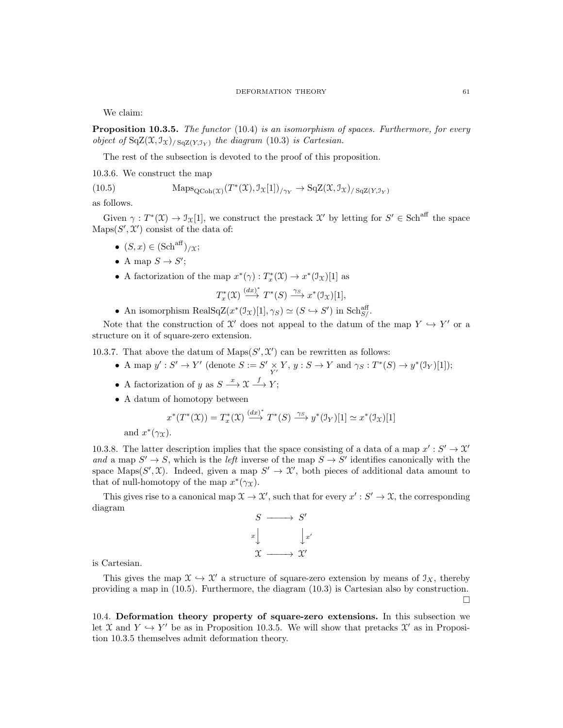We claim:

Proposition 10.3.5. The functor (10.4) is an isomorphism of spaces. Furthermore, for every object of  $SqZ(\mathfrak{X}, \mathfrak{I}_{\mathfrak{X}})_{/\mathit{SqZ}(Y, \mathfrak{I}_{Y})}$  the diagram (10.3) is Cartesian.

The rest of the subsection is devoted to the proof of this proposition.

10.3.6. We construct the map

(10.5) 
$$
\text{Maps}_{\text{QCoh}(\mathcal{X})}(T^*(\mathcal{X}), \mathcal{I}_{\mathcal{X}}[1])_{/\gamma_Y} \to \text{SqZ}(\mathcal{X}, \mathcal{I}_{\mathcal{X}})_{/\text{SqZ}(Y, \mathcal{I}_Y)}
$$

as follows.

Given  $\gamma: T^*(\mathfrak{X}) \to \mathfrak{I}_{\mathfrak{X}}[1]$ , we construct the prestack  $\mathfrak{X}'$  by letting for  $S' \in \mathbf{Sch}^{\text{aff}}$  the space  $\text{Maps}(S', \mathcal{X}')$  consist of the data of:

- $(S, x) \in (\text{Sch}^{\text{aff}})_{/\mathfrak{X}};$
- A map  $S \to S'$ ;
- A factorization of the map  $x^*(\gamma) : T_x^*(\mathfrak{X}) \to x^*(\mathfrak{I}_{\mathfrak{X}})[1]$  as

$$
T_x^*(\mathfrak{X}) \stackrel{(dx)^*}{\longrightarrow} T^*(S) \stackrel{\gamma_S}{\longrightarrow} x^*(\mathfrak{I}_{\mathfrak{X}})[1],
$$

• An isomorphism RealSqZ $(x^*(\mathcal{I}_{\mathcal{X}})[1], \gamma_S) \simeq (S \hookrightarrow S')$  in Sch<sup>aff</sup><sub>S</sub>.

Note that the construction of X' does not appeal to the datum of the map  $Y \hookrightarrow Y'$  or a structure on it of square-zero extension.

10.3.7. That above the datum of  $\text{Maps}(S', \mathcal{X}')$  can be rewritten as follows:

- A map  $y': S' \to Y'$  (denote  $S := S' \times Y$ ,  $y : S \to Y$  and  $\gamma_S : T^*(S) \to y^*(\mathcal{I}_Y)[1])$ ;
- A factorization of y as  $S \stackrel{x}{\longrightarrow} \mathfrak{X} \stackrel{f}{\longrightarrow} Y;$
- A datum of homotopy between

$$
x^*(T^*(\mathfrak{X})) = T_x^*(\mathfrak{X}) \xrightarrow{(dx)^*} T^*(S) \xrightarrow{\gamma_S} y^*(\mathfrak{I}_Y)[1] \simeq x^*(\mathfrak{I}_\mathfrak{X})[1]
$$

and  $x^*(\gamma x)$ .

10.3.8. The latter description implies that the space consisting of a data of a map  $x': S' \to \mathcal{X}'$ and a map  $S' \to S$ , which is the *left* inverse of the map  $S \to S'$  identifies canonically with the space Maps(S', X). Indeed, given a map  $S' \to \mathcal{X}'$ , both pieces of additional data amount to that of null-homotopy of the map  $x^*(\gamma x)$ .

This gives rise to a canonical map  $\mathfrak{X} \to \mathfrak{X}'$ , such that for every  $x' : S' \to \mathfrak{X}$ , the corresponding diagram



is Cartesian.

This gives the map  $\mathfrak{X} \hookrightarrow \mathfrak{X}'$  a structure of square-zero extension by means of  $\mathfrak{I}_X$ , thereby providing a map in (10.5). Furthermore, the diagram (10.3) is Cartesian also by construction.  $\Box$ 

10.4. Deformation theory property of square-zero extensions. In this subsection we let X and  $Y \hookrightarrow Y'$  be as in Proposition 10.3.5. We will show that pretacks  $\mathcal{X}'$  as in Proposition 10.3.5 themselves admit deformation theory.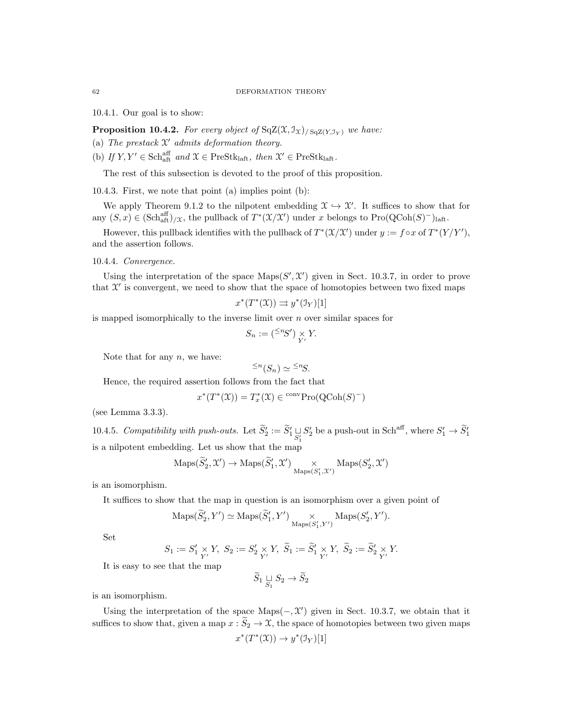10.4.1. Our goal is to show:

**Proposition 10.4.2.** For every object of  $SqZ(\mathfrak{X}, \mathfrak{I}_{\mathfrak{X}})$  squares have:

- (a) The prestack  $\mathfrak{X}'$  admits deformation theory.
- (b) If  $Y, Y' \in \text{Sch}_{\text{aff}}^{\text{aff}}$  and  $\mathfrak{X} \in \text{PreStk}_{\text{laff}},$  then  $\mathfrak{X}' \in \text{PreStk}_{\text{laff}}$ .

The rest of this subsection is devoted to the proof of this proposition.

10.4.3. First, we note that point (a) implies point (b):

We apply Theorem 9.1.2 to the nilpotent embedding  $\mathfrak{X} \hookrightarrow \mathfrak{X}'$ . It suffices to show that for any  $(S, x) \in (\text{Sch}_{\text{aff}}^{\text{aff}})/X$ , the pullback of  $T^*(\mathcal{X}/\mathcal{X}')$  under x belongs to  $\text{Pro}(\text{QCoh}(S)^-)_{\text{laft}}$ .

However, this pullback identifies with the pullback of  $T^*(\mathfrak{X}/\mathfrak{X}')$  under  $y := f \circ x$  of  $T^*(Y/Y')$ , and the assertion follows.

10.4.4. Convergence.

Using the interpretation of the space  $\text{Maps}(S', \mathcal{X}')$  given in Sect. 10.3.7, in order to prove that  $\mathcal{X}'$  is convergent, we need to show that the space of homotopies between two fixed maps

$$
x^*(T^*(\mathfrak{X})) \rightrightarrows y^*(\mathfrak{I}_Y)[1]
$$

is mapped isomorphically to the inverse limit over  $n$  over similar spaces for

$$
S_n := \left( \begin{matrix} \leq^n \hspace{-3pt} S' \\ \end{matrix} \right) \underset{Y'}{\times} Y.
$$

Note that for any  $n$ , we have:

$$
\leq^n (S_n) \simeq \leq^n S.
$$

Hence, the required assertion follows from the fact that

$$
x^*(T^*(\mathfrak{X})) = T_x^*(\mathfrak{X}) \in \mathrm{conv}\mathrm{Pro}(\mathrm{QCoh}(S)^-)
$$

(see Lemma 3.3.3).

10.4.5. Compatibility with push-outs. Let  $\widetilde{S}_2' := \widetilde{S}_1' \sqcup_{S_1'} S_2'$  be a push-out in Sch<sup>aff</sup>, where  $S_1' \to \widetilde{S}_1'$ is a nilpotent embedding. Let us show that the map

$$
\mathrm{Maps}(\widetilde{S}'_2, \mathcal{X}') \to \mathrm{Maps}(\widetilde{S}'_1, \mathcal{X}') \underset{\mathrm{Maps}(S'_1, \mathcal{X}')}{}{\times} \mathrm{Maps}(S'_2, \mathcal{X}')
$$

is an isomorphism.

It suffices to show that the map in question is an isomorphism over a given point of

$$
\operatorname{Maps}(\widetilde{S}'_2, Y') \simeq \operatorname{Maps}(\widetilde{S}'_1, Y') \underset{\operatorname{Maps}(S'_1, Y')}{\times} \operatorname{Maps}(S'_2, Y').
$$

Set

$$
S_1:=S'_1\underset{Y'}{\times}Y,~S_2:=S'_2\underset{Y'}{\times}Y,~\widetilde{S}_1:=\widetilde{S}'_1\underset{Y'}{\times}Y,~\widetilde{S}_2:=\widetilde{S}'_2\underset{Y'}{\times}Y.
$$

It is easy to see that the map

$$
\widetilde{S}_1 \underset{S_1}{\sqcup} S_2 \to \widetilde{S}_2
$$

is an isomorphism.

Using the interpretation of the space  $\text{Maps}(-, \mathcal{X}')$  given in Sect. 10.3.7, we obtain that it suffices to show that, given a map  $x : \widetilde{S}_2 \to \mathfrak{X}$ , the space of homotopies between two given maps

$$
x^*(T^*(\mathfrak{X})) \to y^*(\mathfrak{I}_Y)[1]
$$